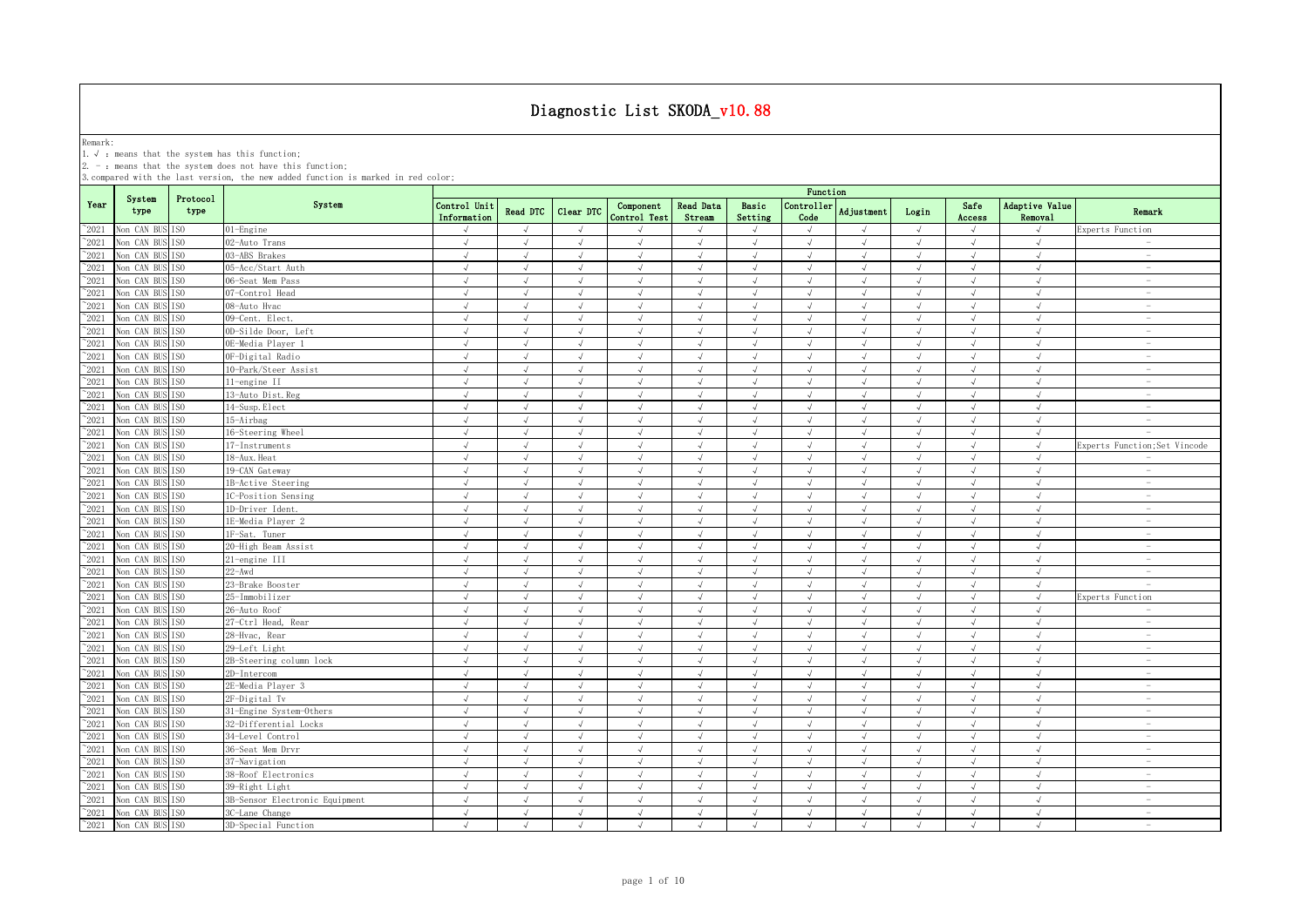Remark:<br>1.√ : means that the system has this function;<br>2. - : means that the system does not have this function;

|                |                               |                  |                                |                             |               |               |                           |                     |                  | Function           |               |            |                |                                  |                                 |
|----------------|-------------------------------|------------------|--------------------------------|-----------------------------|---------------|---------------|---------------------------|---------------------|------------------|--------------------|---------------|------------|----------------|----------------------------------|---------------------------------|
| Year           | System<br>type                | Protocol<br>type | System                         | Control Unit<br>Information | Read DTC      | Clear DTC     | Component<br>Control Test | Read Data<br>Stream | Basic<br>Setting | Controller<br>Code | Adjustment    | Login      | Safe<br>Access | Adaptive Value<br><b>Removal</b> | Remark                          |
| $^{\sim}2021$  | Non CAN BUS ISO               |                  | 01-Engine                      | $\sqrt{ }$                  | $\sqrt{ }$    | $\sqrt{ }$    | $\cdot$                   | $\sqrt{ }$          | $\sqrt{ }$       | $\sqrt{ }$         | $\sqrt{ }$    | $\sqrt{ }$ | $\sqrt{ }$     | $\sqrt{ }$                       | Experts Function                |
| $^{\sim}$ 2021 | Non CAN BUS                   | ISO.             | 02-Auto Trans                  | $\sqrt{ }$                  | $\sqrt{ }$    | $\sqrt{ }$    | $\sqrt{ }$                | $\sqrt{ }$          | $\sqrt{ }$       | $\sqrt{ }$         | $\sqrt{ }$    | $\sqrt{ }$ | $\sqrt{ }$     | $\sqrt{ }$                       | $\sim$                          |
| $^{\sim}2021$  | Non CAN BUS                   | TSO              | 03-ABS Brakes                  | $\sqrt{ }$                  |               |               |                           | $\sqrt{ }$          |                  | $\sqrt{ }$         |               | $\sqrt{ }$ | $\sqrt{ }$     |                                  | $\sim$                          |
| $^{\sim}2021$  | Non CAN BUS                   | ISO              | 05-Acc/Start Auth              | $\sqrt{ }$                  | $\sqrt{ }$    | $\sqrt{}$     | $\sqrt{ }$                | $\sqrt{}$           | $\sqrt{ }$       | $\sqrt{ }$         | $\sqrt{ }$    | $\sqrt{ }$ | $\sqrt{ }$     | $\sqrt{ }$                       | $\hspace{0.1mm}-\hspace{0.1mm}$ |
| 2021           | Non CAN BUS                   | ISO              | 06-Seat Mem Pass               | $\sqrt{ }$                  | $\mathcal{L}$ | $\mathcal{L}$ |                           | $\sqrt{ }$          | $\sqrt{ }$       | $\cdot$            | $\mathcal{A}$ | $\sqrt{ }$ | $\sqrt{ }$     | $\sqrt{ }$                       | $\overline{\phantom{a}}$        |
| 2021           | Non CAN BUS                   | TSO.             | 07-Control Head                | $\sqrt{ }$                  | $\sqrt{ }$    | $\mathcal{L}$ |                           |                     |                  | $\sqrt{ }$         | J             | $\sqrt{ }$ |                | $\sqrt{ }$                       | $\overline{\phantom{a}}$        |
| $^{\sim}2021$  | Non CAN BUS                   | ISO              | 08-Auto Hvac                   | $\sqrt{ }$                  | $\sqrt{ }$    |               |                           | $\sqrt{ }$          |                  | $\sqrt{ }$         | $\sqrt{ }$    | $\sqrt{ }$ |                |                                  |                                 |
| $^{\sim}$ 2021 | Non CAN BUS                   | TSO              | 09-Cent. Elect.                | $\sqrt{ }$                  | $\sqrt{ }$    | $\mathcal{L}$ |                           | J                   |                  | $\sqrt{ }$         | $\sqrt{ }$    | $\sqrt{ }$ | $\sqrt{ }$     | $\sqrt{ }$                       |                                 |
| $\degree$ 2021 | Non CAN BUS                   | IS <sub>0</sub>  | 0D-Silde Door, Left            | $\sqrt{ }$                  | $\sqrt{ }$    | $\sqrt{ }$    | $\sqrt{ }$                | $\sqrt{ }$          | $\sqrt{ }$       | $\sqrt{ }$         | $\sqrt{ }$    | $\sqrt{ }$ | $\sqrt{ }$     | $\sqrt{ }$                       |                                 |
| $^{\sim}$ 2021 | Non CAN BUS                   | TS <sub>0</sub>  | 0E-Media Plaver 1              | $\sqrt{ }$                  | $\sqrt{ }$    | $\sqrt{ }$    | $\sqrt{ }$                | $\sqrt{ }$          | $\sqrt{ }$       | $\sqrt{ }$         | $\sqrt{ }$    | $\sqrt{ }$ | $\sqrt{ }$     | $\sqrt{ }$                       | $\sim$                          |
| $^{\sim}$ 2021 | Non CAN BUS                   | IS <sub>0</sub>  | OF-Digital Radio               | $\sqrt{ }$                  | $\sqrt{ }$    | $\sqrt{ }$    | $\sqrt{ }$                | $\sqrt{ }$          | $\sqrt{ }$       | $\sqrt{ }$         | $\sqrt{ }$    | $\sqrt{ }$ | $\sqrt{ }$     | $\sqrt{ }$                       | $\sim$                          |
| $^{\sim}$ 2021 | Non CAN BUS                   | IS <sub>0</sub>  | 10-Park/Steer Assist           | $\sqrt{ }$                  | $\sqrt{ }$    | $\sqrt{ }$    | $\mathcal{L}$             | $\sqrt{ }$          | $\sqrt{ }$       | $\sqrt{ }$         | $\sqrt{ }$    | $\sqrt{ }$ | $\sqrt{ }$     | $\sqrt{ }$                       | $\sim$                          |
| $\degree$ 2021 | Non CAN BUS                   | ISO              | 11-engine II                   | $\sqrt{ }$                  | $\sqrt{ }$    | $\sqrt{ }$    | $\sqrt{ }$                | $\sqrt{ }$          | $\sqrt{ }$       | $\sqrt{ }$         | $\sqrt{ }$    | $\sqrt{ }$ | $\sqrt{ }$     | $\sqrt{ }$                       | $\overline{\phantom{a}}$        |
| $\degree$ 2021 | Non CAN BUS                   | IS <sub>0</sub>  | 13-Auto Dist. Reg              | $\sqrt{ }$                  | $\sqrt{ }$    | $\sqrt{ }$    | $\sqrt{ }$                | $\sqrt{ }$          | $\sqrt{ }$       | $\sqrt{ }$         | $\sqrt{ }$    | $\sqrt{ }$ | $\sqrt{ }$     | $\sqrt{ }$                       | $\overline{\phantom{a}}$        |
| $^{\sim}2021$  | Non CAN BUS                   | ESO.             | 14-Susp. Elect                 | $\sqrt{ }$                  | $\sqrt{ }$    | $\sqrt{ }$    | $\sqrt{ }$                | $\sqrt{ }$          | $\sqrt{ }$       | $\sqrt{ }$         | $\sqrt{ }$    | $\sqrt{ }$ | $\sqrt{ }$     | $\sqrt{ }$                       | $\sim$                          |
| $^{\sim}2021$  | Non CAN BUS                   | TS <sub>0</sub>  | 15-Airbag                      | $\sqrt{ }$                  | $\sqrt{ }$    | $\mathcal{L}$ | $\mathcal{L}$             | $\sqrt{ }$          | $\sqrt{ }$       | $\sqrt{ }$         | $\sqrt{ }$    | $\sqrt{ }$ | $\sqrt{ }$     | $\sqrt{ }$                       | $\sim$                          |
| $^{\sim}2021$  | Non CAN BUS                   | ISO.             | 16-Steering Wheel              | $\sqrt{ }$                  | $\sqrt{ }$    | $\sqrt{ }$    | $\sqrt{ }$                | $\sqrt{ }$          | $\sqrt{ }$       | $\sqrt{ }$         | $\sqrt{ }$    | $\sqrt{ }$ | $\sqrt{ }$     | $\sqrt{ }$                       | $\sim$                          |
| $^{\sim}2021$  | Non CAN BUS                   | ISO              | 17-Instruments                 | $\sqrt{ }$                  | $\sqrt{ }$    | $\sqrt{ }$    | $\sqrt{ }$                | $\sqrt{ }$          | $\sqrt{ }$       | $\sqrt{ }$         | $\sqrt{ }$    | $\sqrt{ }$ | $\sqrt{ }$     | $\sqrt{ }$                       | Experts Function; Set Vincode   |
| 2021           | Non CAN BUS                   | ESO.             | 18-Aux. Heat                   | $\sqrt{ }$                  | $\sqrt{ }$    | $\sqrt{}$     | $\sqrt{ }$                | $\sqrt{ }$          | $\sqrt{ }$       | $\sqrt{}$          | $\sqrt{ }$    | $\sqrt{ }$ | $\sqrt{ }$     | $\sqrt{ }$                       | $\overline{\phantom{a}}$        |
| 2021           | Non CAN BUS                   | IS <sub>0</sub>  | 19-CAN Gateway                 | $\sqrt{ }$                  | $\mathcal{L}$ | $\sqrt{ }$    | $\sqrt{ }$                | J                   | $\sqrt{ }$       | $\sqrt{ }$         | $\lambda$     | $\sqrt{ }$ | $\sqrt{ }$     | $\mathcal{L}$                    | $\sim$                          |
| 2021           | Non CAN BUS                   | IS <sub>0</sub>  | 1B-Active Steering             | $\sqrt{ }$                  | $\sqrt{ }$    | $\sqrt{ }$    | $\sqrt{ }$                | $\sqrt{ }$          | $\sqrt{ }$       | $\sqrt{}$          | $\sqrt{ }$    | $\sqrt{ }$ | $\sqrt{ }$     | $\sqrt{ }$                       | $\overline{\phantom{a}}$        |
| 2021           | Non CAN BUS                   | ISO              | 1C-Position Sensing            | $\sqrt{ }$                  | $\mathcal{L}$ | $\sqrt{ }$    | $\mathcal{L}$             | $\sqrt{ }$          | $\sqrt{ }$       | $\cdot$            | $\mathcal{A}$ | $\sqrt{ }$ | $\sqrt{ }$     | $\mathcal{L}$                    | $\sim$                          |
| $^{\sim}2021$  | Non CAN BUS                   | TSO              | 1D-Driver Ident.               | $\sqrt{ }$                  | $\sqrt{ }$    | J             | $\mathcal{L}$             | J                   |                  | $\sqrt{ }$         | $\sqrt{ }$    | $\sqrt{ }$ |                | $\sqrt{ }$                       |                                 |
| $^{\sim}$ 2021 | Non CAN BUS                   | <b>ISO</b>       | 1E-Media Player 2              | $\sqrt{ }$                  | $\sqrt{ }$    | $\sqrt{ }$    | $\sqrt{ }$                | $\sqrt{ }$          | $\sqrt{ }$       | $\sqrt{ }$         | $\sqrt{ }$    | $\sqrt{ }$ | $\sqrt{ }$     | $\sqrt{ }$                       | $\overline{\phantom{a}}$        |
| $^{\sim}$ 2021 | Non CAN BUS                   | IS <sub>0</sub>  | 1F-Sat. Tuner                  | $\sqrt{ }$                  | $\sqrt{ }$    | $\sqrt{ }$    | $\sqrt{ }$                | $\sqrt{ }$          | $\sqrt{ }$       | $\sqrt{ }$         | $\sqrt{ }$    | $\sqrt{ }$ | $\sqrt{ }$     | $\sqrt{ }$                       | $\sim$                          |
| $^{\sim}$ 2021 | Non CAN BUS                   | IS <sub>0</sub>  | 20-High Beam Assist            | $\sqrt{ }$                  | $\sqrt{ }$    | $\sqrt{ }$    | $\sqrt{ }$                | $\sqrt{ }$          | $\sqrt{ }$       | $\sqrt{ }$         | $\sqrt{ }$    | $\sqrt{ }$ | $\sqrt{ }$     | $\sqrt{ }$                       | $\sim$                          |
| $^{\sim}$ 2021 | Non CAN BUS                   | IS <sub>0</sub>  | 21-engine III                  | $\sqrt{ }$                  | $\sqrt{ }$    | $\sqrt{ }$    | $\sqrt{ }$                | $\sqrt{ }$          | $\sqrt{ }$       | $\sqrt{ }$         | $\sqrt{ }$    | $\sqrt{ }$ | $\sqrt{ }$     | $\sqrt{ }$                       | $\sim$                          |
| $\degree$ 2021 | Non CAN BUS                   | IS <sub>0</sub>  | $22 - Awd$                     | $\sqrt{ }$                  | $\sqrt{ }$    | $\sqrt{ }$    | $\sqrt{ }$                | $\sqrt{ }$          | $\sqrt{ }$       | $\sqrt{ }$         | $\sqrt{ }$    | $\sqrt{ }$ | $\sqrt{ }$     | $\sqrt{ }$                       | $\overline{\phantom{a}}$        |
| $^{\sim}2021$  | Non CAN BUS                   | ISO              | 23-Brake Booster               | $\sqrt{ }$                  | $\sqrt{ }$    | $\sqrt{ }$    | $\sqrt{ }$                | $\sqrt{ }$          | $\sqrt{ }$       | $\sqrt{ }$         | $\sqrt{ }$    | $\sqrt{ }$ | $\sqrt{ }$     | $\sqrt{ }$                       | $\sim$                          |
| $\degree$ 2021 | Non CAN BUS                   | ISO.             | 25-Immobilizer                 | $\sqrt{ }$                  | $\sqrt{ }$    | $\sqrt{ }$    | $\sqrt{ }$                | $\sqrt{ }$          | $\sqrt{ }$       | $\sqrt{ }$         | $\sqrt{ }$    | $\sqrt{ }$ | $\sqrt{ }$     | $\sqrt{ }$                       | Experts Function                |
| $^{\sim}2021$  | Non CAN BUS                   | TS <sub>0</sub>  | 26-Auto Roof                   | $\sqrt{ }$                  | $\sqrt{ }$    | $\sqrt{ }$    | $\sqrt{ }$                | $\sqrt{ }$          | $\sqrt{ }$       | $\sqrt{ }$         | $\sqrt{ }$    | $\sqrt{ }$ | $\sqrt{ }$     | $\sqrt{ }$                       | $\sim$                          |
| $^{\sim}2021$  | Non CAN BUS                   | ISO              | 27-Ctrl Head, Rear             | $\sqrt{ }$                  | $\sqrt{ }$    | $\sqrt{ }$    | $\sqrt{ }$                | $\sqrt{ }$          | $\sqrt{ }$       | $\sqrt{ }$         | $\sqrt{ }$    | $\sqrt{ }$ | $\sqrt{ }$     | $\sqrt{ }$                       | $\overline{\phantom{a}}$        |
| $^{\sim}2021$  | Non CAN BUS                   | IS <sub>0</sub>  | 28-Hvac, Rear                  | $\sqrt{ }$                  | $\sqrt{ }$    | J             | $\sqrt{ }$                | $\sqrt{ }$          | $\sqrt{ }$       | $\sqrt{ }$         | $\sqrt{ }$    | $\sqrt{ }$ | $\sqrt{ }$     | $\sqrt{ }$                       | $\sim$                          |
| $^{\sim}2021$  | Non CAN BUS                   | ISO.             | 29-Left Light                  | $\sqrt{ }$                  | $\sqrt{ }$    | $\sqrt{ }$    | $\sqrt{ }$                | $\sqrt{ }$          | $\sqrt{ }$       | $\sqrt{ }$         | $\sqrt{ }$    | $\sqrt{ }$ | $\sqrt{ }$     | $\sqrt{ }$                       | $\sim$                          |
| $^{\sim}2021$  | Non CAN BUS                   | TSO.             | 2B-Steering column lock        | $\sqrt{ }$                  | $\sqrt{ }$    |               |                           | J                   |                  | $\sqrt{ }$         | J             | $\sqrt{ }$ | $\sqrt{ }$     |                                  | $\sim$                          |
| $^{\sim}2021$  | Non CAN BUS                   | IS <sub>0</sub>  | 2D-Intercom                    | $\sqrt{ }$                  | $\sqrt{ }$    | $\sqrt{}$     | $\sqrt{ }$                | $\sqrt{ }$          | $\sqrt{ }$       | $\sqrt{ }$         | $\sqrt{ }$    | $\sqrt{}$  | $\sqrt{ }$     | $\sqrt{ }$                       | $\sim$                          |
| 2021           | Non CAN BUS                   | ISO              | 2E-Media Player 3              | $\sqrt{ }$                  | $\mathcal{L}$ |               | $\mathcal{L}$             | $\sqrt{ }$          | $\sqrt{ }$       | $\cdot$            | $\sqrt{ }$    | $\sqrt{ }$ |                |                                  | $\sim$                          |
| 2021           | Non CAN BUS                   | TSO              | 2F-Digital Tv                  | $\sqrt{ }$                  | $\sqrt{ }$    | $\sqrt{ }$    |                           |                     |                  | $\sqrt{ }$         | $\mathcal{A}$ | $\sqrt{ }$ |                | $\mathcal{L}$                    | $\overline{\phantom{a}}$        |
| $^{\sim}2021$  | Non CAN BUS                   | TSO              | 31-Engine System-Others        | $\sqrt{ }$                  | $\sqrt{ }$    |               |                           | $\sqrt{ }$          |                  |                    | $\sqrt{ }$    | $\sqrt{ }$ |                |                                  |                                 |
| $^{\sim}$ 2021 | Non CAN BUS                   | IS <sub>0</sub>  | 32-Differential Locks          | $\sqrt{ }$                  | $\sqrt{ }$    | $\sqrt{ }$    | $\sqrt{ }$                | $\sqrt{ }$          | $\sqrt{ }$       | $\sqrt{ }$         | $\sqrt{ }$    | $\sqrt{ }$ | $\sqrt{ }$     | $\sqrt{ }$                       |                                 |
| $^{\sim}$ 2021 | Non CAN BUS                   | IS <sub>0</sub>  | 34-Level Control               | $\sqrt{ }$                  | $\sqrt{ }$    | $\sqrt{ }$    | $\sqrt{ }$                | $\sqrt{ }$          | $\sqrt{ }$       | $\sqrt{ }$         | $\sqrt{ }$    | $\sqrt{ }$ | $\sqrt{ }$     | $\sqrt{ }$                       | $\sim$                          |
| $^{\sim}$ 2021 | Non CAN BUS                   | TS <sub>0</sub>  | 36-Seat Mem Drvr               | $\sqrt{ }$                  | $\sqrt{ }$    | $\sqrt{ }$    | $\mathcal{L}$             | $\sqrt{ }$          | $\sqrt{ }$       | $\sqrt{ }$         | $\sqrt{ }$    | $\sqrt{ }$ | $\sqrt{ }$     | $\sqrt{ }$                       | $\overline{\phantom{a}}$        |
| $^{\sim}$ 2021 | Non CAN BUS                   | IS <sub>0</sub>  | 37-Navigation                  | $\sqrt{ }$                  | $\sqrt{ }$    | $\sqrt{ }$    | $\sqrt{ }$                | $\sqrt{ }$          | $\sqrt{ }$       | $\sqrt{ }$         | $\sqrt{ }$    | $\sqrt{ }$ | $\sqrt{ }$     | $\sqrt{ }$                       | $\overline{\phantom{a}}$        |
| $^{\sim}$ 2021 | Non CAN BUS                   | IS <sub>0</sub>  | 38-Roof Electronics            | $\sqrt{ }$                  | $\sqrt{ }$    | $\sqrt{ }$    | $\sqrt{ }$                | $\sqrt{ }$          | $\sqrt{ }$       | $\sqrt{ }$         | $\sqrt{ }$    | $\sqrt{ }$ | $\sqrt{ }$     | $\sqrt{ }$                       | $\sim$                          |
| $\degree$ 2021 | Non CAN BUS                   | IS <sub>0</sub>  | 39-Right Light                 | $\sqrt{ }$                  | $\sqrt{ }$    | $\sqrt{ }$    | $\sqrt{ }$                | $\sqrt{ }$          | $\sqrt{ }$       | $\sqrt{ }$         | $\sqrt{ }$    | $\sqrt{ }$ | $\sqrt{ }$     | $\sqrt{ }$                       | $\overline{\phantom{a}}$        |
| $^{\sim}2021$  | Non CAN BUS                   | TS <sub>0</sub>  | 3B-Sensor Electronic Equipment | $\sqrt{ }$                  | $\sqrt{ }$    | $\sqrt{ }$    | $\sqrt{ }$                | $\sqrt{ }$          | $\sqrt{ }$       | $\sqrt{ }$         | $\sqrt{ }$    | $\sqrt{ }$ | $\sqrt{ }$     | $\sqrt{ }$                       | $\overline{\phantom{a}}$        |
| $^{\sim}$ 2021 | Non CAN BUS                   | ISO.             | 3C-Lane Change                 | $\sqrt{ }$                  | $\sqrt{ }$    | $\sqrt{ }$    | $\sqrt{ }$                | $\sqrt{ }$          | $\sqrt{ }$       | $\sqrt{ }$         | $\sqrt{ }$    | $\sqrt{ }$ | $\sqrt{ }$     | $\sqrt{ }$                       | $\overline{\phantom{a}}$        |
|                | $^{\sim}2021$ Non CAN BUS ISO |                  | 3D-Special Function            | $\sqrt{ }$                  | $\sqrt{ }$    | $\sqrt{ }$    | $\sqrt{ }$                | $\sqrt{ }$          | $\sqrt{ }$       | $\sqrt{ }$         | $\sqrt{ }$    | $\sqrt{ }$ | $\sqrt{ }$     | $\sqrt{ }$                       | $\sim$                          |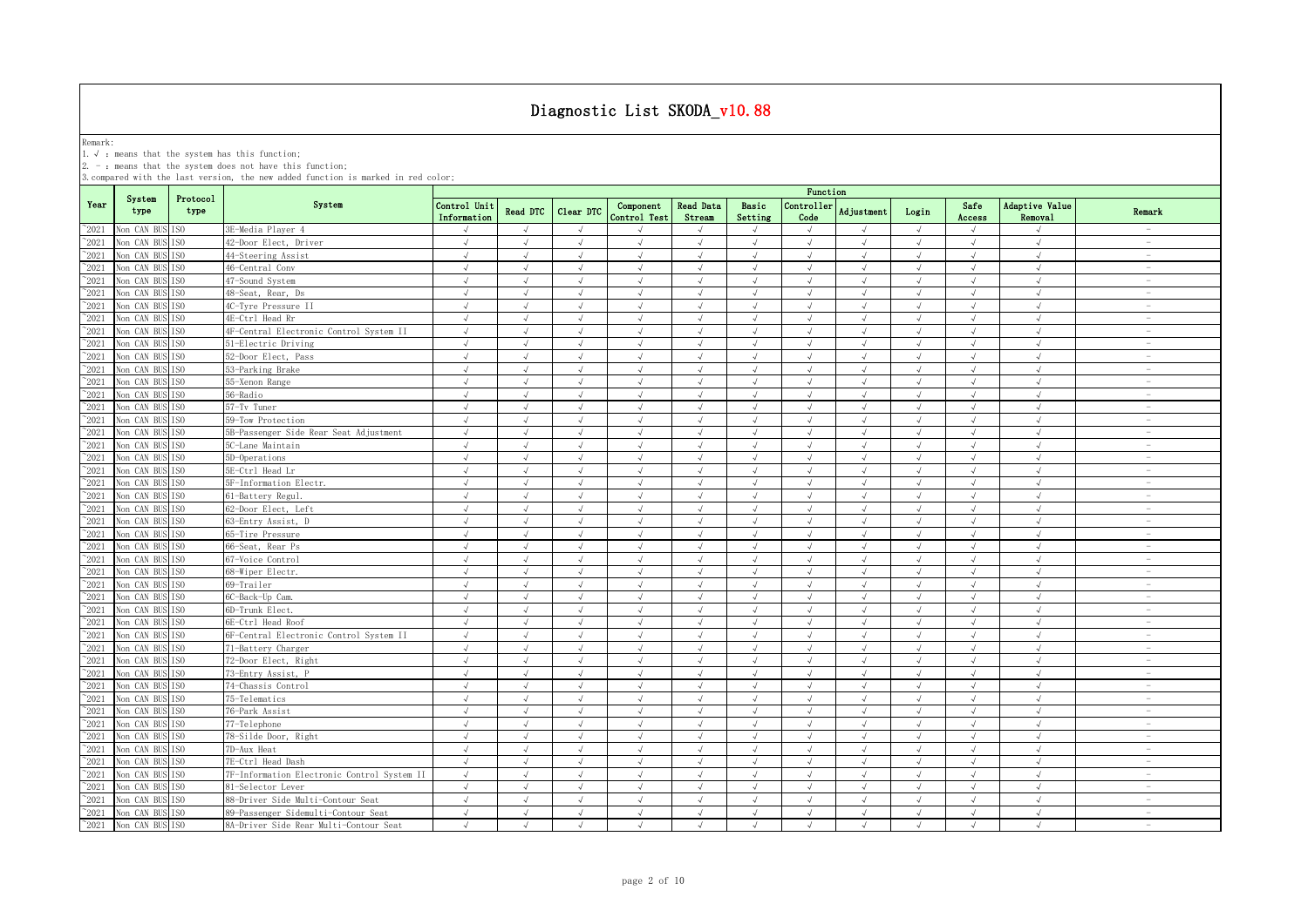Remark:<br>1.√ : means that the system has this function;<br>2. - : means that the system does not have this function;

|                |                               |                  |                                             |                             |                |            |                           |                            |                  | Function                    |                |            |                |                           |                                 |
|----------------|-------------------------------|------------------|---------------------------------------------|-----------------------------|----------------|------------|---------------------------|----------------------------|------------------|-----------------------------|----------------|------------|----------------|---------------------------|---------------------------------|
| Year           | System<br>type                | Protocol<br>type | System                                      | Control Unit<br>Information | Read DTC       | Clear DTC  | Component<br>Control Test | <b>Read Data</b><br>Stream | Basic<br>Setting | Controller<br>Code          | Adjustment     | Login      | Safe<br>Access | Adaptive Value<br>Removal | Remark                          |
| $^{\sim}2021$  | Non CAN BUS ISO               |                  | 3E-Media Player 4                           | $\sqrt{ }$                  | $\sqrt{ }$     | $\sqrt{ }$ |                           | $\sqrt{ }$                 | $\sqrt{ }$       | $\sqrt{ }$                  | $\sqrt{ }$     | $\sqrt{ }$ | $\sqrt{ }$     | $\sqrt{ }$                |                                 |
| 2021           | Non CAN BUS                   | ISO.             | 42-Door Elect, Driver                       | $\sqrt{ }$                  | $\sqrt{ }$     | $\sqrt{ }$ | $\sqrt{ }$                | $\sqrt{ }$                 | $\sqrt{ }$       | $\sqrt{ }$                  | $\sqrt{ }$     | $\sqrt{ }$ | $\sqrt{ }$     | $\sqrt{ }$                | $\hspace{0.1mm}-\hspace{0.1mm}$ |
| 2021           | Non CAN BUS                   | IS <sub>0</sub>  | 44-Steering Assist                          | $\sqrt{ }$                  | $\sqrt{ }$     | $\sqrt{ }$ | $\sqrt{ }$                | $\sqrt{ }$                 | $\sqrt{ }$       | $\sqrt{ }$                  | $\sqrt{ }$     | $\sqrt{ }$ | $\sqrt{ }$     | $\sqrt{ }$                | $\hspace{0.1mm}-\hspace{0.1mm}$ |
| 2021           | Non CAN BUS                   | IS <sub>0</sub>  | 46-Central Conv                             | $\sqrt{ }$                  | $\sqrt{ }$     | $\sqrt{ }$ | $\sqrt{ }$                | $\sqrt{ }$                 | $\sqrt{ }$       | $\sqrt{ }$                  | $\sqrt{ }$     | $\sqrt{ }$ | $\sqrt{ }$     | $\sqrt{ }$                | $\sim$                          |
| 2021           | Non CAN BUS                   | IS <sub>0</sub>  | 47-Sound System                             | $\sqrt{ }$                  | $\sqrt{ }$     |            | $\sqrt{ }$                | $\sqrt{ }$                 | $\sqrt{ }$       |                             | $\overline{v}$ | $\sqrt{ }$ | $\sqrt{ }$     | $\sqrt{ }$                |                                 |
| $^{\sim}$ 2021 | Non CAN BUS                   | IS <sub>0</sub>  | 48-Seat, Rear, Ds                           | $\sqrt{ }$                  | $\sqrt{ }$     | $\sqrt{ }$ | $\sqrt{ }$                | $\sqrt{ }$                 | $\sqrt{ }$       | $\mathcal{N}_{\mathcal{N}}$ | $\sqrt{ }$     | $\sqrt{ }$ | $\sqrt{ }$     | $\sqrt{ }$                | $\overline{\phantom{a}}$        |
| $^{\sim}2021$  | Non CAN BUS                   | TS <sub>0</sub>  | 4C-Tyre Pressure II                         | $\sqrt{ }$                  | $\sqrt{ }$     | $\sqrt{ }$ | $\sqrt{ }$                | $\sqrt{ }$                 | $\sqrt{ }$       | $\sqrt{ }$                  | $\sqrt{ }$     | $\sqrt{ }$ | $\sqrt{ }$     | $\sqrt{ }$                | $\sim$                          |
| $^{\sim}$ 2021 | Non CAN BUS                   | IS <sub>0</sub>  | 4E-Ctrl Head Rr                             | $\sqrt{ }$                  | $\sqrt{ }$     | $\sqrt{ }$ | $\sqrt{ }$                | $\sqrt{ }$                 | $\sqrt{ }$       | $\sqrt{ }$                  | $\sqrt{ }$     | $\sqrt{ }$ | $\sqrt{ }$     | $\sqrt{ }$                | $\sim$                          |
| $^{\sim}$ 2021 | Non CAN BUS                   | IS <sub>0</sub>  | 4F-Central Electronic Control System II     | $\sqrt{ }$                  | $\sqrt{ }$     | $\sqrt{ }$ | $\sqrt{ }$                | $\sqrt{ }$                 | $\sqrt{ }$       | $\sqrt{ }$                  | $\sqrt{ }$     | $\sqrt{ }$ | $\sqrt{ }$     | $\sqrt{ }$                | $\sim$                          |
| $^{\sim}$ 2021 | Non CAN BUS                   | IS <sub>0</sub>  | 51-Electric Driving                         | $\sqrt{ }$                  | $\sqrt{ }$     | $\sqrt{ }$ | $\sqrt{ }$                | $\sqrt{ }$                 | $\sqrt{ }$       | $\sqrt{ }$                  | $\sqrt{ }$     | $\sqrt{ }$ | $\sqrt{ }$     | $\sqrt{ }$                | $\sim$                          |
| $\degree$ 2021 | Non CAN BUS                   | IS <sub>0</sub>  | 52-Door Elect, Pass                         | $\sqrt{ }$                  | $\sqrt{ }$     | $\sqrt{ }$ | $\sqrt{ }$                | $\sqrt{ }$                 | $\sqrt{ }$       | $\sqrt{ }$                  | $\sqrt{ }$     | $\sqrt{ }$ | $\sqrt{ }$     | $\sqrt{ }$                | $\overline{\phantom{a}}$        |
| $^{\sim}2021$  | Non CAN BUS ISO               |                  | 53-Parking Brake                            | $\sqrt{ }$                  | $\sqrt{ }$     | $\sqrt{ }$ | $\sqrt{ }$                | $\sqrt{ }$                 | $\sqrt{ }$       | $\sqrt{ }$                  | $\sqrt{ }$     | $\sqrt{ }$ | $\sqrt{ }$     | $\sqrt{ }$                | $\sim$                          |
| $^{\sim}2021$  | Non CAN BUS                   | IS <sub>0</sub>  | 55-Xenon Range                              | $\sqrt{ }$                  | $\sqrt{ }$     | $\sqrt{ }$ | $\sqrt{ }$                | $\sqrt{ }$                 | $\sqrt{ }$       | $\sqrt{ }$                  | $\sqrt{ }$     | $\sqrt{ }$ | $\sqrt{ }$     | $\sqrt{ }$                | $\overline{\phantom{a}}$        |
| $^{\sim}2021$  | Non CAN BUS ISO               |                  | 56-Radio                                    | $\sqrt{ }$                  | $\sqrt{ }$     | $\sqrt{ }$ | $\sqrt{ }$                | $\sqrt{ }$                 | $\sqrt{ }$       | $\sqrt{ }$                  | $\sqrt{ }$     | $\sqrt{ }$ | $\sqrt{ }$     | $\sqrt{ }$                | $\overline{\phantom{a}}$        |
| $^{\sim}2021$  | Non CAN BUS                   | ISO.             | 57-Tv Tuner                                 | $\sqrt{ }$                  | $\sqrt{ }$     | $\sqrt{ }$ | $\sqrt{ }$                | $\sqrt{ }$                 | $\sqrt{ }$       | $\sqrt{ }$                  | $\sqrt{ }$     | $\sqrt{ }$ | $\sqrt{ }$     | $\sqrt{ }$                | $\overline{\phantom{a}}$        |
| $^{\sim}2021$  | Non CAN BUS ISO               |                  | 59-Tow Protection                           | $\sqrt{ }$                  | $\sqrt{ }$     | $\sqrt{ }$ | $\sqrt{ }$                | $\sqrt{ }$                 | $\sqrt{ }$       | $\sqrt{ }$                  | $\sqrt{ }$     | $\sqrt{ }$ | $\sqrt{ }$     | $\sqrt{ }$                | $\sim$                          |
| $\degree$ 2021 | Non CAN BUS                   | ISO.             | 5B-Passenger Side Rear Seat Adjustment      | $\sqrt{ }$                  | $\sqrt{ }$     | $\sqrt{ }$ | $\sqrt{ }$                | $\sqrt{ }$                 | $\sqrt{ }$       | $\sqrt{ }$                  | $\sqrt{ }$     | $\sqrt{ }$ | $\sqrt{ }$     | $\sqrt{ }$                | $\hspace{0.1mm}-\hspace{0.1mm}$ |
| 2021           | Non CAN BUS ISO               |                  | 5C-Lane Maintain                            | $\sqrt{ }$                  | $\sqrt{ }$     | $\sqrt{ }$ | $\sqrt{ }$                | $\sqrt{ }$                 | $\sqrt{ }$       | $\sqrt{ }$                  | $\sqrt{ }$     | $\sqrt{ }$ | $\sqrt{ }$     | $\sqrt{ }$                | $\overline{\phantom{a}}$        |
| 2021           | Non CAN BUS                   | IS <sub>0</sub>  | 5D-Operations                               | $\sqrt{ }$                  | $\sqrt{ }$     | $\sqrt{2}$ | $\sqrt{ }$                | $\sqrt{ }$                 | $\sqrt{ }$       | $\sqrt{ }$                  | $\sqrt{ }$     | $\sqrt{ }$ | $\sqrt{ }$     | $\sqrt{}$                 | $\overline{\phantom{a}}$        |
| $^{\circ}2021$ | Non CAN BUS                   | TSO              | 5E-Ctrl Head Lr                             | $\sqrt{ }$                  |                |            |                           | $\sqrt{ }$                 | $\sqrt{ }$       | $\cdot$                     |                | $\sqrt{ }$ |                | $\cdot$                   | $\overline{\phantom{a}}$        |
| 2021           | Non CAN BUS                   | TS <sub>0</sub>  | 5F-Information Electr.                      | $\sqrt{ }$                  |                | J          |                           | $\sqrt{ }$                 | $\sqrt{ }$       |                             |                | $\sqrt{ }$ |                | $\sqrt{ }$                | $\hspace{0.1mm}-\hspace{0.1mm}$ |
| 2021           | Non CAN BUS                   | TS <sub>0</sub>  | 61-Battery Regul.                           | $\sqrt{ }$                  |                | $\sqrt{ }$ | $\sqrt{ }$                | $\sqrt{ }$                 | $\mathcal{A}$    | $\sqrt{ }$                  |                | $\sqrt{ }$ | $\sqrt{ }$     | $\sqrt{ }$                | $\overline{\phantom{a}}$        |
| $^{\sim}$ 2021 | Non CAN BUS                   | IS <sub>0</sub>  | 62-Door Elect, Left                         | $\sqrt{ }$                  |                |            |                           | $\sqrt{ }$                 | $\sqrt{ }$       |                             |                | $\sqrt{ }$ |                | $\sqrt{ }$                |                                 |
| $^{\sim}$ 2021 | Non CAN BUS                   | IS <sub>0</sub>  | 63-Entry Assist, D                          | $\sqrt{ }$                  | $\sqrt{ }$     | $\sqrt{ }$ | $\sqrt{ }$                | $\sqrt{ }$                 | $\sqrt{ }$       | $\sqrt{ }$                  | $\sqrt{ }$     | $\sqrt{ }$ | $\sqrt{ }$     | $\sqrt{ }$                | $\sim$                          |
| $^{\sim}$ 2021 | Non CAN BUS                   | IS <sub>0</sub>  | 65-Tire Pressure                            | $\sqrt{ }$                  | $\sqrt{ }$     | $\sqrt{ }$ | $\sqrt{ }$                | $\sqrt{ }$                 | $\sqrt{ }$       | $\sqrt{ }$                  | $\sqrt{ }$     | $\sqrt{ }$ | $\sqrt{ }$     | $\sqrt{ }$                | $\sim$                          |
| $^{\sim}$ 2021 | Non CAN BUS                   | IS <sub>0</sub>  | 66-Seat, Rear Ps                            | $\sqrt{ }$                  | $\sqrt{ }$     | $\sqrt{ }$ | $\sqrt{ }$                | $\sqrt{ }$                 | $\sqrt{ }$       | $\sqrt{ }$                  | $\sqrt{ }$     | $\sqrt{ }$ | $\sqrt{ }$     | $\sqrt{ }$                | $\overline{\phantom{a}}$        |
| $^{\sim}$ 2021 | Non CAN BUS                   | IS <sub>0</sub>  | 67-Voice Control                            | $\sqrt{ }$                  | $\sqrt{ }$     | $\sqrt{ }$ | $\sqrt{ }$                | $\sqrt{ }$                 | $\sqrt{ }$       | $\sqrt{ }$                  | $\sqrt{ }$     | $\sqrt{ }$ | $\sqrt{ }$     | $\sqrt{}$                 | $\sim$                          |
| $^{\sim}2021$  | Non CAN BUS                   | IS <sub>0</sub>  | 68-Wiper Electr.                            | $\sqrt{ }$                  | $\sqrt{ }$     | $\sqrt{ }$ | $\sqrt{ }$                | $\sqrt{ }$                 | $\sqrt{ }$       | $\sqrt{ }$                  | $\sqrt{ }$     | $\sqrt{ }$ | $\sqrt{ }$     | $\sqrt{ }$                | $\overline{\phantom{a}}$        |
| $^{\sim}2021$  | Non CAN BUS ISO               |                  | 69-Trailer                                  | $\sqrt{ }$                  | $\sqrt{ }$     | $\sqrt{ }$ | $\mathcal{L}$             | $\sqrt{ }$                 | $\sqrt{ }$       | $\sqrt{ }$                  | $\sqrt{ }$     | $\sqrt{ }$ | $\sqrt{ }$     | $\sqrt{ }$                | $\sim$                          |
| $^{\sim}2021$  | Non CAN BUS                   | TSO.             | 6C-Back-Up Cam.                             | $\sqrt{ }$                  | $\sqrt{ }$     | $\sqrt{ }$ | $\sqrt{ }$                | $\sqrt{ }$                 | $\sqrt{ }$       | $\sqrt{ }$                  | $\sqrt{ }$     | $\sqrt{ }$ | $\sqrt{ }$     | $\sqrt{ }$                | $\overline{\phantom{a}}$        |
| $^{\sim}$ 2021 | Non CAN BUS ISO               |                  | 6D-Trunk Elect.                             | $\sqrt{ }$                  | $\sqrt{ }$     | $\sqrt{ }$ | $\sqrt{ }$                | $\sqrt{ }$                 | $\sqrt{ }$       | $\sqrt{ }$                  | $\sqrt{ }$     | $\sqrt{ }$ | $\sqrt{ }$     | $\sqrt{ }$                | $\sim$                          |
| $^{\sim}2021$  | Non CAN BUS                   | IS <sub>0</sub>  | 6E-Ctrl Head Roof                           | $\sqrt{ }$                  | $\sqrt{ }$     | $\sqrt{ }$ | $\sqrt{ }$                | $\sqrt{ }$                 | $\sqrt{ }$       | $\sqrt{ }$                  | $\sqrt{ }$     | $\sqrt{ }$ | $\sqrt{ }$     | $\sqrt{ }$                | $\sim$                          |
| $^{\sim}$ 2021 | Non CAN BUS ISO               |                  | 6F-Central Electronic Control System II     | $\sqrt{ }$                  | $\sqrt{ }$     | $\sqrt{ }$ | $\sqrt{ }$                | $\sqrt{ }$                 | $\sqrt{ }$       | $\sqrt{ }$                  | $\sqrt{ }$     | $\sqrt{ }$ | $\sqrt{ }$     | $\sqrt{ }$                | $\sim$                          |
| $^{\sim}2021$  | Non CAN BUS                   | TS <sub>0</sub>  | 71-Battery Charger                          | $\sqrt{ }$                  | $\sqrt{ }$     | $\sqrt{ }$ | $\sqrt{ }$                | $\sqrt{ }$                 | $\sqrt{ }$       | $\sqrt{ }$                  | $\sqrt{ }$     | $\sqrt{ }$ | $\sqrt{ }$     | $\sqrt{ }$                | $\sim$                          |
| $\degree$ 2021 | Non CAN BUS                   | ISO              | 72-Door Elect, Right                        | J                           |                |            |                           | $\sqrt{ }$                 | $\sqrt{ }$       |                             |                |            |                | $\sqrt{ }$                | $\sim$                          |
| 2021           | Non CAN BUS                   | IS <sub>0</sub>  | 73-Entry Assist, B                          | $\sqrt{ }$                  | $\sqrt{ }$     | $\sqrt{ }$ | $\sqrt{}$                 | $\sqrt{ }$                 | $\sqrt{ }$       | $\sqrt{ }$                  | $\sqrt{ }$     | $\sqrt{ }$ | $\sqrt{ }$     | $\sqrt{ }$                | $\overline{\phantom{a}}$        |
| 2021           | Non CAN BUS                   | IS <sub>0</sub>  | 74-Chassis Control                          | $\sqrt{ }$                  | $\overline{ }$ | $\sqrt{ }$ | $\sqrt{ }$                | $\sqrt{ }$                 | $\sqrt{ }$       | $\sqrt{ }$                  | $\overline{v}$ | $\sqrt{ }$ | $\sqrt{}$      | $\sqrt{ }$                | $\sim$                          |
| 2021           | Non CAN BUS                   | TSO              | 75-Telematics                               | $\sqrt{ }$                  | $\sqrt{ }$     | $\sqrt{ }$ | $\sqrt{ }$                | $\sqrt{ }$                 | $\sqrt{ }$       | $\sqrt{ }$                  |                | $\sqrt{ }$ | $\sqrt{ }$     | $\sqrt{ }$                | $\overline{\phantom{a}}$        |
| $^{\sim}$ 2021 | Non CAN BUS                   | IS <sub>0</sub>  | 76-Park Assist                              | $\sqrt{ }$                  | $\sqrt{ }$     |            | $\sqrt{ }$                | $\sqrt{ }$                 | $\sqrt{ }$       |                             |                |            | $\sqrt{ }$     | $\sqrt{ }$                |                                 |
| $^{\sim}$ 2021 | Non CAN BUS                   | IS <sub>0</sub>  | 77-Telephone                                | $\sqrt{ }$                  | $\sqrt{ }$     | $\sqrt{ }$ | $\sqrt{ }$                | $\sqrt{ }$                 | $\sqrt{ }$       | $\sqrt{ }$                  | $\sqrt{ }$     | $\sqrt{ }$ | $\sqrt{ }$     | $\sqrt{ }$                |                                 |
| $^{\sim}$ 2021 | Non CAN BUS                   | IS <sub>0</sub>  | 78-Silde Door, Right                        | $\sqrt{ }$                  | $\sqrt{ }$     | $\sqrt{ }$ | $\sqrt{ }$                | $\sqrt{ }$                 | $\sqrt{ }$       | $\sqrt{ }$                  | $\sqrt{ }$     | $\sqrt{ }$ | $\sqrt{ }$     | $\sqrt{ }$                | $\sim$                          |
| $^{\sim}$ 2021 | Non CAN BUS                   | TS <sub>0</sub>  | 7D-Aux Heat                                 | $\sqrt{ }$                  | $\sqrt{ }$     | $\sqrt{ }$ | $\sqrt{ }$                | $\sqrt{ }$                 | $\sqrt{ }$       | $\sqrt{ }$                  | $\sqrt{ }$     | $\sqrt{ }$ | $\sqrt{ }$     | $\sqrt{ }$                | $\sim$                          |
| $^{\sim}$ 2021 | Non CAN BUS                   | IS <sub>0</sub>  | 7E-Ctrl Head Dash                           | $\sqrt{ }$                  | $\sqrt{ }$     | $\sqrt{ }$ | $\sqrt{ }$                | $\sqrt{ }$                 | $\sqrt{ }$       | $\sqrt{ }$                  | $\sqrt{ }$     | $\sqrt{ }$ | $\sqrt{ }$     | $\sqrt{2}$                | $\overline{\phantom{a}}$        |
| $^{\sim}$ 2021 | Non CAN BUS                   | IS <sub>0</sub>  | 7F-Information Electronic Control System II | $\sqrt{ }$                  | $\sqrt{ }$     | $\sqrt{ }$ | $\sqrt{ }$                | $\sqrt{ }$                 | $\sqrt{ }$       | $\sqrt{ }$                  | $\sqrt{ }$     | $\sqrt{ }$ | $\sqrt{ }$     | $\sqrt{ }$                | $\sim$                          |
| $\degree$ 2021 | Non CAN BUS ISO               |                  | 81-Selector Lever                           | $\sqrt{ }$                  | $\sqrt{ }$     | $\sqrt{ }$ | $\sqrt{ }$                | $\sqrt{ }$                 | $\sqrt{ }$       | $\sqrt{ }$                  | $\sqrt{ }$     | $\sqrt{ }$ | $\sqrt{ }$     | $\sqrt{2}$                | $\overline{\phantom{a}}$        |
| $^{\sim}2021$  | Non CAN BUS ISO               |                  | 88-Driver Side Multi-Contour Seat           | $\sqrt{ }$                  | $\sqrt{ }$     | $\sqrt{ }$ | $\sqrt{ }$                | $\sqrt{ }$                 | $\sqrt{ }$       | $\sqrt{ }$                  | $\sqrt{ }$     | $\sqrt{ }$ | $\sqrt{ }$     | $\sqrt{ }$                | $\overline{\phantom{a}}$        |
| $^{\sim}$ 2021 | Non CAN BUS                   | TS <sub>0</sub>  | 89-Passenger Sidemulti-Contour Seat         | $\sqrt{ }$                  | $\sqrt{ }$     | $\sqrt{ }$ | $\sqrt{ }$                | $\sqrt{ }$                 | $\sqrt{ }$       | $\sqrt{ }$                  | $\sqrt{ }$     | $\sqrt{ }$ | $\sqrt{ }$     | $\sqrt{ }$                | $\overline{\phantom{a}}$        |
|                | $^{\sim}2021$ Non CAN BUS ISO |                  | 8A-Driver Side Rear Multi-Contour Seat      | $\sqrt{ }$                  | $\sqrt{ }$     | $\sqrt{ }$ | $\sqrt{ }$                | $\sqrt{ }$                 | $\sqrt{ }$       | $\sqrt{ }$                  | $\sqrt{ }$     | $\sqrt{ }$ | $\sqrt{ }$     | $\sqrt{ }$                | $\sim$                          |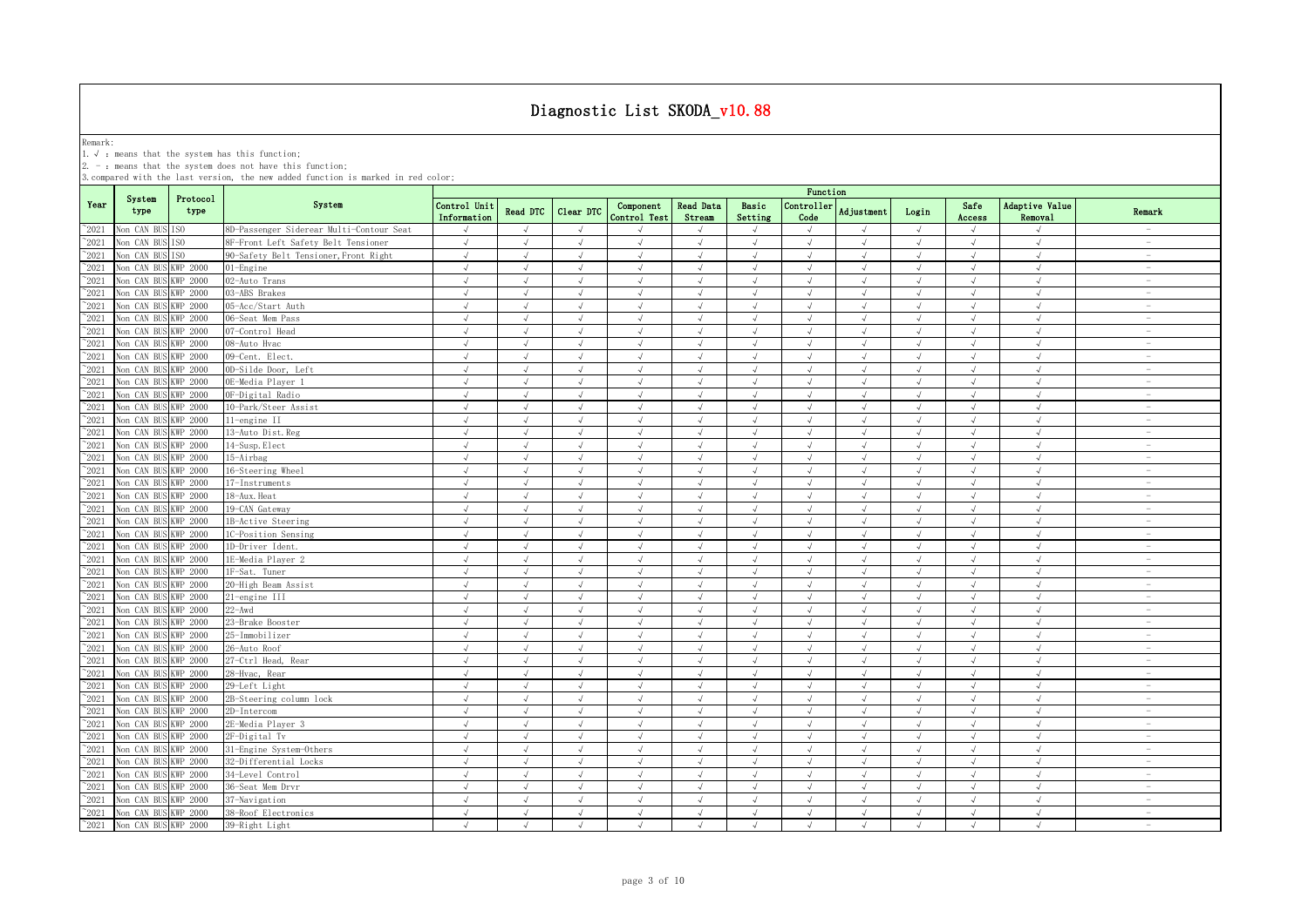Remark:<br>1.√ : means that the system has this function;<br>2. - : means that the system does not have this function;

|                |                      |                  |                                          |                             |            |                |                           |                            |                  | Function                    |            |            |                |                           |                                 |
|----------------|----------------------|------------------|------------------------------------------|-----------------------------|------------|----------------|---------------------------|----------------------------|------------------|-----------------------------|------------|------------|----------------|---------------------------|---------------------------------|
| Year           | System<br>type       | Protocol<br>type | System                                   | Control Unit<br>Information | Read DTC   | Clear DTC      | Component<br>Control Test | <b>Read Data</b><br>Stream | Basic<br>Setting | Controller<br>Code          | Adjustment | Login      | Safe<br>Access | Adaptive Value<br>Removal | Remark                          |
| $^{\sim}2021$  | Non CAN BUS ISO      |                  | 8D-Passenger Siderear Multi-Contour Seat | $\sqrt{ }$                  | $\sqrt{ }$ | $\sqrt{ }$     |                           | $\sqrt{ }$                 | $\sqrt{ }$       | $\sqrt{ }$                  | $\sqrt{ }$ | $\sqrt{ }$ | $\sqrt{ }$     | $\sqrt{ }$                |                                 |
| $^{\sim}2021$  | Non CAN BUS          | ISO.             | 8F-Front Left Safety Belt Tensioner      | $\sqrt{ }$                  | $\sqrt{ }$ | $\sqrt{ }$     | $\sqrt{ }$                | $\sqrt{ }$                 | $\sqrt{ }$       | $\sqrt{ }$                  | $\sqrt{ }$ | $\sqrt{ }$ | $\sqrt{ }$     | $\sqrt{ }$                | $\hspace{0.1mm}-\hspace{0.1mm}$ |
| $^{\sim}2021$  | Non CAN BUS          | ESO.             | 90-Safety Belt Tensioner, Front Right    | $\sqrt{ }$                  |            |                |                           | $\sqrt{ }$                 | $\sqrt{ }$       |                             |            |            | $\sqrt{ }$     | $\sqrt{ }$                | $\sim$                          |
| 2021           | Non CAN BUS          | KWP 2000         | 01-Engine                                | $\sqrt{ }$                  | $\sqrt{ }$ | $\sqrt{}$      | $\sqrt{ }$                | $\sqrt{ }$                 | $\sqrt{ }$       | $\sqrt{ }$                  | $\sqrt{}$  | $\sqrt{ }$ | $\sqrt{ }$     | $\sqrt{}$                 | $\hspace{0.1mm}-\hspace{0.1mm}$ |
| 2021           | Non CAN BUS          | KWP 2000         | 02-Auto Trans                            | $\sqrt{ }$                  |            | $\overline{u}$ |                           | $\sqrt{ }$                 | $\mathcal{A}$    |                             |            | $\sqrt{ }$ |                | $\sqrt{ }$                | $\sim$                          |
| 2021           | Non CAN BUS          | <b>KWP 2000</b>  | 03-ABS Brakes                            | $\sqrt{ }$                  | $\sqrt{ }$ | $\sqrt{ }$     |                           | $\sqrt{ }$                 | $\sqrt{ }$       | $\mathcal{N}_{\mathcal{N}}$ |            | $\sqrt{ }$ |                | $\sqrt{ }$                | $\overline{\phantom{a}}$        |
| $^{\sim}2021$  | Non CAN BUS          | KWP 2000         | 05-Acc/Start Auth                        | $\sqrt{ }$                  | $\sqrt{ }$ |                | $\sqrt{ }$                | $\sqrt{ }$                 | $\sqrt{ }$       |                             |            |            | $\sqrt{ }$     | $\sqrt{ }$                |                                 |
| $^{\sim}$ 2021 | Non CAN BUS          | <b>KWP 2000</b>  | 06-Seat Mem Pass                         | $\sqrt{ }$                  | $\sqrt{ }$ | $\sqrt{ }$     | $\sqrt{ }$                | $\sqrt{ }$                 | $\sqrt{ }$       | $\sqrt{ }$                  | J          | $\sqrt{ }$ | $\sqrt{ }$     | $\sqrt{ }$                |                                 |
| $^{\sim}$ 2021 | Non CAN BUS          | KWP 2000         | 07-Control Head                          | $\sqrt{ }$                  | $\sqrt{ }$ | $\sqrt{ }$     | $\sqrt{ }$                | $\sqrt{ }$                 | $\sqrt{ }$       | $\sqrt{ }$                  | $\sqrt{ }$ | $\sqrt{ }$ | $\sqrt{ }$     | $\sqrt{ }$                | $\sim$                          |
| $^{\sim}$ 2021 | Non CAN BUS          | <b>KWP 2000</b>  | 08-Auto Hvac                             | $\sqrt{2}$                  | $\sqrt{ }$ | $\sqrt{2}$     | $\sqrt{ }$                | $\sqrt{ }$                 | $\sqrt{ }$       | $\sqrt{ }$                  | $\sqrt{ }$ | $\sqrt{ }$ | $\sqrt{ }$     | $\sqrt{ }$                | $\sim$                          |
| $^{\sim}$ 2021 | Non CAN BUS          | <b>KWP 2000</b>  | 09-Cent. Elect.                          | $\sqrt{ }$                  | $\sqrt{ }$ | $\sqrt{ }$     | $\sqrt{ }$                | $\sqrt{ }$                 | $\sqrt{ }$       | $\sqrt{ }$                  | $\sqrt{ }$ | $\sqrt{ }$ | $\sqrt{ }$     | $\sqrt{ }$                | $\sim$                          |
| $^{\sim}$ 2021 | Von CAN BUS          | KWP 2000         | OD-Silde Door, Left                      | $\sqrt{ }$                  | $\sqrt{ }$ | $\sqrt{ }$     | $\sqrt{ }$                | $\sqrt{ }$                 | $\sqrt{ }$       | $\sqrt{ }$                  | $\sqrt{ }$ | $\sqrt{ }$ | $\sqrt{ }$     | $\sqrt{ }$                | $\sim$                          |
| $\degree$ 2021 | Non CAN BUS          | <b>KWP 2000</b>  | OE-Media Plaver 1                        | $\sqrt{ }$                  | $\sqrt{ }$ | $\sqrt{ }$     | $\sqrt{ }$                | $\sqrt{ }$                 | $\sqrt{ }$       | $\sqrt{ }$                  | $\sqrt{ }$ | $\sqrt{ }$ | $\sqrt{ }$     | $\sqrt{2}$                | $\overline{\phantom{a}}$        |
| $\degree$ 2021 | Non CAN BUS          | KWP 2000         | OF-Digital Radio                         | $\sqrt{ }$                  | $\sqrt{ }$ | $\sqrt{ }$     | $\sqrt{ }$                | $\sqrt{ }$                 | $\sqrt{ }$       | $\sqrt{ }$                  | $\sqrt{ }$ | $\sqrt{ }$ | $\sqrt{ }$     | $\sqrt{ }$                | $\overline{\phantom{a}}$        |
| $^{\sim}2021$  | Non CAN BUS          | KWP 2000         | 10-Park/Steer Assist                     | $\sqrt{ }$                  | $\sqrt{ }$ | $\sqrt{ }$     | $\sqrt{ }$                | $\sqrt{ }$                 | $\sqrt{ }$       | $\sqrt{ }$                  | $\sqrt{ }$ | $\sqrt{ }$ | $\sqrt{ }$     | $\sqrt{ }$                | $\overline{\phantom{a}}$        |
| $\degree$ 2021 | Von CAN BUS          | <b>KWP 2000</b>  | 11-engine II                             | $\sqrt{ }$                  | $\sqrt{ }$ | $\sqrt{ }$     | $\sqrt{ }$                | $\sqrt{ }$                 | $\sqrt{ }$       | $\sqrt{ }$                  | $\sqrt{ }$ | $\sqrt{ }$ | $\sqrt{ }$     | $\sqrt{ }$                | $\sim$                          |
| $^{\sim}2021$  | Non CAN BUS          | WP 2000          | 13-Auto Dist. Reg                        | $\sqrt{ }$                  | $\sqrt{ }$ | $\sqrt{ }$     | $\sqrt{ }$                | $\sqrt{ }$                 | $\sqrt{ }$       | $\sqrt{ }$                  | $\sqrt{ }$ | $\sqrt{ }$ | $\sqrt{ }$     | $\sqrt{ }$                | $\overline{\phantom{a}}$        |
| $^{\sim}2021$  | Non CAN BUS          | <b>KWP 2000</b>  | 14-Susp. Elect                           | $\sqrt{}$                   | $\sqrt{ }$ | $\sqrt{ }$     | $\sqrt{ }$                | $\sqrt{}$                  | $\sqrt{ }$       | $\sqrt{ }$                  | $\sqrt{ }$ | $\sqrt{}$  | $\sqrt{ }$     | $\sqrt{ }$                | $\sim$                          |
| $^{\sim}2021$  | Non CAN BUS          | WP 2000          | 15-Airbag                                | $\sqrt{ }$                  | $\sqrt{ }$ | $\sqrt{ }$     | $\sqrt{ }$                | $\sqrt{ }$                 | $\sqrt{ }$       | $\sqrt{ }$                  | $\sqrt{ }$ | $\sqrt{ }$ | $\sqrt{ }$     | $\sqrt{ }$                | $\sim$                          |
| 2021           | Non CAN BUS          | WP 2000          | 16-Steering Wheel                        | $\sqrt{ }$                  | $\sqrt{ }$ | $\mathcal{L}$  | $\cdot$                   | $\sqrt{ }$                 | $\sqrt{ }$       | $\mathcal{N}_{\mathcal{N}}$ | J          | $\sqrt{ }$ | $\sqrt{ }$     | $\sqrt{ }$                | $\sim$                          |
| 2021           | Non CAN BUS          | <b>KWP 2000</b>  | 17-Instruments                           | $\sqrt{ }$                  | $\sqrt{ }$ | $\sqrt{ }$     | $\sqrt{ }$                | $\sqrt{ }$                 | $\sqrt{ }$       | $\sqrt{ }$                  | $\sqrt{ }$ | $\sqrt{ }$ | $\sqrt{ }$     | $\sqrt{ }$                | $\overline{\phantom{a}}$        |
| 2021           | Non CAN BUS          | <b>KWP 2000</b>  | 18-Aux. Heat                             | $\sqrt{ }$                  | $\sqrt{ }$ | $\sqrt{ }$     | $\mathcal{L}$             | $\sqrt{ }$                 | $\sqrt{ }$       | $\sqrt{ }$                  | $\sqrt{}$  | $\sqrt{ }$ | $\sqrt{ }$     | $\sqrt{ }$                | $\overline{\phantom{a}}$        |
| 2021           | Von CAN BUS          | WP 2000          | 19-CAN Gateway                           | $\sqrt{ }$                  | $\sqrt{ }$ | $\sqrt{ }$     | $\sqrt{ }$                | $\sqrt{ }$                 | $\mathcal{A}$    | $\mathcal{N}_{\mathcal{N}}$ | J          | $\sqrt{ }$ | $\sqrt{ }$     | $\sqrt{ }$                | $\overline{\phantom{a}}$        |
| 2021           | Von CAN BUS          | <b>KWP 2000</b>  | 1B-Active Steering                       | $\sqrt{ }$                  | $\sqrt{ }$ | $\sqrt{ }$     | $\sqrt{ }$                | $\sqrt{ }$                 | $\sqrt{ }$       |                             | $\sqrt{ }$ | $\sqrt{ }$ | $\sqrt{ }$     | $\sqrt{ }$                | $\overline{\phantom{a}}$        |
| $^{\sim}$ 2021 | Non CAN BUS          | <b>KWP 2000</b>  | 1C-Position Sensing                      | $\sqrt{ }$                  | $\sqrt{ }$ | $\sqrt{ }$     | $\sqrt{ }$                | $\sqrt{ }$                 | $\sqrt{ }$       | $\sqrt{ }$                  | $\sqrt{ }$ | $\sqrt{ }$ | $\sqrt{ }$     | $\sqrt{ }$                | $\overline{\phantom{a}}$        |
| $\degree$ 2021 | Non CAN BUS          | KWP 2000         | 1D-Driver Ident.                         | $\sqrt{ }$                  | $\sqrt{ }$ | $\sqrt{ }$     | $\sqrt{ }$                | $\sqrt{ }$                 | $\sqrt{ }$       | $\sqrt{ }$                  | $\sqrt{ }$ | $\sqrt{ }$ | $\sqrt{ }$     | $\sqrt{ }$                | $\sim$                          |
| $^{\sim}$ 2021 | Non CAN BUS          | KWP 2000         | 1E-Media Player 2                        | $\sqrt{ }$                  | $\sqrt{ }$ | $\sqrt{2}$     | $\sqrt{ }$                | $\sqrt{ }$                 | $\sqrt{ }$       | $\sqrt{ }$                  | $\sqrt{ }$ | $\sqrt{ }$ | $\sqrt{ }$     | $\sqrt{ }$                | $\sim$                          |
| $\degree$ 2021 | Non CAN BUS          | <b>KWP 2000</b>  | 1F-Sat. Tuner                            | $\sqrt{ }$                  | $\sqrt{ }$ | $\sqrt{ }$     | $\sqrt{ }$                | $\sqrt{ }$                 | $\sqrt{ }$       | $\sqrt{ }$                  | $\sqrt{ }$ | $\sqrt{ }$ | $\sqrt{ }$     | $\sqrt{ }$                | $\overline{\phantom{a}}$        |
| $\degree$ 2021 | Non CAN BUS          | KWP 2000         | 20-High Beam Assist                      | $\sqrt{ }$                  | $\sqrt{ }$ | $\sqrt{ }$     | $\sqrt{ }$                | $\sqrt{ }$                 | $\sqrt{ }$       | $\sqrt{ }$                  | $\sqrt{ }$ | $\sqrt{ }$ | $\sqrt{ }$     | $\sqrt{ }$                | $\sim$                          |
| $^{\sim}2021$  | Non CAN BUS          | <b>KWP 2000</b>  | 21-engine III                            | $\sqrt{ }$                  | $\sqrt{ }$ | $\sqrt{ }$     | $\sqrt{ }$                | $\sqrt{ }$                 | $\sqrt{ }$       | $\sqrt{ }$                  | $\sqrt{ }$ | $\sqrt{ }$ | $\sqrt{ }$     | $\sqrt{ }$                | $\overline{\phantom{a}}$        |
| $\degree$ 2021 | Non CAN BUS          | KWP 2000         | $22 - Awd$                               | $\sqrt{ }$                  | $\sqrt{ }$ | $\sqrt{ }$     | $\sqrt{ }$                | $\sqrt{ }$                 | $\sqrt{ }$       | $\sqrt{ }$                  | $\sqrt{ }$ | $\sqrt{ }$ | $\sqrt{ }$     | $\sqrt{ }$                | $\overline{\phantom{a}}$        |
| $\degree$ 2021 | Non CAN BUS          | KWP 2000         | 23-Brake Booster                         | $\sqrt{ }$                  | $\sqrt{ }$ | $\sqrt{ }$     | $\sqrt{ }$                | $\sqrt{ }$                 | $\sqrt{ }$       | $\sqrt{ }$                  | $\sqrt{ }$ | $\sqrt{ }$ | $\sqrt{ }$     | $\sqrt{ }$                | $\overline{\phantom{a}}$        |
| $^{\sim}2021$  | Non CAN BUS          | KWP 2000         | 25-Immobilizer                           | $\sqrt{ }$                  | $\sqrt{ }$ | $\sqrt{ }$     | $\sqrt{ }$                | $\sqrt{ }$                 | $\sqrt{ }$       | $\sqrt{ }$                  | $\sqrt{ }$ | $\sqrt{ }$ | $\sqrt{ }$     | $\sqrt{ }$                | $\overline{\phantom{a}}$        |
| $^{\sim}2021$  | Non CAN BUS          | <b>KWP 2000</b>  | 26-Auto Roof                             | $\sqrt{ }$                  | $\sqrt{ }$ | $\sqrt{ }$     | $\sqrt{ }$                | $\sqrt{ }$                 | $\sqrt{ }$       | $\sqrt{ }$                  | $\sqrt{ }$ | $\sqrt{ }$ | $\sqrt{ }$     | $\sqrt{ }$                | $\hspace{0.1mm}-\hspace{0.1mm}$ |
| $\degree$ 2021 | Non CAN BUS          | <b>KWP 2000</b>  | 27-Ctrl Head, Rear                       | $\sqrt{ }$                  |            |                |                           | $\sqrt{ }$                 | $\sqrt{ }$       |                             |            |            | $\sqrt{ }$     | $\sqrt{ }$                | $\sim$                          |
| $^{\circ}2021$ | Non CAN BUS          | KWP 2000         | 28-Hvac, Rear                            | $\sqrt{2}$                  | $\sqrt{ }$ | $\sqrt{ }$     | $\sqrt{ }$                | $\sqrt{}$                  | $\sqrt{ }$       | $\sqrt{ }$                  | $\sqrt{ }$ | $\sqrt{ }$ | $\sqrt{ }$     | √                         | $\overline{\phantom{a}}$        |
| 2021           | Non CAN BUS          | <b>KWP 2000</b>  | 29-Left Light                            | $\sqrt{ }$                  |            |                |                           | $\sqrt{ }$                 | $\mathcal{A}$    |                             |            | $\sqrt{ }$ |                | $\cdot$                   | $\overline{\phantom{a}}$        |
| 2021           | Non CAN BUS          | <b>KWP 2000</b>  | 2B-Steering column lock                  | $\sqrt{ }$                  |            | $\sqrt{ }$     |                           | $\sqrt{ }$                 | $\sqrt{ }$       |                             |            | $\sqrt{ }$ |                | $\sqrt{ }$                | $\overline{\phantom{a}}$        |
| 2021           | Non CAN BUS          | KWP 2000         | 2D-Intercom                              | $\sqrt{ }$                  |            |                |                           | $\sqrt{ }$                 | $\sqrt{ }$       |                             |            |            |                | J                         | $\sim$                          |
| $^{\sim}$ 2021 | Non CAN BUS          | KWP 2000         | 2E-Media Player 3                        | $\sqrt{ }$                  | $\sqrt{ }$ | $\sqrt{ }$     | $\sqrt{ }$                | $\sqrt{ }$                 | $\sqrt{ }$       | $\sqrt{ }$                  | $\sqrt{ }$ | $\sqrt{ }$ | $\sqrt{ }$     | $\sqrt{ }$                |                                 |
| $\degree$ 2021 | Non CAN BUS          | KWP 2000         | 2F-Digital Tv                            | $\sqrt{ }$                  | $\sqrt{ }$ | $\sqrt{ }$     | $\sqrt{ }$                | $\sqrt{ }$                 | $\sqrt{ }$       | $\sqrt{ }$                  | $\sqrt{ }$ | $\sqrt{ }$ | $\sqrt{ }$     | $\sqrt{ }$                |                                 |
| $^{\sim}$ 2021 | Non CAN BUS          | <b>KWP 2000</b>  | 31-Engine System-Others                  | $\sqrt{ }$                  | $\sqrt{ }$ | $\sqrt{ }$     | $\sqrt{ }$                | $\sqrt{ }$                 | $\sqrt{ }$       | $\sqrt{ }$                  | $\sqrt{ }$ | $\sqrt{ }$ | $\sqrt{ }$     | $\sqrt{ }$                | $\sim$                          |
| $^{\sim}$ 2021 | Non CAN BUS          | <b>KWP 2000</b>  | 32-Differential Locks                    | $\sqrt{ }$                  | $\sqrt{ }$ | $\sqrt{ }$     | $\sqrt{ }$                | $\sqrt{ }$                 | $\sqrt{ }$       | $\sqrt{ }$                  | $\sqrt{ }$ | $\sqrt{ }$ | $\sqrt{ }$     | $\sqrt{2}$                | $\overline{\phantom{a}}$        |
| $^{\sim}$ 2021 | Non CAN BUS          | KWP 2000         | 34-Level Control                         | $\sqrt{ }$                  | $\sqrt{ }$ | $\sqrt{ }$     | $\sqrt{ }$                | $\sqrt{ }$                 | $\sqrt{ }$       | $\sqrt{ }$                  | $\sqrt{ }$ | $\sqrt{ }$ | $\sqrt{ }$     | $\sqrt{ }$                | $\sim$                          |
| $\degree$ 2021 | Non CAN BUS          | <b>KWP 2000</b>  | 36-Seat Mem Drvr                         | $\sqrt{ }$                  | $\sqrt{ }$ | $\sqrt{ }$     | $\sqrt{ }$                | $\sqrt{ }$                 | $\sqrt{ }$       | $\sqrt{ }$                  | $\sqrt{ }$ | $\sqrt{ }$ | $\sqrt{ }$     | $\sqrt{2}$                | $\overline{\phantom{a}}$        |
| $^{\sim}2021$  | Non CAN BUS          | <b>KWP 2000</b>  | 37-Navigation                            | $\sqrt{ }$                  | $\sqrt{ }$ | $\sqrt{ }$     | $\sqrt{ }$                | $\sqrt{ }$                 | $\sqrt{ }$       | $\sqrt{ }$                  | $\sqrt{ }$ | $\sqrt{ }$ | $\sqrt{ }$     | $\sqrt{ }$                | $\overline{\phantom{a}}$        |
| $^{\sim}$ 2021 | Non CAN BUS          | <b>KWP 2000</b>  | 38-Roof Electronics                      | $\sqrt{ }$                  | $\sqrt{ }$ | $\sqrt{ }$     | $\sqrt{ }$                | $\sqrt{ }$                 | $\sqrt{ }$       | $\sqrt{ }$                  | $\sqrt{ }$ | $\sqrt{ }$ | $\sqrt{ }$     | $\sqrt{ }$                | $\overline{\phantom{a}}$        |
| $^{\sim}$ 2021 | Non CAN BUS KWP 2000 |                  | 39-Right Light                           | $\sqrt{ }$                  | $\sqrt{ }$ | $\sqrt{ }$     | $\sqrt{ }$                | $\sqrt{ }$                 | $\sqrt{ }$       | $\sqrt{ }$                  | $\sqrt{ }$ | $\sqrt{ }$ | $\sqrt{ }$     | $\sqrt{ }$                | $\overline{\phantom{a}}$        |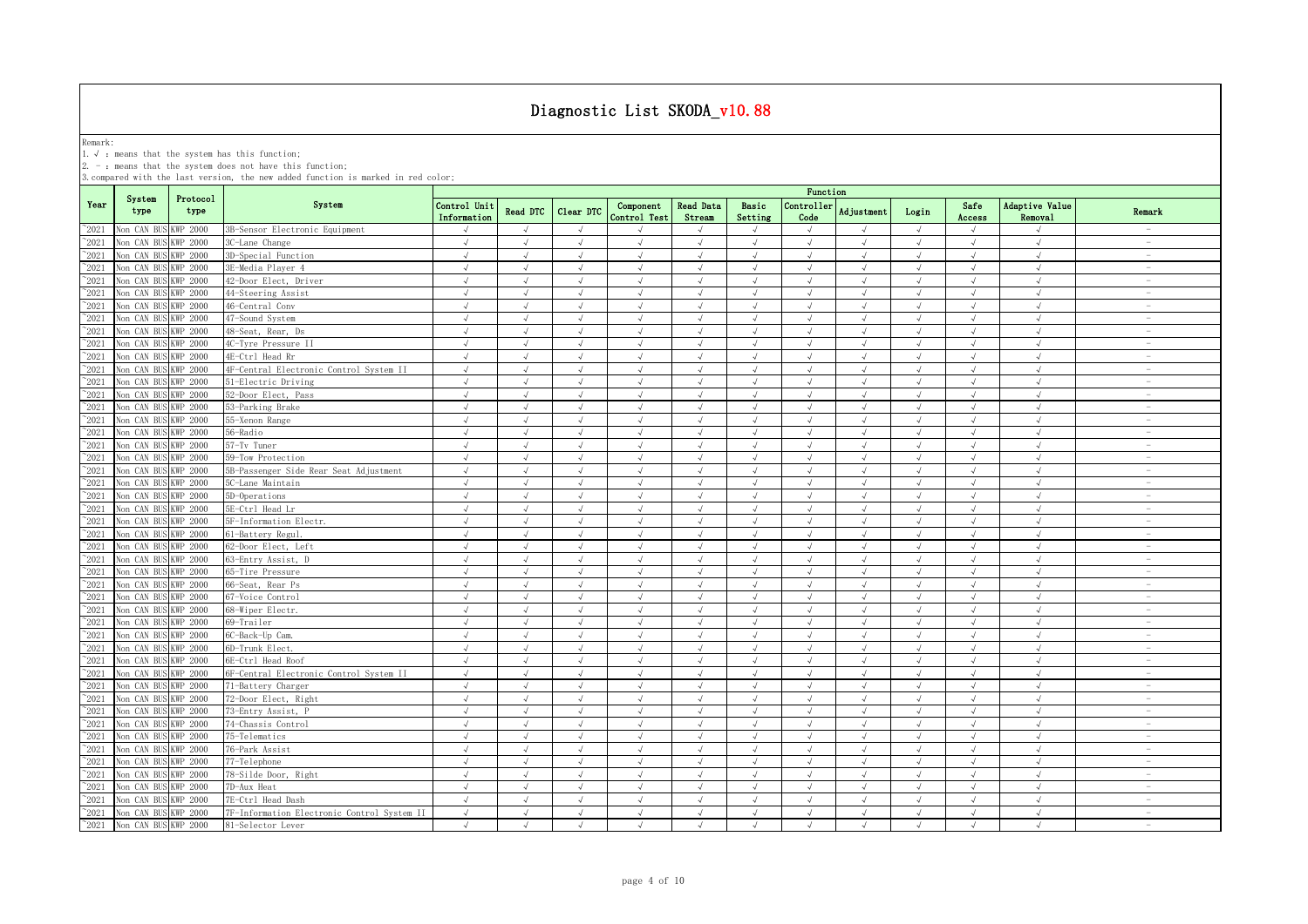Remark:<br>1.√ : means that the system has this function;<br>2. - : means that the system does not have this function;

|                |                      |                  |                                             |                             |               |                |                           |                            |                  | Function           |                |            |                |                           |                                 |
|----------------|----------------------|------------------|---------------------------------------------|-----------------------------|---------------|----------------|---------------------------|----------------------------|------------------|--------------------|----------------|------------|----------------|---------------------------|---------------------------------|
| Year           | System<br>type       | Protocol<br>type | System                                      | Control Unit<br>Information | Read DTC      | Clear DTC      | Component<br>Control Test | <b>Read Data</b><br>Stream | Basic<br>Setting | Controller<br>Code | Adjustment     | Login      | Safe<br>Access | Adaptive Value<br>Removal | Remark                          |
| $^{\sim}2021$  | Non CAN BUS KWP 2000 |                  | 3B-Sensor Electronic Equipment              | $\sqrt{}$                   | $\sqrt{ }$    | $\sqrt{ }$     |                           | $\sqrt{ }$                 | $\sqrt{ }$       | $\sqrt{ }$         | $\sqrt{ }$     | $\sqrt{}$  | $\sqrt{ }$     | J                         |                                 |
| $\degree$ 2021 | Non CAN BUS KWP 2000 |                  | 3C-Lane Change                              | $\sqrt{ }$                  | $\sqrt{ }$    | $\sqrt{ }$     | $\sqrt{ }$                | $\sqrt{ }$                 | $\sqrt{ }$       | $\sqrt{ }$         | $\sqrt{ }$     | $\sqrt{ }$ | $\sqrt{ }$     | $\sqrt{ }$                | $\sim$                          |
| $^{\sim}2021$  | Non CAN BUS          | KWP 2000         | 3D-Special Function                         | $\sqrt{ }$                  | $\mathcal{L}$ | $\sqrt{ }$     | $\mathcal{L}$             | $\sqrt{ }$                 | $\sqrt{ }$       | $\sqrt{ }$         | J              | $\sqrt{ }$ | $\sqrt{ }$     | $\sqrt{ }$                | $\overline{\phantom{a}}$        |
| $^{\sim}2021$  | Non CAN BUS          | KWP 2000         | 3E-Media Plaver 4                           | $\sqrt{ }$                  | $\sqrt{ }$    | $\sqrt{ }$     | $\sqrt{ }$                | $\sqrt{ }$                 | $\sqrt{ }$       | $\sqrt{ }$         | $\sqrt{ }$     | $\sqrt{ }$ | $\sqrt{ }$     | $\sqrt{ }$                | $\overline{\phantom{a}}$        |
| $^{\sim}$ 2021 | Non CAN BUS KWP 2000 |                  | 42-Door Elect, Driver                       | $\sqrt{ }$                  | $\sqrt{ }$    | $\sqrt{ }$     | $\sqrt{ }$                | $\sqrt{ }$                 | $\sqrt{ }$       | $\sqrt{ }$         | J              | $\sqrt{ }$ | $\sqrt{ }$     | $\sqrt{ }$                |                                 |
| $^{\sim}$ 2021 | Non CAN BUS KWP 2000 |                  | 44-Steering Assist                          | $\sqrt{ }$                  | $\sqrt{ }$    | $\sqrt{ }$     | $\sqrt{ }$                | $\sqrt{ }$                 | $\sqrt{ }$       | $\sqrt{ }$         | $\sqrt{ }$     | $\sqrt{ }$ | $\sqrt{ }$     | $\sqrt{ }$                |                                 |
| $^{\sim}$ 2021 | Non CAN BUS KWP 2000 |                  | 46-Central Conv                             | $\sqrt{ }$                  | $\sqrt{ }$    | $\mathcal{A}$  | $\sqrt{ }$                | $\sqrt{ }$                 | $\sqrt{ }$       | $\sqrt{ }$         | $\sqrt{ }$     | $\sqrt{ }$ | $\sqrt{ }$     | $\sqrt{ }$                | $\sim$                          |
| $^{\sim}2021$  | Non CAN BUS          | KWP 2000         | 47-Sound System                             | $\sqrt{ }$                  | $\sqrt{ }$    | $\sqrt{ }$     | $\sqrt{ }$                | $\sqrt{ }$                 | $\sqrt{ }$       | $\sqrt{ }$         | $\sqrt{ }$     | $\sqrt{ }$ | $\sqrt{ }$     | $\sqrt{ }$                | $\sim$                          |
| $^{\sim}$ 2021 | Non CAN BUS KWP 2000 |                  | 48-Seat, Rear, Ds                           | $\sqrt{ }$                  | $\sqrt{ }$    | $\sqrt{ }$     | $\sqrt{ }$                | $\sqrt{ }$                 | $\sqrt{ }$       | $\sqrt{ }$         | $\sqrt{ }$     | $\sqrt{ }$ | $\sqrt{ }$     | $\sqrt{ }$                | $\hspace{0.1mm}-\hspace{0.1mm}$ |
| $^{\sim}2021$  | Non CAN BUS KWP 2000 |                  | 4C-Tyre Pressure II                         | $\sqrt{ }$                  | $\sqrt{ }$    | $\sqrt{ }$     | $\sqrt{ }$                | $\sqrt{ }$                 | $\sqrt{ }$       | $\sqrt{ }$         | $\sqrt{ }$     | $\sqrt{ }$ | $\sqrt{ }$     | $\sqrt{ }$                | $\sim$                          |
| $^{\sim}$ 2021 | Non CAN BUS KWP 2000 |                  | 4E-Ctrl Head Rr                             | $\sqrt{ }$                  | $\sqrt{ }$    | $\sqrt{ }$     | $\sqrt{ }$                | $\sqrt{ }$                 | $\sqrt{ }$       | $\sqrt{ }$         | $\sqrt{ }$     | $\sqrt{ }$ | $\sqrt{ }$     | $\sqrt{ }$                | $\sim$                          |
| $^{\sim}$ 2021 | Non CAN BUS KWP 2000 |                  | 4F-Central Electronic Control System II     | $\sqrt{ }$                  | $\sqrt{ }$    | $\sqrt{ }$     | $\sqrt{ }$                | $\sqrt{ }$                 | $\sqrt{ }$       | $\sqrt{ }$         | $\sqrt{ }$     | $\sqrt{ }$ | $\sqrt{ }$     | $\sqrt{ }$                | $\sim$                          |
| $^{\sim}2021$  | Non CAN BUS KWP 2000 |                  | 51-Electric Driving                         | $\sqrt{ }$                  | $\sqrt{ }$    | $\sqrt{ }$     | $\sqrt{ }$                | $\sqrt{ }$                 | $\sqrt{ }$       | $\sqrt{ }$         | $\sqrt{ }$     | $\sqrt{ }$ | $\sqrt{ }$     | $\sqrt{ }$                | $\sim$                          |
| $\degree$ 2021 | Non CAN BUS KWP 2000 |                  | 52-Door Elect, Pass                         | $\sqrt{ }$                  | $\sqrt{ }$    | $\sqrt{ }$     | $\sqrt{ }$                | $\sqrt{ }$                 | $\sqrt{ }$       | $\sqrt{ }$         | $\sqrt{ }$     | $\sqrt{ }$ | $\sqrt{ }$     | $\sqrt{ }$                | $\overline{\phantom{a}}$        |
| $^{\sim}$ 2021 | Non CAN BUS KWP 2000 |                  | 53-Parking Brake                            | $\sqrt{ }$                  | $\sqrt{ }$    | $\sqrt{ }$     | $\sqrt{ }$                | $\sqrt{ }$                 | $\sqrt{ }$       | $\sqrt{ }$         | $\sqrt{ }$     | $\sqrt{ }$ | $\sqrt{ }$     | $\sqrt{ }$                | $\sim$                          |
| $^{\sim}$ 2021 | Non CAN BUS KWP 2000 |                  | 55-Xenon Range                              | $\sqrt{ }$                  | $\sqrt{ }$    | $\sqrt{ }$     | $\sqrt{ }$                | $\sqrt{ }$                 | $\sqrt{ }$       | $\sqrt{ }$         | $\sqrt{ }$     | $\sqrt{ }$ | $\sqrt{ }$     | $\sqrt{ }$                | $\sim$                          |
| $\degree$ 2021 | Non CAN BUS KWP 2000 |                  | 56-Radio                                    | $\sqrt{ }$                  | $\sqrt{ }$    | $\sqrt{ }$     | $\sqrt{ }$                | $\sqrt{ }$                 | $\sqrt{ }$       | $\sqrt{ }$         | $\sqrt{ }$     | $\sqrt{ }$ | $\sqrt{}$      | $\sqrt{ }$                | $\sim$                          |
| $^{\sim}2021$  | Non CAN BUS KWP 2000 |                  | 57-Tv Tuner                                 | $\sqrt{ }$                  | $\sqrt{ }$    | $\sqrt{ }$     | $\sqrt{ }$                | $\sqrt{ }$                 | $\sqrt{ }$       | $\sqrt{ }$         | $\sqrt{ }$     | $\sqrt{ }$ | $\sqrt{ }$     | $\sqrt{}$                 | $\sim$                          |
| $^{\sim}$ 2021 | Non CAN BUS KWP 2000 |                  | 59-Tow Protection                           | $\sqrt{ }$                  | $\sqrt{ }$    | $\sqrt{ }$     | $\sqrt{ }$                | $\sqrt{ }$                 | $\sqrt{ }$       | $\sqrt{ }$         | $\sqrt{ }$     | $\sqrt{ }$ | $\sqrt{ }$     | $\sqrt{ }$                | $\hspace{0.1mm}-\hspace{0.1mm}$ |
| $^{\sim}2021$  | Non CAN BUS KWP 2000 |                  | 5B-Passenger Side Rear Seat Adjustment      | $\sqrt{ }$                  | $\mathcal{L}$ | $\sqrt{ }$     | $\mathcal{L}$             | $\sqrt{ }$                 | $\sqrt{ }$       | $\sqrt{ }$         | $\overline{u}$ | $\sqrt{ }$ | $\sqrt{ }$     | $\sqrt{ }$                | $\overline{\phantom{a}}$        |
| $^{\sim}2021$  | Non CAN BUS KWP 2000 |                  | 5C-Lane Maintain                            | $\sqrt{ }$                  | $\sqrt{ }$    | $\sqrt{2}$     | $\sqrt{ }$                | $\sqrt{ }$                 | $\sqrt{ }$       | $\sqrt{ }$         | $\sqrt{ }$     | $\sqrt{ }$ | $\sqrt{ }$     | $\sqrt{2}$                | $\sim$                          |
| $^{\circ}2021$ | Non CAN BUS KWP 2000 |                  | 5D-Operations                               | $\sqrt{ }$                  | $\sqrt{ }$    | $\overline{u}$ | $\sqrt{ }$                | $\sqrt{ }$                 | $\mathcal{N}$    | $\cdot$            |                | $\sqrt{ }$ | $\sqrt{ }$     | $\sqrt{ }$                | $\sim$                          |
| $^{\sim}$ 2021 | Non CAN BUS KWP 2000 |                  | 5E-Ctrl Head Lr                             | $\sqrt{ }$                  | $\sqrt{ }$    |                | $\sqrt{ }$                | $\sqrt{ }$                 | $\sqrt{ }$       |                    |                |            |                | $\sqrt{ }$                | $\overline{\phantom{a}}$        |
| $^{\sim}$ 2021 | Non CAN BUS KWP 2000 |                  | 5F-Information Electr.                      | $\sqrt{ }$                  | $\sqrt{ }$    | $\sqrt{ }$     | $\sqrt{ }$                | $\sqrt{ }$                 | $\sqrt{ }$       | $\sqrt{ }$         | $\sqrt{ }$     | $\sqrt{ }$ | $\sqrt{ }$     | $\sqrt{ }$                | $\sim$                          |
| $^{\sim}$ 2021 | Non CAN BUS KWP 2000 |                  | 61-Battery Regul.                           | $\sqrt{ }$                  | $\sqrt{ }$    | $\sqrt{ }$     | $\sqrt{ }$                | $\sqrt{ }$                 | $\sqrt{ }$       | $\sqrt{ }$         | $\sqrt{ }$     | $\sqrt{ }$ | $\sqrt{ }$     | $\sqrt{ }$                | $\sim$                          |
| $^{\sim}$ 2021 | Non CAN BUS KWP 2000 |                  | 62-Door Elect, Left                         | $\sqrt{ }$                  | $\sqrt{ }$    | $\sqrt{ }$     | $\sqrt{ }$                | $\sqrt{ }$                 | $\sqrt{ }$       | $\sqrt{ }$         | $\sqrt{ }$     | $\sqrt{ }$ | $\sqrt{ }$     | $\sqrt{ }$                | $\sim$                          |
| $^{\sim}$ 2021 | Non CAN BUS KWP 2000 |                  | 63-Entry Assist, D                          | $\sqrt{ }$                  | $\sqrt{ }$    | $\sqrt{ }$     | $\sqrt{ }$                | $\sqrt{ }$                 | $\sqrt{ }$       | $\sqrt{ }$         | $\sqrt{ }$     | $\sqrt{ }$ | $\sqrt{ }$     | $\sqrt{ }$                | $\sim$                          |
| $^{\sim}$ 2021 | Non CAN BUS KWP 2000 |                  | 65-Tire Pressure                            | $\sqrt{ }$                  | $\sqrt{ }$    | $\sqrt{ }$     | $\sqrt{ }$                | $\sqrt{ }$                 | $\sqrt{ }$       | $\sqrt{ }$         | $\sqrt{ }$     | $\sqrt{ }$ | $\sqrt{ }$     | $\sqrt{ }$                | $\sim$                          |
| $^{\sim}$ 2021 | Non CAN BUS KWP 2000 |                  | 66-Seat, Rear Ps                            | $\sqrt{ }$                  | $\sqrt{ }$    | $\sqrt{ }$     | $\sqrt{ }$                | $\sqrt{ }$                 | $\sqrt{ }$       | $\sqrt{ }$         | $\sqrt{ }$     | $\sqrt{ }$ | $\sqrt{ }$     | $\sqrt{ }$                | $\sim$                          |
| $^{\sim}$ 2021 | Non CAN BUS KWP 2000 |                  | 67-Voice Control                            | $\sqrt{ }$                  | $\sqrt{ }$    | $\sqrt{ }$     | $\sqrt{ }$                | $\sqrt{ }$                 | $\sqrt{ }$       | $\sqrt{ }$         | $\sqrt{ }$     | $\sqrt{ }$ | $\sqrt{ }$     | $\sqrt{ }$                | $\sim$                          |
| $\degree$ 2021 | Non CAN BUS KWP 2000 |                  | 68-Wiper Electr.                            | $\sqrt{ }$                  | $\sqrt{ }$    | $\sqrt{ }$     | $\sqrt{ }$                | $\sqrt{ }$                 | $\sqrt{ }$       | $\sqrt{ }$         | $\sqrt{ }$     | $\sqrt{ }$ | $\sqrt{ }$     | $\sqrt{ }$                | $\overline{\phantom{a}}$        |
| $^{\sim}$ 2021 | Non CAN BUS KWP 2000 |                  | 69-Trailer                                  | $\sqrt{ }$                  | $\sqrt{ }$    | $\sqrt{ }$     | $\sqrt{ }$                | $\sqrt{ }$                 | $\sqrt{ }$       | $\sqrt{ }$         | $\sqrt{ }$     | $\sqrt{ }$ | $\sqrt{ }$     | $\sqrt{ }$                | $\sim$                          |
| $^{\sim}$ 2021 | Non CAN BUS KWP 2000 |                  | 6C-Back-Up Cam.                             | $\sqrt{ }$                  | $\sqrt{ }$    | $\sqrt{ }$     | $\sqrt{ }$                | $\sqrt{ }$                 | $\sqrt{ }$       | $\sqrt{ }$         | $\sqrt{ }$     | $\sqrt{ }$ | $\sqrt{ }$     | $\sqrt{ }$                | $\overline{\phantom{a}}$        |
| $^{\sim}$ 2021 | Von CAN BUS KWP 2000 |                  | 6D-Trunk Elect.                             | $\sqrt{ }$                  | $\sqrt{ }$    | $\sqrt{ }$     | $\sqrt{ }$                | $\sqrt{ }$                 | $\sqrt{ }$       | $\sqrt{ }$         | $\sqrt{ }$     | $\sqrt{ }$ | $\sqrt{ }$     | $\sqrt{ }$                | $\sim$                          |
| $\degree$ 2021 | Non CAN BUS KWP 2000 |                  | 6E-Ctrl Head Roof                           | $\sqrt{ }$                  | $\sqrt{ }$    | $\sqrt{ }$     | $\sqrt{ }$                | $\sqrt{ }$                 | $\sqrt{ }$       | $\sqrt{ }$         | $\sqrt{ }$     | $\sqrt{ }$ | $\sqrt{ }$     | $\sqrt{ }$                | $\sim$                          |
| $^{\sim}2021$  | Non CAN BUS KWP 2000 |                  | 6F-Central Electronic Control System II     | $\sqrt{ }$                  | $\sqrt{ }$    | $\sqrt{ }$     | $\sqrt{ }$                | $\sqrt{ }$                 | $\sqrt{ }$       | $\sqrt{ }$         | $\sqrt{ }$     | $\sqrt{ }$ | $\sqrt{ }$     | $\sqrt{ }$                | $\sim$                          |
| $^{\sim}2021$  | Non CAN BUS KWP 2000 |                  | 71-Battery Charger                          | $\sqrt{ }$                  | $\sqrt{ }$    | $\sqrt{ }$     | $\sqrt{ }$                | $\sqrt{ }$                 | $\sqrt{ }$       | $\sqrt{ }$         | $\sqrt{ }$     | $\sqrt{ }$ | $\sqrt{ }$     | $\sqrt{ }$                | $\sim$                          |
| $\degree$ 2021 | Non CAN BUS KWP 2000 |                  | 72-Door Elect, Right                        | $\sqrt{2}$                  | $\sqrt{ }$    | $\sqrt{2}$     | $\sqrt{ }$                | $\sqrt{ }$                 | $\sqrt{ }$       | $\sqrt{ }$         | $\sqrt{ }$     | $\sqrt{ }$ | $\sqrt{ }$     | $\sqrt{2}$                | $\sim$                          |
| $^{\circ}2021$ | Non CAN BUS KWP 2000 |                  | 73-Entry Assist, P                          | $\sqrt{ }$                  | $\sqrt{ }$    | $\sqrt{ }$     | $\sqrt{ }$                | $\sqrt{}$                  | $\sqrt{ }$       | $\sqrt{ }$         | $\sqrt{ }$     | $\sqrt{ }$ | $\sqrt{ }$     | $\sqrt{ }$                | $\sim$                          |
| $^{\sim}$ 2021 | Non CAN BUS I        | KWP 2000         | 74-Chassis Control                          | $\sqrt{ }$                  | $\sqrt{ }$    | $\sqrt{ }$     | $\sqrt{ }$                | $\sqrt{ }$                 | $\sqrt{ }$       | $\sqrt{ }$         |                | $\sqrt{ }$ | $\sqrt{ }$     | $\sqrt{ }$                | $\overline{\phantom{m}}$        |
| $^{\sim}$ 2021 | Non CAN BUS KWP 2000 |                  | 75-Telematics                               | $\sqrt{ }$                  | $\sqrt{ }$    | $\sqrt{ }$     | $\sqrt{ }$                | $\sqrt{ }$                 | $\sqrt{ }$       | $\mathcal{A}$      | J              | $\sqrt{ }$ | $\sqrt{ }$     | $\sqrt{ }$                | $\overline{\phantom{a}}$        |
| $^{\sim}2021$  | Non CAN BUS KWP 2000 |                  | 76-Park Assist                              | $\sqrt{ }$                  | $\sqrt{ }$    | $\sqrt{ }$     | $\sqrt{ }$                | $\sqrt{ }$                 | $\sqrt{ }$       | $\sqrt{ }$         | $\sqrt{ }$     | $\sqrt{ }$ | $\sqrt{ }$     | $\sqrt{ }$                | $\overline{\phantom{0}}$        |
| $^{\sim}$ 2021 | Non CAN BUS KWP 2000 |                  | 77-Telephone                                | $\sqrt{ }$                  | $\sqrt{ }$    | $\sqrt{ }$     | $\sqrt{ }$                | $\sqrt{ }$                 | $\sqrt{ }$       | $\sqrt{ }$         | $\sqrt{ }$     | $\sqrt{ }$ | $\sqrt{ }$     | $\sqrt{ }$                | $\sim$                          |
| $^{\sim}2021$  | Non CAN BUS KWP 2000 |                  | 78-Silde Door, Right                        | $\sqrt{ }$                  | $\sqrt{ }$    | $\sqrt{ }$     | $\sqrt{ }$                | $\sqrt{ }$                 | $\sqrt{ }$       | $\sqrt{ }$         | $\sqrt{ }$     | $\sqrt{ }$ | $\sqrt{ }$     | $\sqrt{ }$                | $\overline{\phantom{a}}$        |
| $^{\sim}$ 2021 | Non CAN BUS KWP 2000 |                  | 7D-Aux Heat                                 | $\sqrt{ }$                  | $\sqrt{ }$    | $\sqrt{ }$     | $\sqrt{ }$                | $\sqrt{ }$                 | $\sqrt{ }$       | $\sqrt{ }$         | $\sqrt{ }$     | $\sqrt{ }$ | $\sqrt{ }$     | $\sqrt{ }$                | $\hspace{0.1mm}-\hspace{0.1mm}$ |
| $^{\sim}2021$  | Non CAN BUS KWP 2000 |                  | 7E-Ctrl Head Dash                           | $\sqrt{ }$                  | $\sqrt{ }$    | $\sqrt{ }$     | $\sqrt{ }$                | $\sqrt{ }$                 | $\sqrt{ }$       | $\sqrt{ }$         | $\sqrt{ }$     | $\sqrt{ }$ | $\sqrt{ }$     | $\sqrt{ }$                | $\sim$                          |
| $^{\sim}$ 2021 | Non CAN BUS KWP 2000 |                  | 7F-Information Electronic Control System II | $\sqrt{ }$                  | $\sqrt{ }$    | $\sqrt{ }$     | $\sqrt{ }$                | $\sqrt{ }$                 | $\sqrt{ }$       | $\sqrt{ }$         | $\sqrt{ }$     | $\sqrt{ }$ | $\sqrt{ }$     | $\sqrt{ }$                | $\sim$                          |
| $^{\sim}$ 2021 | Non CAN BUS KWP 2000 |                  | 81-Selector Lever                           | $\sqrt{ }$                  | $\sqrt{ }$    | $\sqrt{ }$     | $\mathcal{L}$             | $\sqrt{ }$                 | $\sqrt{ }$       | $\sqrt{ }$         | $\sqrt{ }$     | $\sqrt{ }$ | $\sqrt{ }$     | $\sqrt{ }$                | $\sim$                          |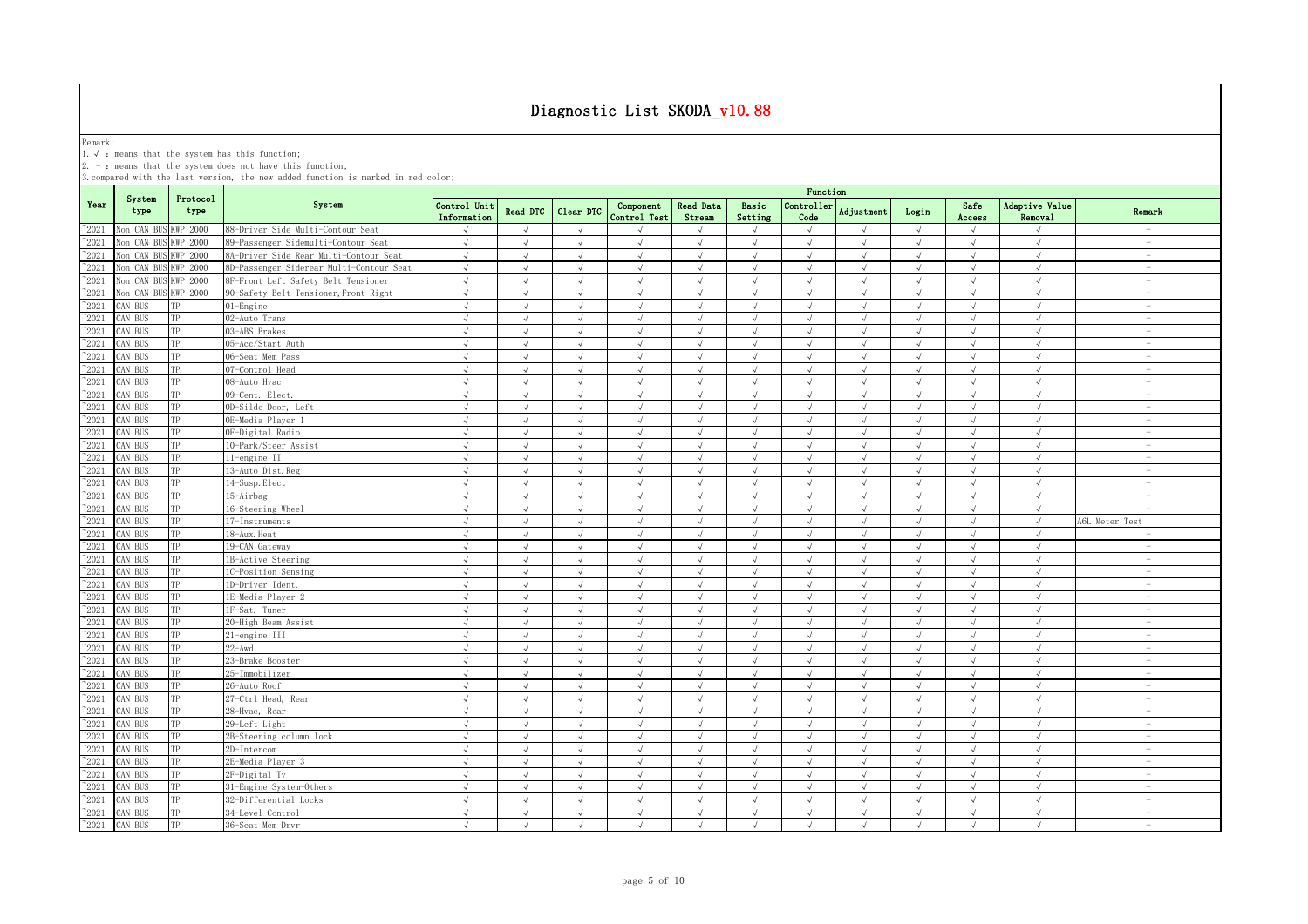Remark:<br>1.√ : means that the system has this function;<br>2. - : means that the system does not have this function;

|                |                |                  |                                          |                             |                |            |                           |                            |                  | Function           |                |            |                |                           |                                 |
|----------------|----------------|------------------|------------------------------------------|-----------------------------|----------------|------------|---------------------------|----------------------------|------------------|--------------------|----------------|------------|----------------|---------------------------|---------------------------------|
| Year           | System<br>type | Protocol<br>type | System                                   | Control Unit<br>Information | Read DTC       | Clear DTC  | Component<br>Control Test | <b>Read Data</b><br>Stream | Basic<br>Setting | Controller<br>Code | Adjustment     | Login      | Safe<br>Access | Adaptive Value<br>Removal | Remark                          |
| $^{\sim}2021$  | Non CAN BUS    | <b>KWP 2000</b>  | 88-Driver Side Multi-Contour Seat        | $\sqrt{}$                   | $\sqrt{ }$     | $\sqrt{ }$ |                           | $\sqrt{}$                  | $\sqrt{ }$       | $\sqrt{ }$         | $\sqrt{ }$     | $\sqrt{}$  | $\sqrt{ }$     | $\sqrt{ }$                | <b>Service</b>                  |
| 2021           | Non CAN BUS    | WP 2000          | 89-Passenger Sidemulti-Contour Seat      | $\sqrt{ }$                  | $\sqrt{ }$     | $\sqrt{ }$ | $\sqrt{ }$                | $\sqrt{ }$                 | $\sqrt{ }$       | $\sqrt{ }$         | $\sqrt{ }$     | $\sqrt{ }$ | $\sqrt{ }$     | $\sqrt{ }$                | $\hspace{0.1mm}-\hspace{0.1mm}$ |
| 2021           | Non CAN BUS    | <b>KWP 2000</b>  | 8A-Driver Side Rear Multi-Contour Seat   | $\sqrt{ }$                  | $\overline{ }$ | $\sqrt{ }$ | $\mathcal{L}$             | $\sqrt{ }$                 | $\sqrt{ }$       | $\sqrt{ }$         | $\sqrt{ }$     | $\sqrt{ }$ | $\sqrt{ }$     | $\sqrt{ }$                | $\hspace{0.1mm}-\hspace{0.1mm}$ |
| 2021           | Non CAN BUS    | <b>KWP 2000</b>  | 8D-Passenger Siderear Multi-Contour Seat | $\sqrt{ }$                  | $\sqrt{ }$     | $\sqrt{ }$ | $\sqrt{ }$                | $\sqrt{ }$                 | $\sqrt{ }$       | $\sqrt{ }$         | $\sqrt{ }$     | $\sqrt{ }$ | $\sqrt{ }$     | $\sqrt{ }$                | $\overline{\phantom{a}}$        |
| 2021           | Non CAN BUS    | <b>KWP 2000</b>  | 8F-Front Left Safety Belt Tensioner      | $\sqrt{ }$                  |                |            | $\sqrt{ }$                | $\sqrt{ }$                 | $\mathcal{A}$    |                    | $\overline{v}$ | $\sqrt{ }$ | $\sqrt{ }$     | $\sqrt{ }$                | $\overline{\phantom{a}}$        |
| $^{\sim}2021$  | Non CAN BUS    | <b>KWP 2000</b>  | 90-Safety Belt Tensioner, Front Right    | $\sqrt{ }$                  | $\sqrt{ }$     | $\sqrt{ }$ | $\sqrt{ }$                | $\sqrt{ }$                 | $\sqrt{ }$       | $\sqrt{ }$         | $\sqrt{ }$     | $\sqrt{ }$ | $\sqrt{ }$     | $\sqrt{ }$                | $\overline{\phantom{a}}$        |
| $^{\sim}2021$  | CAN BUS        | TР               | 01-Engine                                | $\sqrt{ }$                  | $\sqrt{ }$     | $\sqrt{ }$ | $\sqrt{ }$                | $\sqrt{ }$                 | $\sqrt{ }$       | $\sqrt{ }$         | $\sqrt{ }$     | $\sqrt{ }$ | $\sqrt{ }$     | $\sqrt{ }$                | $\sim$                          |
| $^{\sim}$ 2021 | CAN BUS        | TP               | 02-Auto Trans                            | $\sqrt{ }$                  | $\sqrt{ }$     | $\sqrt{ }$ | $\sqrt{ }$                | $\sqrt{ }$                 | $\sqrt{ }$       | $\sqrt{ }$         | $\sqrt{ }$     | $\sqrt{ }$ | $\sqrt{ }$     | $\sqrt{ }$                | $\overline{\phantom{a}}$        |
| $^{\sim}$ 2021 | CAN BUS        | TP               | 03-ABS Brakes                            | $\sqrt{ }$                  | $\sqrt{ }$     | $\sqrt{ }$ | $\sqrt{ }$                | $\sqrt{ }$                 | $\sqrt{ }$       | $\sqrt{ }$         | $\sqrt{ }$     | $\sqrt{ }$ | $\sqrt{ }$     | $\sqrt{ }$                | $\sim$                          |
| $^{\sim}$ 2021 | CAN BUS        | TP               | 05-Acc/Start Auth                        | $\sqrt{ }$                  | $\sqrt{ }$     | $\sqrt{ }$ | $\sqrt{ }$                | $\sqrt{ }$                 | $\sqrt{ }$       | $\sqrt{ }$         | $\sqrt{ }$     | $\sqrt{ }$ | $\sqrt{ }$     | $\sqrt{ }$                | $\hspace{0.1mm}-\hspace{0.1mm}$ |
| $^{\sim}$ 2021 | AN BUS         | TP               | 06-Seat Mem Pass                         | $\sqrt{ }$                  | $\sqrt{ }$     | $\sqrt{ }$ | $\sqrt{ }$                | $\sqrt{ }$                 | $\sqrt{ }$       | $\sqrt{ }$         | $\sqrt{ }$     | $\sqrt{ }$ | $\sqrt{ }$     | $\sqrt{ }$                | $\overline{\phantom{a}}$        |
| $^{\sim}$ 2021 | CAN BUS        | TP               | 07-Control Head                          | $\sqrt{ }$                  | $\sqrt{ }$     | $\sqrt{ }$ | $\sqrt{ }$                | $\sqrt{ }$                 | $\sqrt{ }$       | $\sqrt{ }$         | $\sqrt{ }$     | $\sqrt{ }$ | $\sqrt{ }$     | $\sqrt{ }$                | $\overline{\phantom{a}}$        |
| $\degree$ 2021 | CAN BUS        | TP               | 08-Auto Hvac                             | $\sqrt{ }$                  | $\sqrt{ }$     | $\sqrt{ }$ | $\sqrt{ }$                | $\sqrt{ }$                 | $\sqrt{ }$       | $\sqrt{ }$         | $\sqrt{ }$     | $\sqrt{ }$ | $\sqrt{ }$     | $\sqrt{ }$                | $\sim$                          |
| $^{\sim}2021$  | CAN BUS        | TP               | 09-Cent. Elect.                          | $\sqrt{ }$                  | $\sqrt{ }$     | $\sqrt{ }$ | $\sqrt{ }$                | $\sqrt{ }$                 | $\sqrt{ }$       | $\sqrt{ }$         | $\sqrt{ }$     | $\sqrt{ }$ | $\sqrt{ }$     | $\sqrt{ }$                | $\sim$                          |
| $\degree$ 2021 | CAN BUS        | TP               | 0D-Silde Door, Left                      | $\sqrt{ }$                  | $\sqrt{ }$     | $\sqrt{ }$ | $\sqrt{ }$                | $\sqrt{ }$                 | $\sqrt{ }$       | $\sqrt{ }$         | $\sqrt{ }$     | $\sqrt{ }$ | $\sqrt{ }$     | $\sqrt{ }$                | $\overline{\phantom{a}}$        |
| $^{\sim}2021$  | CAN BUS        | TP               | OE-Media Player 1                        | $\sqrt{ }$                  | $\sqrt{ }$     | $\sqrt{ }$ | $\sqrt{ }$                | $\sqrt{ }$                 | $\sqrt{ }$       | $\sqrt{ }$         | $\sqrt{ }$     | $\sqrt{ }$ | $\sqrt{ }$     | $\sqrt{ }$                | $\overline{\phantom{a}}$        |
| $\degree$ 2021 | CAN BUS        | TP               | OF-Digital Radio                         | $\sqrt{ }$                  | $\sqrt{ }$     | $\sqrt{ }$ | $\sqrt{ }$                | $\sqrt{ }$                 | $\sqrt{ }$       | $\sqrt{ }$         | $\sqrt{ }$     | $\sqrt{ }$ | $\sqrt{ }$     | $\sqrt{ }$                | $\overline{\phantom{a}}$        |
| $^{\sim}2021$  | CAN BUS        | TP               | 10-Park/Steer Assist                     | $\sqrt{}$                   | $\sqrt{ }$     | $\sqrt{ }$ | $\sqrt{ }$                | $\sqrt{}$                  | $\sqrt{ }$       | $\sqrt{ }$         | $\sqrt{ }$     | $\sqrt{}$  | $\sqrt{ }$     | $\sqrt{ }$                | $\hspace{0.1mm}-\hspace{0.1mm}$ |
| $\degree$ 2021 | CAN BUS        | ТP               | 11-engine II                             | $\sqrt{ }$                  | $\sqrt{ }$     | $\sqrt{ }$ | $\sqrt{ }$                | $\sqrt{ }$                 | $\sqrt{ }$       | $\sqrt{ }$         | $\sqrt{ }$     | $\sqrt{ }$ | $\sqrt{ }$     | $\sqrt{2}$                | $\hspace{0.1mm}-\hspace{0.1mm}$ |
| 2021           | AN BUS         |                  | 13-Auto Dist. Reg                        | $\sqrt{ }$                  | $\sqrt{ }$     | $\sqrt{ }$ | $\mathcal{L}$             | $\sqrt{ }$                 | $\sqrt{ }$       | $\sqrt{ }$         | J              | $\sqrt{ }$ | $\sqrt{ }$     | $\sqrt{ }$                | $\sim$                          |
| 2021           | CAN BUS        |                  | 14-Susp. Elect                           | $\sqrt{2}$                  | $\sqrt{ }$     | $\sqrt{ }$ | $\sqrt{ }$                | $\sqrt{ }$                 | $\sqrt{ }$       | $\sqrt{ }$         | $\sqrt{ }$     | $\sqrt{ }$ | $\sqrt{ }$     | $\sqrt{ }$                | $\sim$                          |
| 2021           | CAN BUS        |                  | 15-Airbag                                | $\sqrt{ }$                  | $\overline{ }$ | $\sqrt{ }$ | $\sqrt{ }$                | $\sqrt{ }$                 | $\sqrt{ }$       | $\sqrt{ }$         | $\sqrt{ }$     | $\sqrt{ }$ | $\sqrt{ }$     | $\sqrt{ }$                | $\overline{\phantom{a}}$        |
| $^{\sim}2021$  | CAN BUS        |                  | 16-Steering Wheel                        | $\sqrt{ }$                  | $\sqrt{ }$     | $\sqrt{ }$ | $\sqrt{ }$                | $\sqrt{ }$                 | $\mathcal{A}$    | $\sqrt{ }$         | J              | $\sqrt{ }$ | $\sqrt{ }$     | $\sqrt{ }$                |                                 |
| $\degree$ 2021 | CAN BUS        |                  | 17-Instruments                           | $\sqrt{ }$                  | $\sqrt{ }$     | $\sqrt{ }$ | $\sqrt{ }$                | $\sqrt{ }$                 | $\sqrt{ }$       | $\mathcal{A}$      | $\sqrt{ }$     | $\sqrt{ }$ | $\sqrt{ }$     | $\sqrt{ }$                | A6L Meter Test                  |
| $^{\sim}$ 2021 | CAN BUS        | TP               | 18-Aux. Heat                             | $\sqrt{ }$                  | $\sqrt{ }$     | $\sqrt{ }$ | $\sqrt{ }$                | $\sqrt{ }$                 | $\sqrt{ }$       | $\sqrt{ }$         | $\sqrt{ }$     | $\sqrt{ }$ | $\sqrt{ }$     | $\sqrt{ }$                |                                 |
| $\degree$ 2021 | CAN BUS        | TP               | 19-CAN Gateway                           | $\sqrt{ }$                  | $\sqrt{ }$     | $\sqrt{ }$ | $\sqrt{ }$                | $\sqrt{ }$                 | $\sqrt{ }$       | $\sqrt{ }$         | $\sqrt{ }$     | $\sqrt{ }$ | $\sqrt{ }$     | $\sqrt{ }$                | $\sim$                          |
| $^{\sim}$ 2021 | CAN BUS        | TP               | 1B-Active Steering                       | $\sqrt{ }$                  | $\sqrt{ }$     | $\sqrt{ }$ | $\sqrt{ }$                | $\sqrt{ }$                 | $\sqrt{ }$       | $\sqrt{ }$         | $\sqrt{ }$     | $\sqrt{ }$ | $\sqrt{ }$     | $\sqrt{ }$                | $\sim$                          |
| $^{\sim}$ 2021 | CAN BUS        | TP               | 1C-Position Sensing                      | $\sqrt{ }$                  | $\sqrt{ }$     | $\sqrt{ }$ | $\sqrt{ }$                | $\sqrt{ }$                 | $\sqrt{ }$       | $\sqrt{ }$         | $\sqrt{ }$     | $\sqrt{ }$ | $\sqrt{ }$     | $\sqrt{ }$                | $\overline{\phantom{a}}$        |
| $^{\sim}$ 2021 | CAN BUS        | TP               | 1D-Driver Ident.                         | $\sqrt{ }$                  | $\sqrt{ }$     | $\sqrt{ }$ | $\sqrt{ }$                | $\sqrt{ }$                 | $\sqrt{ }$       | $\sqrt{ }$         | $\sqrt{ }$     | $\sqrt{ }$ | $\sqrt{ }$     | $\sqrt{ }$                | $\overline{\phantom{a}}$        |
| $\degree$ 2021 | CAN BUS        | TP               | 1E-Media Player 2                        | $\sqrt{ }$                  | $\sqrt{ }$     | $\sqrt{ }$ | $\sqrt{ }$                | $\sqrt{ }$                 | $\sqrt{ }$       | $\sqrt{ }$         | $\sqrt{ }$     | $\sqrt{ }$ | $\sqrt{ }$     | $\prec$                   | $\overline{\phantom{a}}$        |
| $\degree$ 2021 | CAN BUS        | TP               | 1F-Sat. Tuner                            | $\sqrt{ }$                  | $\sqrt{ }$     | $\sqrt{ }$ | $\sqrt{ }$                | $\sqrt{ }$                 | $\sqrt{ }$       | $\sqrt{ }$         | $\sqrt{ }$     | $\sqrt{ }$ | $\sqrt{ }$     | $\sqrt{ }$                | $\sim$                          |
| $\degree$ 2021 | CAN BUS        | TP               | 20-High Beam Assist                      | $\sqrt{ }$                  | $\sqrt{ }$     | $\sqrt{ }$ | $\sqrt{ }$                | $\sqrt{ }$                 | $\sqrt{ }$       | $\sqrt{ }$         | $\sqrt{ }$     | $\sqrt{ }$ | $\sqrt{ }$     | $\sqrt{ }$                | $\overline{\phantom{a}}$        |
| $^{\sim}$ 2021 | CAN BUS        | TP               | 21-engine III                            | $\sqrt{ }$                  | $\sqrt{ }$     | $\sqrt{ }$ | $\sqrt{ }$                | $\sqrt{ }$                 | $\sqrt{ }$       | $\sqrt{ }$         | $\sqrt{ }$     | $\sqrt{ }$ | $\sqrt{ }$     | $\sqrt{ }$                | $\sim$                          |
| $^{\sim}2021$  | CAN BUS        | TP               | $22 - Awd$                               | $\sqrt{ }$                  | $\sqrt{ }$     | $\sqrt{ }$ | $\sqrt{ }$                | $\sqrt{ }$                 | $\sqrt{ }$       | $\sqrt{ }$         | $\sqrt{ }$     | $\sqrt{ }$ | $\sqrt{ }$     | $\sqrt{ }$                | $\overline{\phantom{a}}$        |
| $^{\sim}2021$  | CAN BUS        | TP               | 23-Brake Booster                         | $\sqrt{ }$                  | $\sqrt{ }$     | $\sqrt{ }$ | $\sqrt{ }$                | $\sqrt{ }$                 | $\sqrt{ }$       | $\sqrt{ }$         | $\sqrt{ }$     | $\sqrt{ }$ | $\sqrt{ }$     | $\sqrt{ }$                | $\sim$                          |
| $\degree$ 2021 | CAN BUS        | TP               | 25-Immobilizer                           | $\sqrt{ }$                  | $\sqrt{ }$     | $\sqrt{ }$ | $\sqrt{ }$                | $\sqrt{ }$                 | $\sqrt{ }$       | $\sqrt{ }$         | $\sqrt{ }$     | $\sqrt{ }$ | $\sqrt{ }$     | $\sqrt{ }$                | $\hspace{0.1mm}-\hspace{0.1mm}$ |
| $\degree$ 2021 | CAN BUS        | TP               | 26-Auto Roof                             | $\sqrt{ }$                  | $\sqrt{ }$     | $\sqrt{ }$ | $\sqrt{ }$                | $\sqrt{ }$                 | $\sqrt{ }$       | $\sqrt{ }$         | $\sqrt{ }$     | $\sqrt{ }$ | $\sqrt{ }$     | $\sqrt{ }$                | $\overline{\phantom{a}}$        |
| $\degree$ 2021 | CAN BUS        |                  | 27-Ctrl Head, Rear                       | $\sqrt{ }$                  | $\sqrt{ }$     | $\sqrt{ }$ | $\sqrt{ }$                | $\sqrt{ }$                 | $\sqrt{ }$       | $\sqrt{ }$         | $\sqrt{ }$     | $\sqrt{ }$ | $\sqrt{ }$     | $\sqrt{ }$                | $\overline{\phantom{a}}$        |
| 2021           | CAN BUS        |                  | 28-Hvac, Rear                            | $\sqrt{ }$                  |                |            |                           | <sup>N</sup>               | $\sqrt{ }$       | $\overline{ }$     |                | $\sqrt{ }$ | $\sqrt{ }$     | $\cdot$                   | $\hspace{0.1mm}-\hspace{0.1mm}$ |
| $^{\sim}$ 2021 | CAN BUS        | TP               | 29-Left Light                            | $\sqrt{ }$                  | $\sqrt{ }$     |            | $\sqrt{ }$                | $\sqrt{ }$                 | $\sqrt{ }$       | $\sqrt{ }$         | J              | $\sqrt{ }$ | $\sqrt{ }$     | $\sqrt{ }$                |                                 |
| $^{\sim}2021$  | CAN BUS        | TP               | 2B-Steering column lock                  | $\sqrt{ }$                  | $\sqrt{ }$     | $\sqrt{ }$ | $\sqrt{ }$                | $\sqrt{ }$                 | $\sqrt{ }$       | $\sqrt{ }$         | $\sqrt{ }$     | $\sqrt{ }$ | $\sqrt{ }$     | $\sqrt{ }$                | $\sim$                          |
| $^{\sim}$ 2021 | CAN BUS        | TP               | 2D-Intercom                              | $\sqrt{ }$                  | $\sqrt{ }$     | J          |                           | $\sqrt{ }$                 | $\sqrt{ }$       | J                  | J              | $\sqrt{ }$ | $\sqrt{ }$     | $\sqrt{ }$                |                                 |
| $^{\sim}$ 2021 | CAN BUS        | TP               | 2E-Media Player 3                        | $\sqrt{ }$                  | $\sqrt{ }$     | $\sqrt{ }$ | $\sqrt{ }$                | $\sqrt{ }$                 | $\sqrt{ }$       | $\sqrt{ }$         | $\sqrt{ }$     | $\sqrt{ }$ | $\sqrt{ }$     | $\sqrt{ }$                | $\sim$                          |
| $^{\sim}$ 2021 | CAN BUS        | TP               | 2F-Digital Tv                            | $\sqrt{ }$                  | $\sqrt{ }$     | $\sqrt{ }$ | $\sqrt{ }$                | $\sqrt{ }$                 | $\sqrt{ }$       | $\sqrt{ }$         | $\sqrt{ }$     | $\sqrt{ }$ | $\sqrt{ }$     | $\sqrt{ }$                | $\sim$                          |
| $^{\sim}$ 2021 | CAN BUS        | TP               | 31-Engine System-Others                  | $\sqrt{ }$                  | $\sqrt{ }$     | $\sqrt{ }$ | $\sqrt{ }$                | $\sqrt{ }$                 | $\sqrt{ }$       | $\sqrt{ }$         | $\sqrt{ }$     | $\sqrt{ }$ | $\sqrt{ }$     | $\sqrt{ }$                | $\sim$                          |
| $^{\sim}$ 2021 | CAN BUS        | TP               | 32-Differential Locks                    | $\sqrt{ }$                  | $\sqrt{ }$     | $\sqrt{ }$ | $\sqrt{ }$                | $\sqrt{ }$                 | $\sqrt{ }$       | $\sqrt{ }$         | $\sqrt{ }$     | $\sqrt{ }$ | $\sqrt{ }$     | $\sqrt{ }$                | $\overline{\phantom{a}}$        |
| $^{\sim}$ 2021 | CAN BUS        | TP               | 34-Level Control                         | $\sqrt{ }$                  | $\sqrt{ }$     | $\sqrt{ }$ | $\sqrt{ }$                | $\sqrt{ }$                 | $\sqrt{ }$       | $\sqrt{ }$         | $\sqrt{ }$     | $\sqrt{ }$ | $\sqrt{ }$     | $\sqrt{ }$                | $\overline{\phantom{a}}$        |
| $^{\sim}$ 2021 | CAN BUS        | TP               | 36-Seat Mem Drvr                         | $\sqrt{ }$                  | $\sqrt{ }$     | $\sqrt{ }$ | $\sqrt{ }$                | $\sqrt{ }$                 | $\sqrt{ }$       | $\sqrt{ }$         | $\mathcal{L}$  | $\sqrt{ }$ | $\sqrt{ }$     | $\sqrt{ }$                | $\sim$                          |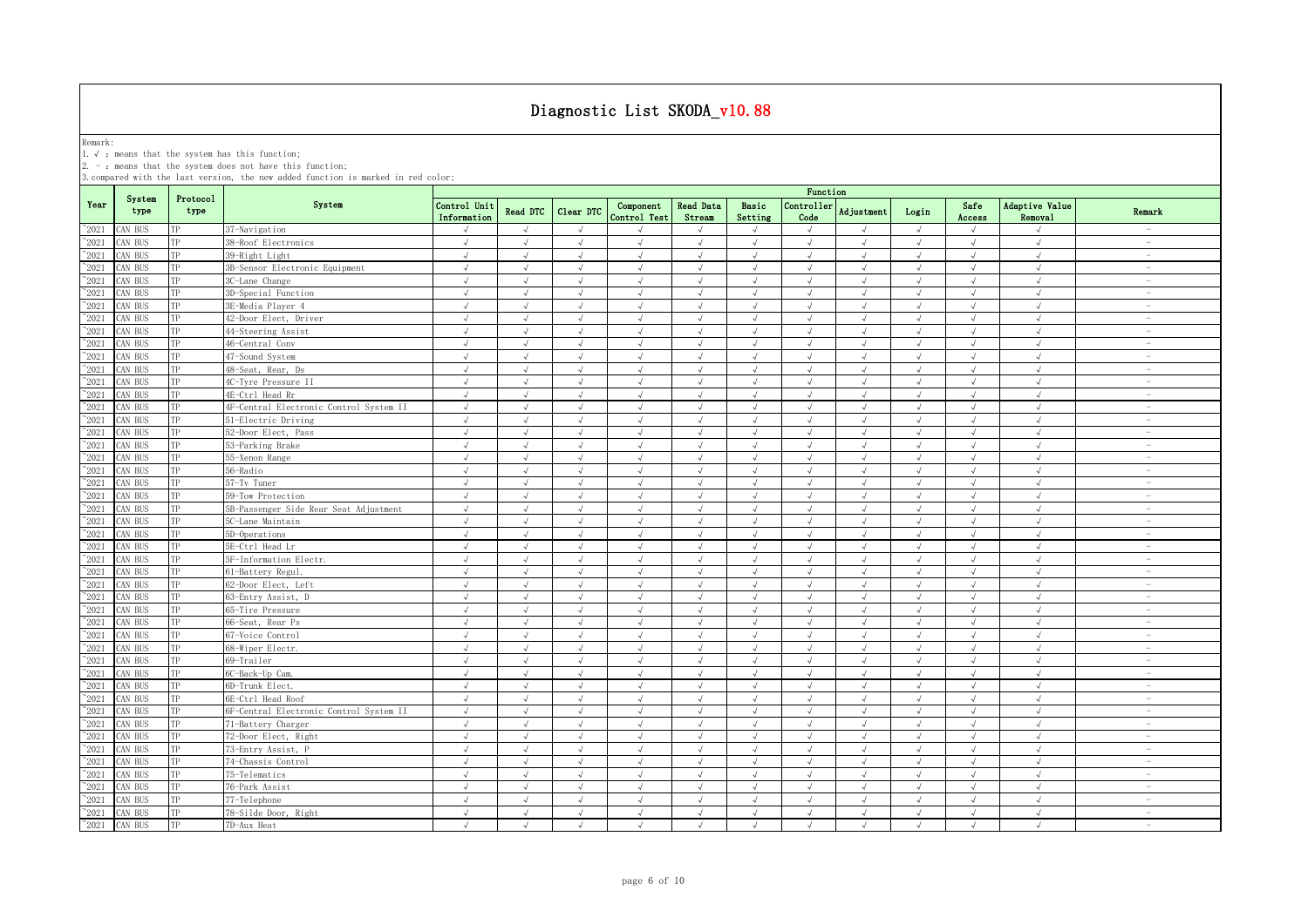Remark:<br>1.√ : means that the system has this function;<br>2. - : means that the system does not have this function;

|                 |                |                  |                                         |                             |                 |                |                           |                            |                  | Function           |                |            |                |                           |                                 |
|-----------------|----------------|------------------|-----------------------------------------|-----------------------------|-----------------|----------------|---------------------------|----------------------------|------------------|--------------------|----------------|------------|----------------|---------------------------|---------------------------------|
| Year            | System<br>type | Protocol<br>type | System                                  | Control Unit<br>Information | <b>Read DTC</b> | Clear DTC      | Component<br>Control Test | <b>Read Data</b><br>Stream | Basic<br>Setting | Controller<br>Code | Adjustment     | Login      | Safe<br>Access | Adaptive Value<br>Removal | Remark                          |
| $^{\sim}2021$   | AN BUS         | TP               | 37-Navigation                           | $\sqrt{ }$                  | $\sqrt{ }$      | $\sqrt{ }$     | $\cdot$                   | $\sqrt{ }$                 | $\sqrt{ }$       | $\sqrt{ }$         | $\sqrt{ }$     | $\sqrt{ }$ | $\sqrt{ }$     | $\sqrt{ }$                | <b>Service</b>                  |
| $^{\sim}$ 2021  | AN BUS         | TP               | 38-Roof Electronics                     | $\sqrt{ }$                  | $\sqrt{ }$      | $\sqrt{ }$     | $\sqrt{ }$                | $\sqrt{ }$                 | $\sqrt{ }$       | $\sqrt{ }$         | $\sqrt{ }$     | $\sqrt{ }$ | $\sqrt{ }$     | $\sqrt{ }$                | $\hspace{0.1mm}-\hspace{0.1mm}$ |
| $^{\sim}$ 2021  | AN BUS         | TP               | 39-Right Light                          | $\sqrt{ }$                  | $\sqrt{ }$      | J              | $\sqrt{ }$                | $\sqrt{ }$                 | $\sqrt{ }$       | $\sqrt{ }$         | J              | $\sqrt{ }$ | $\sqrt{ }$     | $\sqrt{ }$                | $\hspace{0.1mm}-\hspace{0.1mm}$ |
| $^{\sim}$ 2021  | CAN BUS        | TP               | 3B-Sensor Electronic Equipment          | $\sqrt{ }$                  | $\sqrt{ }$      | $\sqrt{ }$     | $\sqrt{ }$                | $\sqrt{ }$                 | $\sqrt{ }$       | $\sqrt{ }$         | J              | $\sqrt{ }$ | $\sqrt{ }$     | $\sqrt{ }$                | $\sim$                          |
| $^{\sim}$ 2021  | AN BUS         | TP               | 3C-Lane Change                          | $\sqrt{ }$                  | $\sqrt{ }$      |                |                           | J                          | $\sqrt{ }$       |                    | À.             | $\sqrt{ }$ | $\sqrt{ }$     | $\sqrt{ }$                |                                 |
| $^{\sim}$ 2021  | AN BUS         | TP               | 3D-Special Function                     | $\sqrt{ }$                  | $\sqrt{ }$      | $\mathcal{L}$  | $\sqrt{ }$                | $\sqrt{ }$                 | $\sqrt{ }$       | $\sqrt{ }$         | $\sqrt{ }$     | $\sqrt{ }$ | $\sqrt{ }$     | $\sqrt{ }$                |                                 |
| $^{\sim}$ 2021  | <b>CAN BUS</b> | TP               | 3E-Media Plaver 4                       | $\sqrt{ }$                  | $\sqrt{ }$      | $\sqrt{ }$     | $\sqrt{ }$                | $\sqrt{ }$                 | $\sqrt{ }$       | $\sqrt{ }$         | $\sqrt{ }$     | $\sqrt{ }$ | $\sqrt{ }$     | $\sqrt{ }$                | $\sim$                          |
| $^{\sim}2021$   | CAN BUS        | TP               | 42-Door Elect, Driver                   | $\sqrt{ }$                  | $\sqrt{ }$      | $\sqrt{ }$     | $\sqrt{ }$                | $\sqrt{ }$                 | $\sqrt{ }$       | $\sqrt{ }$         | $\sqrt{ }$     | $\sqrt{ }$ | $\sqrt{ }$     | $\sqrt{ }$                | $\sim$                          |
| $^{\sim}2021$   | AN BUS         | TP               | 44-Steering Assist                      | $\sqrt{ }$                  | $\sqrt{ }$      | $\sqrt{ }$     | $\sqrt{ }$                | $\sqrt{ }$                 | $\sqrt{ }$       | $\sqrt{ }$         | $\sqrt{ }$     | $\sqrt{ }$ | $\sqrt{ }$     | $\sqrt{ }$                | $\sim$                          |
| $^{\sim}$ 2021  | CAN BUS        | TP               | 46-Central Conv                         | $\sqrt{ }$                  | $\sqrt{ }$      | $\sqrt{ }$     | $\sqrt{ }$                | $\sqrt{ }$                 | $\sqrt{ }$       | $\sqrt{ }$         | $\sqrt{ }$     | $\sqrt{ }$ | $\sqrt{ }$     | $\sqrt{ }$                | $\sim$                          |
| $\gamma_{2021}$ | AN BUS         | TP               | 47-Sound System                         | $\sqrt{ }$                  | $\sqrt{ }$      | $\sqrt{ }$     | $\sqrt{ }$                | $\sqrt{ }$                 | $\sqrt{ }$       | $\sqrt{ }$         | $\sqrt{ }$     | $\sqrt{ }$ | $\sqrt{ }$     | $\sqrt{ }$                | $\sim$                          |
| $^{\sim}$ 2021  | CAN BUS        | TP               | 48-Seat, Rear, Ds                       | $\sqrt{ }$                  | $\sqrt{ }$      | $\sqrt{ }$     | $\sqrt{ }$                | $\sqrt{ }$                 | $\sqrt{ }$       | $\sqrt{ }$         | $\sqrt{ }$     | $\sqrt{ }$ | $\sqrt{ }$     | $\sqrt{ }$                | $\sim$                          |
| $^{\sim}$ 2021  | CAN BUS        | TP               | 4C-Tyre Pressure II                     | $\sqrt{ }$                  | $\sqrt{ }$      | $\sqrt{ }$     | $\sqrt{ }$                | $\sqrt{ }$                 | $\sqrt{ }$       | $\sqrt{ }$         | $\sqrt{ }$     | $\sqrt{ }$ | $\sqrt{ }$     | $\sqrt{ }$                | $\overline{\phantom{a}}$        |
| $\gamma_{2021}$ | CAN BUS        | TP               | 4E-Ctrl Head Rr                         | $\sqrt{ }$                  | $\sqrt{ }$      | $\sqrt{ }$     | $\sqrt{ }$                | $\sqrt{ }$                 | $\sqrt{ }$       | $\sqrt{ }$         | $\sqrt{ }$     | $\sqrt{ }$ | $\sqrt{ }$     | $\sqrt{ }$                | $\overline{\phantom{a}}$        |
| $^{\sim}$ 2021  | AN BUS         | TP               | 4F-Central Electronic Control System II | $\sqrt{ }$                  | $\sqrt{ }$      | $\sqrt{ }$     | $\sqrt{ }$                | $\sqrt{ }$                 | $\sqrt{ }$       | $\sqrt{ }$         | $\sqrt{ }$     | $\sqrt{ }$ | $\sqrt{ }$     | $\sqrt{ }$                | $\overline{\phantom{a}}$        |
| $^{\sim}$ 2021  | CAN BUS        | TP               | 51-Electric Driving                     | $\sqrt{ }$                  | $\sqrt{ }$      | $\sqrt{ }$     | $\sqrt{ }$                | $\sqrt{ }$                 | $\sqrt{ }$       | $\sqrt{ }$         | $\sqrt{ }$     | $\sqrt{ }$ | $\sqrt{ }$     | $\sqrt{ }$                | $\sim$                          |
| $^{\sim}$ 2021  | AN BUS         | TP               | 52-Door Elect, Pass                     | $\sqrt{ }$                  | $\sqrt{ }$      | $\sqrt{ }$     | $\sqrt{ }$                | $\sqrt{ }$                 | $\sqrt{ }$       | $\sqrt{ }$         | $\sqrt{ }$     | $\sqrt{ }$ | $\sqrt{ }$     | $\sqrt{ }$                | $\hspace{0.1mm}-\hspace{0.1mm}$ |
| $^{\sim}$ 2021  | AN BUS         | TP               | 53-Parking Brake                        | $\sqrt{ }$                  | $\sqrt{ }$      | $\sqrt{ }$     | $\sqrt{ }$                | $\sqrt{ }$                 | $\sqrt{ }$       | $\sqrt{ }$         | $\sqrt{ }$     | $\sqrt{ }$ | $\sqrt{ }$     | $\sqrt{ }$                | $\overline{\phantom{a}}$        |
| $\gamma_{2021}$ | AN BUS         | TP               | 55-Xenon Range                          | $\sqrt{ }$                  | $\sqrt{ }$      | $\sqrt{ }$     | $\sqrt{ }$                |                            | $\sqrt{ }$       | $\sqrt{ }$         | $\sqrt{ }$     | $\sqrt{ }$ | $\sqrt{ }$     | $\sqrt{2}$                | $\overline{\phantom{a}}$        |
| $^{\circ}2021$  | CAN BUS        | TP               | 56-Radio                                | $\sqrt{ }$                  | $\sqrt{ }$      |                |                           |                            |                  |                    |                | $\sqrt{ }$ |                | $\cdot$                   | $\overline{\phantom{a}}$        |
| $\sim 2021$     | CAN BUS        | TP               | 57-Tv Tuner                             | $\sqrt{ }$                  | $\mathcal{L}$   | $\sqrt{ }$     | $\mathcal{L}$             | $\sqrt{ }$                 |                  | J                  | $\overline{a}$ | $\sqrt{ }$ |                | $\sqrt{ }$                | $\overline{\phantom{a}}$        |
| $^{\sim}$ 2021  | CAN BUS        | TP               | 59-Tow Protection                       | $\sqrt{ }$                  | $\sqrt{ }$      | $\mathcal{L}$  | $\sqrt{ }$                | J                          | $\cdot$          | $\sqrt{ }$         | À.             | $\sqrt{ }$ |                | $\sqrt{ }$                | $\overline{\phantom{a}}$        |
| $\gamma_{2021}$ | CAN BUS        | TP               | 5B-Passenger Side Rear Seat Adjustment  | J                           | $\sqrt{ }$      |                |                           | $\sqrt{ }$                 |                  | J                  | $\overline{u}$ | $\sqrt{ }$ |                | $\sqrt{ }$                |                                 |
| $^{\sim}$ 2021  | AN BUS         | TP               | 5C-Lane Maintain                        | $\sqrt{ }$                  | $\sqrt{ }$      | $\sqrt{ }$     | $\sqrt{ }$                | $\sqrt{ }$                 | $\sqrt{ }$       | $\sqrt{ }$         | $\sqrt{ }$     | $\sqrt{ }$ | $\sqrt{ }$     | $\sqrt{ }$                | $\sim$                          |
| $^{\sim}$ 2021  | CAN BUS        | TP               | 5D-Operations                           | $\sqrt{ }$                  | $\sqrt{ }$      | $\sqrt{ }$     | $\sqrt{ }$                | $\sqrt{ }$                 | $\sqrt{ }$       | $\sqrt{ }$         | $\sqrt{ }$     | $\sqrt{ }$ | $\sqrt{ }$     | $\sqrt{ }$                | $\sim$                          |
| $^{\sim}$ 2021  | CAN BUS        | TP               | 5E-Ctrl Head Lr                         | $\sqrt{ }$                  | $\sqrt{ }$      | $\sqrt{ }$     | $\sqrt{ }$                | $\sqrt{ }$                 | $\sqrt{ }$       | $\sqrt{ }$         | $\sqrt{ }$     | $\sqrt{ }$ | $\sqrt{ }$     | $\sqrt{ }$                | $\overline{\phantom{a}}$        |
| $\gamma_{2021}$ | CAN BUS        | TP               | 5F-Information Electr.                  | $\sqrt{ }$                  | $\sqrt{ }$      | $\sqrt{ }$     | $\sqrt{ }$                | $\sqrt{ }$                 | $\sqrt{ }$       | $\sqrt{ }$         | $\sqrt{ }$     | $\sqrt{ }$ | $\sqrt{ }$     | $\sqrt{ }$                | $\overline{\phantom{a}}$        |
| $^{\sim}$ 2021  | CAN BUS        | TP               | 61-Battery Regul.                       | $\sqrt{ }$                  | $\sqrt{ }$      | $\sqrt{ }$     | $\sqrt{ }$                | $\sqrt{ }$                 | $\sqrt{ }$       | $\sqrt{ }$         | $\sqrt{}$      | $\sqrt{ }$ | $\sqrt{ }$     | $\sqrt{ }$                | $\overline{\phantom{a}}$        |
| $^{\sim}$ 2021  | CAN BUS        | TP               | 62-Door Elect, Left                     | $\sqrt{ }$                  | $\sqrt{ }$      | $\lambda$      | $\sqrt{ }$                | $\sqrt{ }$                 | $\sqrt{ }$       | $\sqrt{ }$         | $\sqrt{ }$     | $\sqrt{ }$ | $\sqrt{ }$     | $\sqrt{ }$                | $\sim$                          |
| $^{\sim}$ 2021  | AN BUS         | TP               | 63-Entry Assist, D                      | $\sqrt{ }$                  | $\sqrt{ }$      | $\sqrt{ }$     | $\sqrt{ }$                | $\sqrt{ }$                 | $\sqrt{ }$       | $\sqrt{ }$         | $\sqrt{ }$     | $\sqrt{ }$ | $\sqrt{ }$     | $\sqrt{ }$                | $\overline{\phantom{a}}$        |
| $^{\sim}$ 2021  | CAN BUS        | TP               | 65-Tire Pressure                        | $\sqrt{ }$                  | $\sqrt{ }$      | J              | $\sqrt{ }$                | $\sqrt{ }$                 | $\sqrt{ }$       | $\sqrt{ }$         | $\sqrt{ }$     | $\sqrt{ }$ | $\sqrt{ }$     | $\sqrt{ }$                | $\sim$                          |
| $^{\sim}$ 2021  | AN BUS         | TP               | 66-Seat, Rear Ps                        | $\sqrt{ }$                  | $\sqrt{ }$      | $\sqrt{ }$     | $\sqrt{ }$                | $\sqrt{ }$                 | $\sqrt{ }$       | $\sqrt{ }$         | $\sqrt{ }$     | $\sqrt{ }$ | $\sqrt{ }$     | $\sqrt{ }$                | $\sim$                          |
| $^{\sim}$ 2021  | AN BUS         | TP               | 67-Voice Control                        | $\sqrt{ }$                  | $\sqrt{ }$      | J              | $\sqrt{ }$                | $\sqrt{ }$                 | $\sqrt{ }$       | $\sqrt{ }$         | $\sqrt{ }$     | $\sqrt{ }$ | J              | $\sqrt{ }$                | $\sim$                          |
| $^{\sim}$ 2021  | AN BUS         | TP               | 68-Wiper Electr.                        | $\sqrt{ }$                  | $\sqrt{ }$      | $\sqrt{ }$     | $\sqrt{ }$                | $\sqrt{ }$                 | $\sqrt{ }$       | $\sqrt{ }$         | $\sqrt{ }$     | $\sqrt{ }$ | $\sqrt{ }$     | $\sqrt{ }$                | $\sim$                          |
| $^{\sim}$ 2021  | AN BUS         | TP               | 69-Trailer                              |                             |                 |                |                           |                            |                  |                    |                |            |                |                           | $\sim$                          |
| $^{\sim}2021$   | CAN BUS        | TP               | 6C-Back-Up Cam.                         | $\sqrt{ }$                  | $\sqrt{ }$      | $\sqrt{}$      | $\sqrt{ }$                | $\sqrt{ }$                 | $\sqrt{ }$       | √                  | $\sqrt{ }$     | $\sqrt{ }$ | $\sqrt{ }$     | $\sqrt{ }$                | $\overline{\phantom{a}}$        |
| $^{\sim}$ 2021  | AN BUS         | TP               | 6D-Trunk Elect.                         | $\sqrt{ }$                  | $\sqrt{ }$      | $\overline{ }$ | $\mathcal{L}$             | $\sqrt{ }$                 | $\sqrt{ }$       | $\sqrt{ }$         | $\sqrt{ }$     | $\sqrt{ }$ | $\sqrt{ }$     | $\cdot$                   | $\sim$                          |
| $\gamma_{2021}$ | CAN BUS        | TP               | 6E-Ctrl Head Roof                       | $\sqrt{ }$                  | $\sqrt{ }$      | $\sqrt{ }$     |                           | $\sqrt{ }$                 |                  | $\sqrt{ }$         | J              | $\sqrt{ }$ | $\sqrt{ }$     | $\sqrt{ }$                | $\overline{\phantom{a}}$        |
| $^{\sim}$ 2021  | AN BUS         | TP               | 6F-Central Electronic Control System II | $\sqrt{ }$                  | $\sqrt{ }$      |                |                           | $\sqrt{ }$                 | $\sqrt{ }$       |                    | $\overline{u}$ | $\sqrt{ }$ |                | $\sqrt{ }$                |                                 |
| $\gamma_{2021}$ | CAN BUS        | TP               | 71-Battery Charger                      | $\sqrt{ }$                  | $\sqrt{ }$      | $\sqrt{ }$     | $\sqrt{ }$                | $\sqrt{ }$                 | $\sqrt{ }$       | $\sqrt{ }$         | $\sqrt{ }$     | $\sqrt{ }$ | $\sqrt{ }$     | $\sqrt{ }$                |                                 |
| $^{\sim}$ 2021  | AN BUS         | TP               | 72-Door Elect, Right                    | $\sqrt{ }$                  | $\sqrt{ }$      | $\sqrt{ }$     | $\sqrt{ }$                | $\sqrt{ }$                 | $\sqrt{ }$       | $\sqrt{ }$         | $\sqrt{ }$     | $\sqrt{ }$ | $\sqrt{ }$     | $\sqrt{ }$                | $\sim$                          |
| $^{\sim}2021$   | CAN BUS        | TP               | 73-Entry Assist, P                      | $\sqrt{ }$                  | $\sqrt{ }$      | $\sqrt{ }$     | $\sqrt{ }$                | $\sqrt{ }$                 | $\sqrt{ }$       | $\sqrt{ }$         | $\sqrt{ }$     | $\sqrt{ }$ | $\sqrt{ }$     | $\sqrt{ }$                | $\sim$                          |
| $^{\sim}$ 2021  | AN BUS         | TP               | 74-Chassis Control                      | $\sqrt{ }$                  | $\sqrt{ }$      | $\sqrt{ }$     | $\sqrt{ }$                | $\sqrt{ }$                 | $\sqrt{ }$       | $\sqrt{ }$         | $\sqrt{ }$     | $\sqrt{ }$ | $\sqrt{ }$     | $\sqrt{ }$                | $\overline{\phantom{a}}$        |
| $^{\sim}$ 2021  | CAN BUS        | TP               | 75-Telematics                           | $\sqrt{ }$                  | $\sqrt{ }$      | $\sqrt{ }$     | $\mathcal{L}$             | $\sqrt{ }$                 | $\sqrt{ }$       | $\sqrt{ }$         | $\sqrt{ }$     | $\sqrt{ }$ | $\sqrt{ }$     | $\sqrt{ }$                | $\sim$                          |
| $^{\sim}$ 2021  | CAN BUS        | TP               | 76-Park Assist                          | $\sqrt{ }$                  | $\sqrt{ }$      | $\sqrt{ }$     | $\sqrt{ }$                | $\sqrt{ }$                 | $\sqrt{ }$       | $\sqrt{ }$         | $\sqrt{ }$     | $\sqrt{ }$ | $\sqrt{ }$     | $\sqrt{ }$                | $\overline{\phantom{a}}$        |
| $^{\sim}$ 2021  | CAN BUS        | TP               | 77-Telephone                            | $\sqrt{ }$                  | $\sqrt{ }$      | $\sqrt{ }$     | $\sqrt{ }$                | $\sqrt{ }$                 | $\sqrt{ }$       | $\sqrt{ }$         | $\sqrt{ }$     | $\sqrt{ }$ | $\sqrt{ }$     | $\sqrt{ }$                | $\overline{\phantom{a}}$        |
| $^{\sim}$ 2021  | CAN BUS        | TP               | 78-Silde Door, Right                    | $\sqrt{ }$                  | $\sqrt{ }$      | $\sqrt{ }$     | $\sqrt{ }$                | $\sqrt{ }$                 | $\sqrt{ }$       | $\sqrt{ }$         | $\sqrt{ }$     | $\sqrt{ }$ | $\sqrt{ }$     | $\sqrt{ }$                | $\overline{\phantom{a}}$        |
| $^{\sim}$ 2021  | CAN BUS        | TP               | 7D-Aux Heat                             | $\sqrt{ }$                  | $\sqrt{ }$      | $\sqrt{ }$     | $\sqrt{ }$                | $\sqrt{ }$                 | $\sqrt{ }$       | $\sqrt{ }$         | $\sqrt{ }$     | $\sqrt{ }$ | $\sqrt{ }$     | $\sqrt{ }$                | $\sim$                          |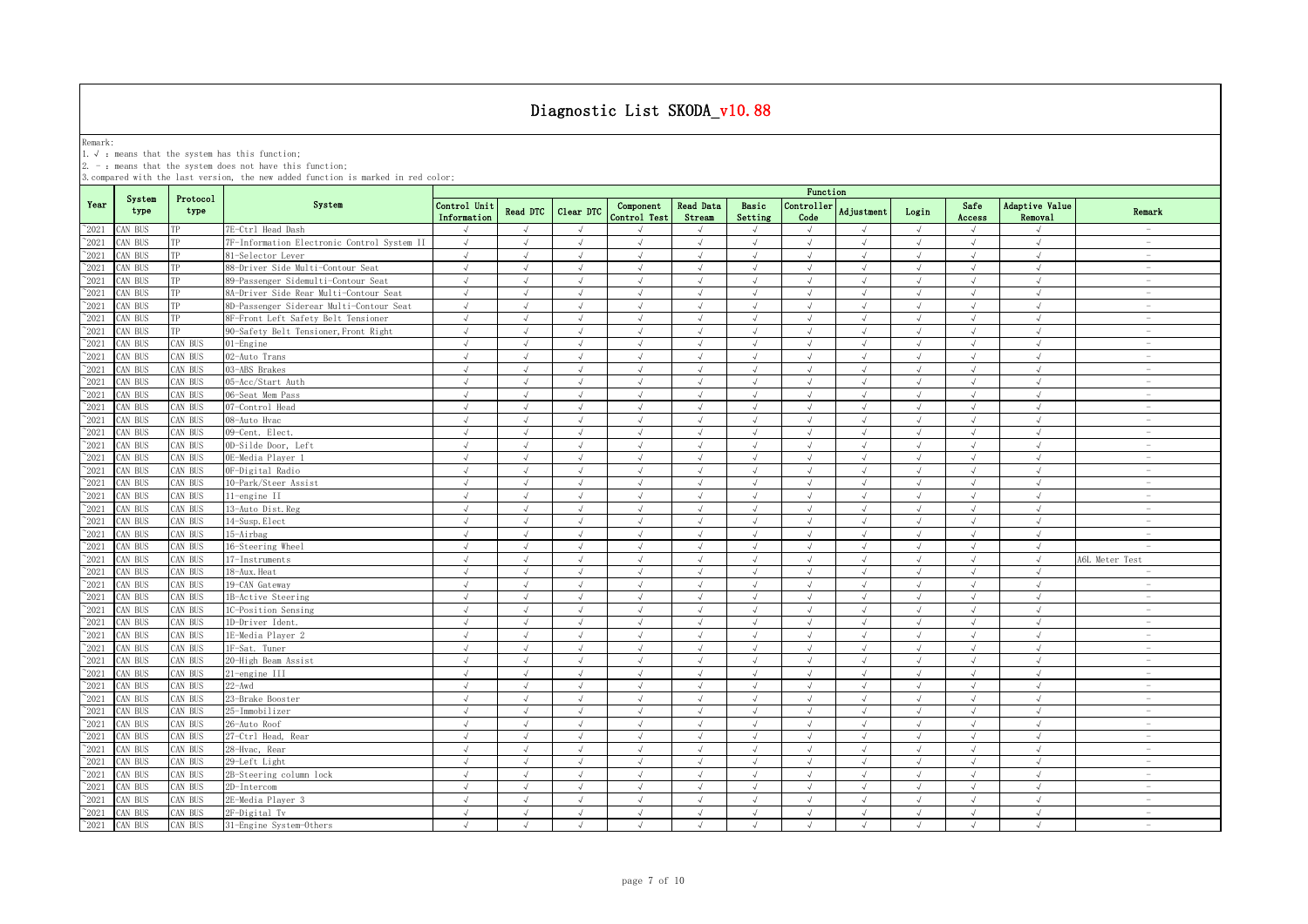Remark:<br>1.√ : means that the system has this function;<br>2. - : means that the system does not have this function;

|                 |                |                  |                                             |                             |            |                |                           |                            |                  | Function                    |               |            |                |                           |                                 |
|-----------------|----------------|------------------|---------------------------------------------|-----------------------------|------------|----------------|---------------------------|----------------------------|------------------|-----------------------------|---------------|------------|----------------|---------------------------|---------------------------------|
| Year            | System<br>type | Protocol<br>type | System                                      | Control Unit<br>Information | Read DTC   | Clear DTC      | Component<br>Control Test | <b>Read Data</b><br>Stream | Basic<br>Setting | Controller<br>Code          | Adjustment    | Login      | Safe<br>Access | Adaptive Value<br>Removal | Remark                          |
| $^{\sim}2021$   | AN BUS         | TP               | 7E-Ctrl Head Dash                           | $\sqrt{ }$                  | $\sqrt{ }$ | $\sqrt{ }$     |                           | $\sqrt{ }$                 | $\sqrt{ }$       | $\sqrt{ }$                  | $\sqrt{ }$    | $\sqrt{ }$ | $\sqrt{ }$     | $\sqrt{ }$                |                                 |
| $^{\sim}2021$   | CAN BUS        | ТP               | 7F-Information Electronic Control System II | $\sqrt{ }$                  | $\sqrt{ }$ | $\sqrt{ }$     | $\sqrt{ }$                | $\sqrt{ }$                 | $\sqrt{ }$       | $\sqrt{ }$                  | $\sqrt{ }$    | $\sqrt{ }$ | $\sqrt{ }$     | $\sqrt{ }$                | $\sim$                          |
| $^{\sim}2021$   | AN BUS         | TP               | 81-Selector Lever                           | J                           |            |                |                           | $\sqrt{ }$                 | $\sqrt{ }$       |                             |               |            | $\sqrt{ }$     | $\sqrt{ }$                | $\sim$                          |
| $\degree$ 2021  | AN BUS         | TP               | 88-Driver Side Multi-Contour Seat           | $\sqrt{ }$                  | $\sqrt{ }$ | J              | $\sqrt{ }$                | $\sqrt{ }$                 | $\sqrt{ }$       | $\sqrt{ }$                  | $\sqrt{}$     | $\sqrt{ }$ | $\sqrt{ }$     | $\sqrt{ }$                | $\hspace{0.1mm}-\hspace{0.1mm}$ |
| 2021            | AN BUS         |                  | 89-Passenger Sidemulti-Contour Seat         | $\sqrt{ }$                  |            |                |                           | $\sqrt{ }$                 | $\mathcal{A}$    |                             |               |            |                | $\cdot$                   | $\sim$                          |
| $^{\sim}2021$   | CAN BUS        | TP               | 8A-Driver Side Rear Multi-Contour Seat      | $\sqrt{ }$                  |            | $\sqrt{ }$     |                           | $\sqrt{ }$                 | $\sqrt{ }$       | $\mathcal{N}_{\mathcal{N}}$ |               | $\sqrt{ }$ |                | $\sqrt{ }$                | $\overline{\phantom{a}}$        |
| $^{\sim}$ 2021  | CAN BUS        | ТP               | 8D-Passenger Siderear Multi-Contour Seat    | $\sqrt{ }$                  |            |                | $\sqrt{ }$                | $\sqrt{ }$                 | $\sqrt{ }$       |                             |               |            | $\sqrt{ }$     | $\sqrt{ }$                |                                 |
| $^{\sim}$ 2021  | CAN BUS        | TP               | BF-Front Left Safety Belt Tensioner         | $\sqrt{ }$                  | $\sqrt{ }$ | $\sqrt{ }$     | $\sqrt{ }$                | $\sqrt{ }$                 | $\sqrt{ }$       | $\sqrt{ }$                  | J             | $\sqrt{ }$ | $\sqrt{ }$     | $\sqrt{ }$                |                                 |
| $\degree$ 2021  | CAN BUS        | TP               | 90-Safety Belt Tensioner, Front Right       | $\sqrt{ }$                  | $\sqrt{ }$ | $\sqrt{ }$     | $\sqrt{ }$                | $\sqrt{ }$                 | $\sqrt{ }$       | $\sqrt{ }$                  | $\sqrt{ }$    | $\sqrt{ }$ | $\sqrt{ }$     | $\sqrt{ }$                | $\sim$                          |
| $^{\sim}$ 2021  | CAN BUS        | CAN BUS          | 01-Engine                                   | $\sqrt{2}$                  | $\sqrt{ }$ | $\sqrt{2}$     | $\sqrt{ }$                | $\sqrt{ }$                 | $\sqrt{ }$       | $\sqrt{ }$                  | $\sqrt{ }$    | $\sqrt{ }$ | $\sqrt{ }$     | $\sqrt{ }$                | $\sim$                          |
| $\degree$ 2021  | AN BUS         | CAN BUS          | 02-Auto Trans                               | $\sqrt{ }$                  | $\sqrt{ }$ | $\sqrt{ }$     | $\sqrt{ }$                | $\sqrt{ }$                 | $\sqrt{ }$       | $\sqrt{ }$                  | $\sqrt{ }$    | $\sqrt{ }$ | $\sqrt{ }$     | $\sqrt{2}$                | $\sim$                          |
| $^{\sim}$ 2021  | AN BUS         | CAN BUS          | 03-ABS Brakes                               | $\sqrt{ }$                  | $\sqrt{ }$ | $\sqrt{ }$     | $\sqrt{ }$                | $\sqrt{ }$                 | $\sqrt{ }$       | $\sqrt{ }$                  | $\sqrt{ }$    | $\sqrt{ }$ | $\sqrt{ }$     | $\sqrt{ }$                | $\sim$                          |
| $^{\sim}$ 2021  | AN BUS         | CAN BUS          | 05-Acc/Start Auth                           | $\sqrt{ }$                  | $\sqrt{ }$ | $\sqrt{ }$     | $\sqrt{ }$                | $\sqrt{ }$                 | $\sqrt{ }$       | $\sqrt{ }$                  | $\sqrt{ }$    | $\sqrt{ }$ | $\sqrt{ }$     | $\sqrt{2}$                | $\overline{\phantom{a}}$        |
| $\degree$ 2021  | CAN BUS        | CAN BUS          | 06-Seat Mem Pass                            | $\sqrt{ }$                  | $\sqrt{ }$ | $\sqrt{ }$     | $\sqrt{ }$                | $\sqrt{ }$                 | $\sqrt{ }$       | $\sqrt{ }$                  | $\sqrt{ }$    | $\sqrt{ }$ | $\sqrt{ }$     | $\sqrt{ }$                | $\overline{\phantom{a}}$        |
| $^{\sim}2021$   | CAN BUS        | CAN BUS          | 07-Control Head                             | $\sqrt{ }$                  | $\sqrt{ }$ | $\sqrt{ }$     | $\sqrt{ }$                | $\sqrt{ }$                 | $\sqrt{ }$       | $\sqrt{ }$                  | $\sqrt{ }$    | $\sqrt{ }$ | $\sqrt{ }$     | $\sqrt{ }$                | $\overline{\phantom{a}}$        |
| $\degree$ 2021  | CAN BUS        | CAN BUS          | 08-Auto Hvac                                | $\sqrt{ }$                  | $\sqrt{ }$ | $\sqrt{ }$     | $\sqrt{ }$                | $\sqrt{ }$                 | $\sqrt{ }$       | $\sqrt{ }$                  | $\sqrt{ }$    | $\sqrt{ }$ | $\sqrt{ }$     | $\sqrt{ }$                | $\sim$                          |
| $\degree$ 2021  | CAN BUS        | AN BUS           | 09-Cent. Elect.                             | $\sqrt{ }$                  | $\sqrt{ }$ | $\sqrt{ }$     | $\sqrt{ }$                | $\sqrt{ }$                 | $\sqrt{ }$       | $\sqrt{ }$                  | $\sqrt{ }$    | $\sqrt{ }$ | $\sqrt{ }$     | $\sqrt{ }$                | $\overline{\phantom{a}}$        |
| $^{\sim}2021$   | CAN BUS        | CAN BUS          | OD-Silde Door, Left                         | $\sqrt{}$                   | $\sqrt{ }$ | $\sqrt{ }$     | $\sqrt{ }$                | $\sqrt{}$                  | $\sqrt{ }$       | $\sqrt{ }$                  | $\sqrt{ }$    | $\sqrt{}$  | $\sqrt{ }$     | $\sqrt{ }$                | $\sim$                          |
| $\degree$ 2021  | AN BUS         | CAN BUS          | OE-Media Player 1                           | $\sqrt{ }$                  | $\sqrt{ }$ | $\sqrt{ }$     | $\sqrt{ }$                | $\sqrt{ }$                 | $\sqrt{ }$       | $\sqrt{ }$                  | $\sqrt{ }$    | $\sqrt{ }$ | $\sqrt{ }$     | $\sqrt{ }$                | $\sim$                          |
| 2021            | AN BUS         | AN BUS           | OF-Digital Radio                            | $\sqrt{ }$                  | $\sqrt{ }$ | $\mathcal{L}$  | $\cdot$                   | $\sqrt{ }$                 | $\sqrt{ }$       | $\cdot$                     | J             | $\sqrt{ }$ | $\sqrt{ }$     | $\sqrt{ }$                | $\sim$                          |
| 2021            | AN BUS         | AN BUS           | 10-Park/Steer Assist                        | $\sqrt{2}$                  | $\sqrt{ }$ | $\sqrt{ }$     | $\sqrt{ }$                | $\sqrt{ }$                 | $\sqrt{ }$       | $\sqrt{ }$                  | $\sqrt{ }$    | $\sqrt{ }$ | $\sqrt{ }$     | $\sqrt{ }$                | $\overline{\phantom{a}}$        |
| 2021            | CAN BUS        | AN BUS           | 11-engine II                                | $\sqrt{ }$                  | $\sqrt{ }$ | $\sqrt{ }$     | $\mathcal{L}$             | $\sqrt{ }$                 | $\sqrt{ }$       | $\sqrt{ }$                  | $\sqrt{ }$    | $\sqrt{ }$ | $\sqrt{ }$     | $\sqrt{ }$                | $\overline{\phantom{a}}$        |
| $^{\sim}2021$   | AN BUS         | AN BUS           | 13-Auto Dist. Reg                           | $\sqrt{ }$                  | $\sqrt{ }$ | $\sqrt{ }$     | $\sqrt{ }$                | $\sqrt{ }$                 | $\mathcal{A}$    | $\mathcal{A}$               | À.            | $\sqrt{ }$ | $\sqrt{ }$     | $\sqrt{ }$                | $\overline{\phantom{a}}$        |
| $^{\sim}$ 2021  | CAN BUS        | AN BUS           | 14-Susp. Elect                              | $\sqrt{ }$                  | $\sqrt{ }$ | $\overline{d}$ | $\sqrt{ }$                | $\sqrt{ }$                 | $\sqrt{ }$       |                             | $\sqrt{ }$    | $\sqrt{ }$ | $\sqrt{ }$     | $\sqrt{ }$                | $\overline{\phantom{a}}$        |
| $^{\sim}$ 2021  | CAN BUS        | AN BUS           | 15-Airbag                                   | $\sqrt{ }$                  | $\sqrt{ }$ | $\sqrt{ }$     | $\sqrt{ }$                | $\sqrt{ }$                 | $\sqrt{ }$       | $\sqrt{ }$                  | $\sqrt{ }$    | $\sqrt{ }$ | $\sqrt{ }$     | $\sqrt{ }$                | $\overline{\phantom{a}}$        |
| $^{\sim}$ 2021  | CAN BUS        | <b>CAN BUS</b>   | 16-Steering Wheel                           | $\sqrt{ }$                  | $\sqrt{ }$ | $\sqrt{ }$     | $\sqrt{ }$                | $\sqrt{ }$                 | $\sqrt{ }$       | $\sqrt{ }$                  | $\sqrt{ }$    | $\sqrt{ }$ | $\sqrt{ }$     | $\sqrt{ }$                |                                 |
| $^{\sim}$ 2021  | AN BUS         | CAN BUS          | 17-Instruments                              | $\sqrt{ }$                  | $\sqrt{ }$ | $\sqrt{ }$     | $\sqrt{ }$                | $\sqrt{ }$                 | $\sqrt{ }$       | $\sqrt{ }$                  | $\sqrt{ }$    | $\sqrt{ }$ | $\sqrt{ }$     | $\sqrt{ }$                | A6L Meter Test                  |
| $^{\sim}$ 2021  | AN BUS         | CAN BUS          | 18-Aux. Heat                                | $\sqrt{ }$                  | $\sqrt{ }$ | $\sqrt{ }$     | $\sqrt{ }$                | $\sqrt{ }$                 | $\sqrt{ }$       | $\sqrt{ }$                  | $\sqrt{ }$    | $\sqrt{ }$ | $\sqrt{ }$     | $\sqrt{ }$                | $\overline{\phantom{a}}$        |
| $^{\sim}$ 2021  | CAN BUS        | CAN BUS          | 19-CAN Gateway                              | $\sqrt{ }$                  | $\sqrt{ }$ | $\sqrt{ }$     | $\mathcal{L}$             | $\sqrt{ }$                 | $\sqrt{ }$       | $\sqrt{ }$                  | $\sqrt{ }$    | $\sqrt{ }$ | $\sqrt{ }$     | $\sqrt{ }$                | $\overline{\phantom{a}}$        |
| $\degree$ 2021  | CAN BUS        | CAN BUS          | 1B-Active Steering                          | $\sqrt{ }$                  | $\sqrt{ }$ | $\sqrt{ }$     | $\sqrt{ }$                | $\sqrt{ }$                 | $\sqrt{ }$       | $\sqrt{ }$                  | $\sqrt{ }$    | $\sqrt{ }$ | $\sqrt{ }$     | $\sqrt{ }$                | $\overline{\phantom{a}}$        |
| $^{\sim}2021$   | CAN BUS        | CAN BUS          | 1C-Position Sensing                         | $\sqrt{ }$                  | $\sqrt{ }$ | $\sqrt{ }$     | $\mathcal{L}$             | $\sqrt{ }$                 | $\sqrt{ }$       | $\sqrt{ }$                  | $\sqrt{ }$    | $\sqrt{ }$ | $\sqrt{ }$     | $\sqrt{ }$                | $\overline{\phantom{a}}$        |
| $\degree$ 2021  | CAN BUS        | CAN BUS          | 1D-Driver Ident.                            | $\sqrt{ }$                  | $\sqrt{ }$ | $\sqrt{ }$     | $\sqrt{ }$                | $\sqrt{ }$                 | $\sqrt{ }$       | $\sqrt{ }$                  | $\sqrt{ }$    | $\sqrt{ }$ | $\sqrt{ }$     | $\sqrt{ }$                | $\overline{\phantom{a}}$        |
| $^{\sim}$ 2021  | CAN BUS        | CAN BUS          | 1E-Media Player 2                           | $\sqrt{ }$                  | $\sqrt{ }$ | $\sqrt{ }$     | $\sqrt{ }$                | $\sqrt{ }$                 | $\sqrt{ }$       | $\sqrt{ }$                  | $\sqrt{ }$    | $\sqrt{ }$ | $\sqrt{ }$     | $\sqrt{ }$                | $\overline{\phantom{a}}$        |
| $\degree$ 2021  | CAN BUS        | AN BUS           | 1F-Sat. Tuner                               | $\sqrt{ }$                  | $\sqrt{ }$ | $\sqrt{ }$     | $\sqrt{ }$                | $\sqrt{ }$                 | $\sqrt{ }$       | $\sqrt{ }$                  | $\sqrt{ }$    | $\sqrt{ }$ | $\sqrt{ }$     | $\sqrt{ }$                | $\hspace{0.1mm}-\hspace{0.1mm}$ |
| $^{\sim}2021$   | AN BUS         | AN BUS           | 20-High Beam Assist                         | $\sqrt{ }$                  |            |                |                           | $\sqrt{ }$                 | $\sqrt{ }$       |                             |               |            | $\sqrt{ }$     | $\sqrt{ }$                | $\sim$                          |
| $\degree$ 2021  | CAN BUS        | CAN BUS          | 21-engine III                               | $\sqrt{2}$                  | $\sqrt{ }$ | $\sqrt{ }$     | $\sqrt{ }$                | $\sqrt{2}$                 | $\sqrt{ }$       | $\sqrt{ }$                  | $\sqrt{ }$    | $\sqrt{ }$ | $\sqrt{ }$     | $\sqrt{}$                 | $\overline{\phantom{a}}$        |
| 2021            | AN BUS         | AN BUS           | $22 - Awd$                                  | $\sqrt{ }$                  |            |                |                           | <sup>N</sup>               | $\mathcal{A}$    |                             |               | $\sqrt{ }$ |                | $\cdot$                   | $\overline{\phantom{a}}$        |
| $^{\sim}2021$   | CAN BUS        | CAN BUS          | 23-Brake Booster                            | $\sqrt{ }$                  |            |                |                           | $\sqrt{ }$                 | $\sqrt{ }$       |                             |               | $\sqrt{ }$ |                | $\sqrt{ }$                | $\overline{\phantom{a}}$        |
| $^{\sim}$ 2021  | CAN BUS        | AN BUS           | 25-Immobilizer                              | $\sqrt{ }$                  |            |                |                           | $\sqrt{ }$                 | $\sqrt{ }$       |                             |               |            |                | J                         |                                 |
| $\gamma_{2021}$ | CAN BUS        | AN BUS           | 26-Auto Roof                                | $\sqrt{ }$                  | $\sqrt{ }$ | $\sqrt{ }$     |                           | $\sqrt{ }$                 | $\sqrt{ }$       | $\sqrt{ }$                  | J             | $\sqrt{ }$ | $\sqrt{ }$     | $\sqrt{ }$                | $\sim$                          |
| $^{\sim}$ 2021  | AN BUS         | AN BUS           | 27-Ctrl Head, Rear                          | $\sqrt{ }$                  | $\sqrt{ }$ | $\sqrt{ }$     | $\sqrt{ }$                | $\sqrt{ }$                 | $\sqrt{ }$       | $\sqrt{ }$                  | $\sqrt{ }$    | $\sqrt{ }$ | $\sqrt{ }$     | $\sqrt{ }$                |                                 |
| $^{\sim}$ 2021  | CAN BUS        | AN BUS           | 28-Hvac, Rear                               | $\sqrt{ }$                  | $\sqrt{ }$ | $\sqrt{ }$     | $\sqrt{ }$                | $\sqrt{ }$                 | $\sqrt{ }$       | $\sqrt{ }$                  | J             | $\sqrt{ }$ | $\sqrt{ }$     | $\sqrt{ }$                | $\sim$                          |
| $^{\sim}$ 2021  | CAN BUS        | CAN BUS          | 29-Left Light                               | $\sqrt{ }$                  | $\sqrt{ }$ | $\sqrt{ }$     | $\sqrt{ }$                | $\sqrt{ }$                 | $\sqrt{ }$       | $\sqrt{ }$                  | $\sqrt{ }$    | $\sqrt{ }$ | $\sqrt{ }$     | $\sqrt{2}$                | $\overline{\phantom{a}}$        |
| $^{\sim}$ 2021  | CAN BUS        | CAN BUS          | 2B-Steering column lock                     | $\sqrt{ }$                  | $\sqrt{ }$ | $\sqrt{ }$     | $\sqrt{ }$                | $\sqrt{ }$                 | $\sqrt{ }$       | $\sqrt{ }$                  | $\sqrt{ }$    | $\sqrt{ }$ | $\sqrt{ }$     | $\sqrt{ }$                | $\sim$                          |
| $\degree$ 2021  | CAN BUS        | CAN BUS          | 2D-Intercom                                 | $\sqrt{ }$                  | $\sqrt{ }$ | $\sqrt{ }$     | $\sqrt{ }$                | $\sqrt{ }$                 | $\sqrt{ }$       | $\sqrt{ }$                  | $\sqrt{ }$    | $\sqrt{ }$ | $\sqrt{ }$     | $\sqrt{2}$                | $\overline{\phantom{a}}$        |
| $\degree$ 2021  | CAN BUS        | CAN BUS          | 2E-Media Player 3                           | $\sqrt{ }$                  | $\sqrt{ }$ | $\sqrt{ }$     | $\sqrt{ }$                | $\sqrt{ }$                 | $\sqrt{ }$       | $\sqrt{ }$                  | $\sqrt{ }$    | $\sqrt{ }$ | $\sqrt{ }$     | $\sqrt{ }$                | $\overline{\phantom{a}}$        |
| $^{\sim}$ 2021  | CAN BUS        | CAN BUS          | 2F-Digital Tv                               | $\sqrt{ }$                  | $\sqrt{ }$ | $\sqrt{ }$     | $\sqrt{ }$                | $\sqrt{ }$                 | $\sqrt{ }$       | $\sqrt{ }$                  | $\sqrt{ }$    | $\sqrt{ }$ | $\sqrt{ }$     | $\sqrt{ }$                | $\overline{\phantom{a}}$        |
| $^{\sim}$ 2021  | CAN BUS        | CAN BUS          | 31-Engine System-Others                     | $\sqrt{ }$                  | $\sqrt{ }$ | $\sqrt{ }$     | $\sqrt{ }$                | $\sqrt{ }$                 | $\sqrt{ }$       | $\sqrt{ }$                  | $\mathcal{L}$ | $\sqrt{ }$ | $\sqrt{ }$     | $\sqrt{ }$                | $\sim$                          |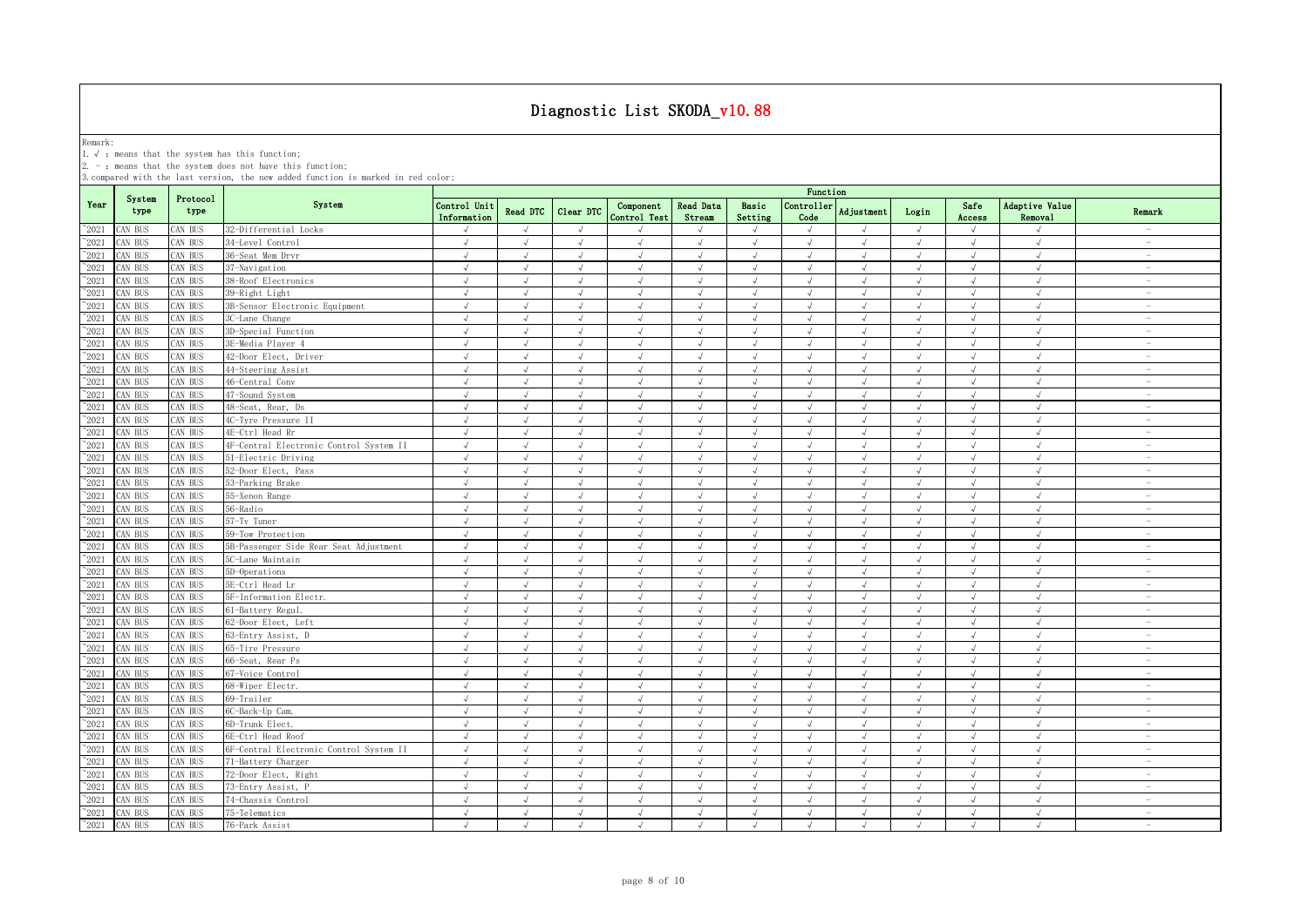Remark:<br>1.√ : means that the system has this function;<br>2. - : means that the system does not have this function;

|                |                |                  |                                         |                             |                 |            |                           |                            |                  | Function           |            |            |                |                           |                                 |
|----------------|----------------|------------------|-----------------------------------------|-----------------------------|-----------------|------------|---------------------------|----------------------------|------------------|--------------------|------------|------------|----------------|---------------------------|---------------------------------|
| Year           | System<br>type | Protocol<br>type | System                                  | Control Unit<br>Information | <b>Read DTC</b> | Clear DTC  | Component<br>Control Test | <b>Read Data</b><br>Stream | Basic<br>Setting | Controller<br>Code | Adjustment | Login      | Safe<br>Access | Adaptive Value<br>Removal | Remark                          |
| $^{\sim}2021$  | CAN BUS        | CAN BUS          | 32-Differential Locks                   | $\sqrt{ }$                  | $\sqrt{ }$      | $\sqrt{ }$ |                           | $\sqrt{}$                  | $\sqrt{ }$       | $\sqrt{ }$         | $\sqrt{ }$ | $\sqrt{ }$ | $\sqrt{ }$     | J                         | <b>Service</b>                  |
| 2021           | CAN BUS        | AN BUS           | 34-Level Control                        | $\sqrt{ }$                  | $\sqrt{ }$      | $\sqrt{ }$ | $\sqrt{ }$                | $\sqrt{ }$                 | $\sqrt{ }$       | $\sqrt{ }$         | $\sqrt{ }$ | $\sqrt{ }$ | $\sqrt{ }$     | $\sqrt{ }$                | $\hspace{0.1mm}-\hspace{0.1mm}$ |
| 2021           | CAN BUS        | AN BUS           | 36-Seat Mem Drvr                        | $\sqrt{ }$                  | $\sqrt{ }$      | $\sqrt{ }$ | $\sqrt{ }$                | $\sqrt{ }$                 | $\sqrt{ }$       | $\sqrt{ }$         | $\sqrt{ }$ | $\sqrt{ }$ | $\sqrt{ }$     | $\sqrt{ }$                | $\hspace{0.1mm}-\hspace{0.1mm}$ |
| 2021           | CAN BUS        | CAN BUS          | 37-Navigation                           | $\sqrt{ }$                  | $\sqrt{ }$      | $\sqrt{ }$ | $\sqrt{ }$                | $\sqrt{ }$                 | $\mathcal{A}$    | $\sqrt{ }$         | J          | $\sqrt{ }$ | $\sqrt{ }$     | $\sqrt{ }$                | $\sim$                          |
| 2021           | CAN BUS        | AN BUS           | 38-Roof Electronics                     | $\sqrt{ }$                  |                 |            | $\sqrt{ }$                | $\sqrt{ }$                 | $\sqrt{ }$       |                    |            |            | $\sqrt{ }$     | $\sqrt{ }$                |                                 |
| $^{\sim}$ 2021 | CAN BUS        | AN BUS           | 39-Right Light                          | $\sqrt{ }$                  | $\sqrt{ }$      | $\sqrt{ }$ | $\sqrt{ }$                | $\sqrt{ }$                 | $\sqrt{ }$       | $\sqrt{ }$         | $\sqrt{ }$ | $\sqrt{ }$ | $\sqrt{ }$     | $\sqrt{ }$                |                                 |
| $\degree$ 2021 | CAN BUS        | AN BUS           | 3B-Sensor Electronic Equipment          | $\sqrt{ }$                  | $\sqrt{ }$      | $\sqrt{ }$ | $\sqrt{ }$                | $\sqrt{ }$                 | $\sqrt{ }$       | $\sqrt{ }$         | $\sqrt{ }$ | $\sqrt{ }$ | $\sqrt{ }$     | $\sqrt{ }$                | $\sim$                          |
| $^{\sim}$ 2021 | CAN BUS        | <b>CAN BUS</b>   | 3C-Lane Change                          | $\sqrt{ }$                  | $\sqrt{ }$      | $\sqrt{ }$ | $\sqrt{ }$                | $\sqrt{ }$                 | $\sqrt{ }$       | $\sqrt{ }$         | $\sqrt{ }$ | $\sqrt{ }$ | $\sqrt{ }$     | $\sqrt{ }$                | $\sim$                          |
| $^{\sim}$ 2021 | CAN BUS        | CAN BUS          | 3D-Special Function                     | $\sqrt{ }$                  | $\sqrt{ }$      | $\sqrt{ }$ | $\sqrt{ }$                | $\sqrt{ }$                 | $\sqrt{ }$       | $\sqrt{ }$         | $\sqrt{ }$ | $\sqrt{ }$ | $\sqrt{ }$     | $\sqrt{ }$                | $\sim$                          |
| $\degree$ 2021 | CAN BUS        | CAN BUS          | 3E-Media Player 4                       | $\sqrt{ }$                  | $\sqrt{ }$      | $\sqrt{ }$ | $\sqrt{ }$                | $\sqrt{ }$                 | $\sqrt{ }$       | $\sqrt{ }$         | $\sqrt{ }$ | $\sqrt{ }$ | $\sqrt{ }$     | $\sqrt{ }$                | $\sim$                          |
| $^{\sim}$ 2021 | CAN BUS        | CAN BUS          | 42-Door Elect, Driver                   | $\sqrt{ }$                  | $\sqrt{ }$      | $\sqrt{ }$ | $\sqrt{ }$                | $\sqrt{ }$                 | $\sqrt{ }$       | $\sqrt{ }$         | $\sqrt{ }$ | $\sqrt{ }$ | $\sqrt{ }$     | $\sqrt{2}$                | $\overline{\phantom{a}}$        |
| $\degree$ 2021 | CAN BUS        | CAN BUS          | 44-Steering Assist                      | $\sqrt{ }$                  | $\sqrt{ }$      | $\sqrt{ }$ | $\sqrt{ }$                | $\sqrt{ }$                 | $\sqrt{ }$       | $\sqrt{ }$         | $\sqrt{ }$ | $\sqrt{ }$ | $\sqrt{ }$     | $\sqrt{ }$                | $\sim$                          |
| $\degree$ 2021 | CAN BUS        | CAN BUS          | 46-Central Conv                         | $\sqrt{ }$                  | $\sqrt{ }$      | $\sqrt{ }$ | $\sqrt{ }$                | $\sqrt{ }$                 | $\sqrt{ }$       | $\sqrt{ }$         | $\sqrt{ }$ | $\sqrt{ }$ | $\sqrt{ }$     | $\sqrt{ }$                | $\overline{\phantom{a}}$        |
| $\degree$ 2021 | CAN BUS        | CAN BUS          | 47-Sound System                         | $\sqrt{ }$                  | $\sqrt{ }$      | $\sqrt{ }$ | $\sqrt{ }$                | $\sqrt{ }$                 | $\sqrt{ }$       | $\sqrt{ }$         | $\sqrt{ }$ | $\sqrt{ }$ | $\sqrt{ }$     | $\sqrt{ }$                | $\overline{\phantom{a}}$        |
| $\degree$ 2021 | CAN BUS        | CAN BUS          | 48-Seat, Rear, Ds                       | $\sqrt{ }$                  | $\sqrt{ }$      | $\sqrt{ }$ | $\sqrt{ }$                | $\sqrt{ }$                 | $\sqrt{ }$       | $\sqrt{ }$         | $\sqrt{ }$ | $\sqrt{ }$ | $\sqrt{ }$     | $\sqrt{ }$                | $\overline{\phantom{a}}$        |
| $\degree$ 2021 | AN BUS         | AN BUS           | 4C-Tyre Pressure II                     | $\sqrt{ }$                  | $\sqrt{ }$      | $\sqrt{ }$ | $\sqrt{ }$                | $\sqrt{ }$                 | $\sqrt{ }$       | $\sqrt{ }$         | $\sqrt{ }$ | $\sqrt{ }$ | $\sqrt{ }$     | $\sqrt{ }$                | $\sim$                          |
| $^{\sim}2021$  | AN BUS         | <b>CAN BUS</b>   | 4E-Ctrl Head Rr                         | $\sqrt{ }$                  | $\sqrt{ }$      | $\sqrt{ }$ | $\sqrt{ }$                | $\sqrt{ }$                 | $\sqrt{ }$       | $\sqrt{ }$         | $\sqrt{ }$ | $\sqrt{ }$ | $\sqrt{ }$     | $\sqrt{2}$                | $\hspace{0.1mm}-\hspace{0.1mm}$ |
| 2021           | CAN BUS        | CAN BUS          | 4F-Central Electronic Control System II | $\sqrt{ }$                  | $\sqrt{ }$      | $\sqrt{ }$ | $\sqrt{ }$                | $\sqrt{ }$                 | $\sqrt{ }$       | $\sqrt{ }$         | $\sqrt{ }$ | $\sqrt{ }$ | $\sqrt{ }$     | $\sqrt{ }$                | $\overline{\phantom{a}}$        |
| 2021           | CAN BUS        | <b>CAN BUS</b>   | 51-Electric Driving                     | $\sqrt{ }$                  | $\sqrt{ }$      | $\sqrt{ }$ | J                         | $\sqrt{ }$                 | $\sqrt{ }$       | $\sqrt{ }$         | $\sqrt{ }$ | $\sqrt{ }$ | $\sqrt{ }$     | $\sqrt{2}$                | $\overline{\phantom{a}}$        |
| 2021           | CAN BUS        | AN BUS           | 52-Door Elect, Pass                     | $\sqrt{ }$                  |                 |            |                           | $\lambda$                  | $\sqrt{ }$       |                    |            | $\sqrt{ }$ |                | $\cdot$                   | $\overline{\phantom{a}}$        |
| 2021           | CAN BUS        | CAN BUS          | 53-Parking Brake                        | $\sqrt{ }$                  |                 |            |                           | $\sqrt{ }$                 | $\mathcal{L}$    |                    |            | $\sqrt{ }$ |                | $\sqrt{ }$                | $\sim$                          |
| 2021           | CAN BUS        | AN BUS           | 55-Xenon Range                          | $\sqrt{ }$                  |                 | $\sqrt{ }$ | $\mathcal{L}$             | $\sqrt{ }$                 | $\mathcal{A}$    | $\mathcal{L}$      |            | $\sqrt{ }$ |                | $\sqrt{ }$                | $\overline{\phantom{a}}$        |
| $^{\sim}$ 2021 | CAN BUS        | <b>CAN BUS</b>   | 56-Radio                                | $\sqrt{ }$                  |                 |            |                           | $\sqrt{ }$                 | $\sqrt{ }$       |                    |            | $\sqrt{ }$ |                | $\sqrt{2}$                |                                 |
| $^{\sim}$ 2021 | CAN BUS        | AN BUS           | 57-Tv Tuner                             | $\sqrt{ }$                  | $\sqrt{ }$      | $\sqrt{ }$ | $\sqrt{ }$                | $\sqrt{ }$                 | $\sqrt{ }$       | $\sqrt{ }$         | $\sqrt{ }$ | $\sqrt{ }$ | $\sqrt{ }$     | $\sqrt{ }$                | $\sim$                          |
| $^{\sim}$ 2021 | CAN BUS        | <b>CAN BUS</b>   | 59-Tow Protection                       | $\sqrt{ }$                  | $\sqrt{ }$      | $\sqrt{ }$ | $\sqrt{ }$                | $\sqrt{ }$                 | $\sqrt{ }$       | $\sqrt{ }$         | $\sqrt{ }$ | $\sqrt{ }$ | $\sqrt{ }$     | $\sqrt{ }$                | $\sim$                          |
| $^{\sim}$ 2021 | CAN BUS        | AN BUS           | 5B-Passenger Side Rear Seat Adjustment  | $\sqrt{ }$                  | $\sqrt{ }$      | $\sqrt{ }$ | $\sqrt{ }$                | $\sqrt{ }$                 | $\sqrt{ }$       | $\sqrt{ }$         | $\sqrt{ }$ | $\sqrt{ }$ | $\sqrt{ }$     | $\sqrt{ }$                | $\sim$                          |
| $^{\sim}$ 2021 | CAN BUS        | CAN BUS          | 5C-Lane Maintain                        | $\sqrt{ }$                  | $\sqrt{ }$      | $\sqrt{ }$ | $\sqrt{ }$                | $\sqrt{ }$                 | $\sqrt{ }$       | $\sqrt{ }$         | $\sqrt{ }$ | $\sqrt{ }$ | $\sqrt{ }$     | $\sqrt{ }$                | $\sim$                          |
| $\degree$ 2021 | CAN BUS        | CAN BUS          | 5D-Operations                           | $\sqrt{ }$                  | $\sqrt{ }$      | $\sqrt{ }$ | $\sqrt{ }$                | $\sqrt{ }$                 | $\sqrt{ }$       | $\sqrt{ }$         | $\sqrt{ }$ | $\sqrt{ }$ | $\sqrt{ }$     | $\sqrt{ }$                | $\overline{\phantom{a}}$        |
| $\degree$ 2021 | CAN BUS        | CAN BUS          | 5E-Ctrl Head Lr                         | $\sqrt{ }$                  | $\sqrt{ }$      | $\sqrt{ }$ | $\mathcal{L}$             | $\sqrt{ }$                 | $\sqrt{ }$       | $\sqrt{ }$         | $\sqrt{ }$ | $\sqrt{ }$ | $\sqrt{ }$     | $\sqrt{ }$                | $\sim$                          |
| $\degree$ 2021 | CAN BUS        | CAN BUS          | 5F-Information Electr.                  | $\sqrt{ }$                  | $\sqrt{ }$      | $\sqrt{ }$ | $\sqrt{ }$                | $\sqrt{ }$                 | $\sqrt{ }$       | $\sqrt{ }$         | $\sqrt{ }$ | $\sqrt{ }$ | $\sqrt{ }$     | $\sqrt{ }$                | $\overline{\phantom{a}}$        |
| $^{\sim}$ 2021 | CAN BUS        | CAN BUS          | 61-Battery Regul.                       | $\sqrt{ }$                  | $\sqrt{ }$      | $\sqrt{ }$ | $\sqrt{ }$                | $\sqrt{ }$                 | $\sqrt{ }$       | $\sqrt{ }$         | $\sqrt{ }$ | $\sqrt{ }$ | $\sqrt{ }$     | $\sqrt{ }$                | $\sim$                          |
| $\degree$ 2021 | CAN BUS        | CAN BUS          | 62-Door Elect, Left                     | $\sqrt{ }$                  | $\sqrt{ }$      | $\sqrt{ }$ | $\sqrt{ }$                | $\sqrt{ }$                 | $\sqrt{ }$       | $\sqrt{ }$         | $\sqrt{ }$ | $\sqrt{ }$ | $\sqrt{ }$     | $\sqrt{ }$                | $\sim$                          |
| $^{\sim}$ 2021 | AN BUS         | <b>CAN BUS</b>   | 63-Entry Assist, D                      | $\sqrt{ }$                  | $\sqrt{ }$      | $\sqrt{ }$ | $\sqrt{ }$                | $\sqrt{ }$                 | $\sqrt{ }$       | $\sqrt{ }$         | $\sqrt{ }$ | $\sqrt{ }$ | $\sqrt{ }$     | $\sqrt{ }$                | $\sim$                          |
| $\degree$ 2021 | CAN BUS        | <b>CAN BUS</b>   | 65-Tire Pressure                        | $\sqrt{ }$                  | $\sqrt{ }$      | $\sqrt{ }$ | $\sqrt{ }$                | $\sqrt{ }$                 | $\sqrt{ }$       | $\sqrt{ }$         | $\sqrt{ }$ | $\sqrt{ }$ | $\sqrt{ }$     | $\sqrt{ }$                | $\sim$                          |
| $\degree$ 2021 | AN BUS         | <b>CAN BUS</b>   | 66-Seat, Rear Ps                        |                             |                 |            |                           | J                          |                  |                    |            |            |                | J                         | $\sim$                          |
| 2021           | CAN BUS        | CAN BUS          | 67-Voice Control                        | $\sqrt{ }$                  | $\sqrt{ }$      | $\sqrt{ }$ | $\sqrt{}$                 | $\sqrt{ }$                 | $\sqrt{ }$       | $\sqrt{}$          | $\sqrt{}$  | $\sqrt{ }$ | $\sqrt{ }$     | $\sqrt{ }$                | $\overline{\phantom{a}}$        |
| 2021           | AN BUS         | AN BUS           | 68-Wiper Electr.                        | $\sqrt{ }$                  | $\overline{ }$  | $\sqrt{ }$ | $\sqrt{ }$                | $\sqrt{ }$                 | $\mathcal{A}$    | $\overline{ }$     |            | $\sqrt{ }$ | $\sqrt{ }$     | $\sqrt{ }$                | $\sim$                          |
| 2021           | CAN BUS        | <b>CAN BUS</b>   | 69-Trailer                              | $\sqrt{ }$                  | $\sqrt{ }$      | $\sqrt{ }$ |                           | $\sqrt{ }$                 | $\sqrt{ }$       | $\sqrt{ }$         |            | $\sqrt{ }$ | $\sqrt{ }$     | $\sqrt{ }$                | $\overline{\phantom{a}}$        |
| $^{\sim}$ 2021 | CAN BUS        | CAN BUS          | 6C-Back-Up Cam.                         | $\sqrt{ }$                  | $\sqrt{ }$      |            |                           | $\sqrt{ }$                 | $\sqrt{ }$       |                    |            |            | $\sqrt{ }$     | $\sqrt{ }$                |                                 |
| $^{\sim}$ 2021 | CAN BUS        | <b>CAN BUS</b>   | 6D-Trunk Elect.                         | $\sqrt{ }$                  | $\sqrt{ }$      | $\sqrt{ }$ | $\sqrt{ }$                | $\sqrt{ }$                 | $\sqrt{ }$       | $\sqrt{ }$         | $\sqrt{ }$ | $\sqrt{ }$ | $\sqrt{ }$     | $\sqrt{ }$                |                                 |
| $^{\sim}$ 2021 | AN BUS         | AN BUS           | 6E-Ctrl Head Roof                       | $\sqrt{ }$                  | $\sqrt{ }$      | $\sqrt{ }$ | $\sqrt{ }$                | $\sqrt{ }$                 | $\sqrt{ }$       | $\sqrt{ }$         | $\sqrt{ }$ | $\sqrt{ }$ | $\sqrt{ }$     | $\sqrt{ }$                | $\sim$                          |
| $^{\sim}$ 2021 | CAN BUS        | <b>CAN BUS</b>   | 6F-Central Electronic Control System II | $\sqrt{ }$                  | $\sqrt{ }$      | $\sqrt{ }$ | $\sqrt{ }$                | $\sqrt{ }$                 | $\sqrt{ }$       | $\sqrt{ }$         | J          | $\sqrt{ }$ | $\sqrt{ }$     | $\sqrt{ }$                | $\sim$                          |
| $^{\sim}$ 2021 | CAN BUS        | CAN BUS          | 71-Battery Charger                      | $\sqrt{ }$                  | $\sqrt{ }$      | $\sqrt{ }$ | $\sqrt{ }$                | $\sqrt{ }$                 | $\sqrt{ }$       | $\sqrt{ }$         | $\sqrt{ }$ | $\sqrt{ }$ | $\sqrt{ }$     | $\sqrt{2}$                | $\overline{\phantom{a}}$        |
| $^{\sim}$ 2021 | CAN BUS        | CAN BUS          | 72-Door Elect, Right                    | $\sqrt{ }$                  | $\sqrt{ }$      | $\sqrt{ }$ | $\sqrt{ }$                | $\sqrt{ }$                 | $\sqrt{ }$       | $\sqrt{ }$         | $\sqrt{ }$ | $\sqrt{ }$ | $\sqrt{ }$     | $\sqrt{ }$                | $\sim$                          |
| $^{\sim}2021$  | CAN BUS        | CAN BUS          | 73-Entry Assist, P                      | $\sqrt{ }$                  | $\sqrt{ }$      | $\sqrt{ }$ | $\sqrt{ }$                | $\sqrt{ }$                 | $\sqrt{ }$       | $\sqrt{ }$         | $\sqrt{ }$ | $\sqrt{ }$ | $\sqrt{ }$     | $\sqrt{2}$                | $\overline{\phantom{a}}$        |
| $\degree$ 2021 | CAN BUS        | CAN BUS          | 74-Chassis Control                      | $\sqrt{ }$                  | $\sqrt{ }$      | $\sqrt{ }$ | $\sqrt{ }$                | $\sqrt{ }$                 | $\sqrt{ }$       | $\sqrt{ }$         | $\sqrt{ }$ | $\sqrt{ }$ | $\sqrt{ }$     | $\sqrt{ }$                | $\overline{\phantom{a}}$        |
| $^{\sim}$ 2021 | CAN BUS        | CAN BUS          | 75-Telematics                           | $\sqrt{ }$                  | $\sqrt{ }$      | $\sqrt{ }$ | $\sqrt{ }$                | $\sqrt{ }$                 | $\sqrt{ }$       | $\sqrt{ }$         | $\sqrt{ }$ | $\sqrt{ }$ | $\sqrt{ }$     | $\sqrt{ }$                | $\overline{\phantom{a}}$        |
| $^{\sim}$ 2021 | CAN BUS        | CAN BUS          | 76-Park Assist                          | $\sqrt{ }$                  | $\sqrt{ }$      | $\sqrt{ }$ | $\sqrt{ }$                | $\sqrt{ }$                 | $\sqrt{ }$       | $\sqrt{ }$         | $\sqrt{ }$ | $\sqrt{ }$ | $\sqrt{ }$     | $\sqrt{ }$                | $\overline{\phantom{a}}$        |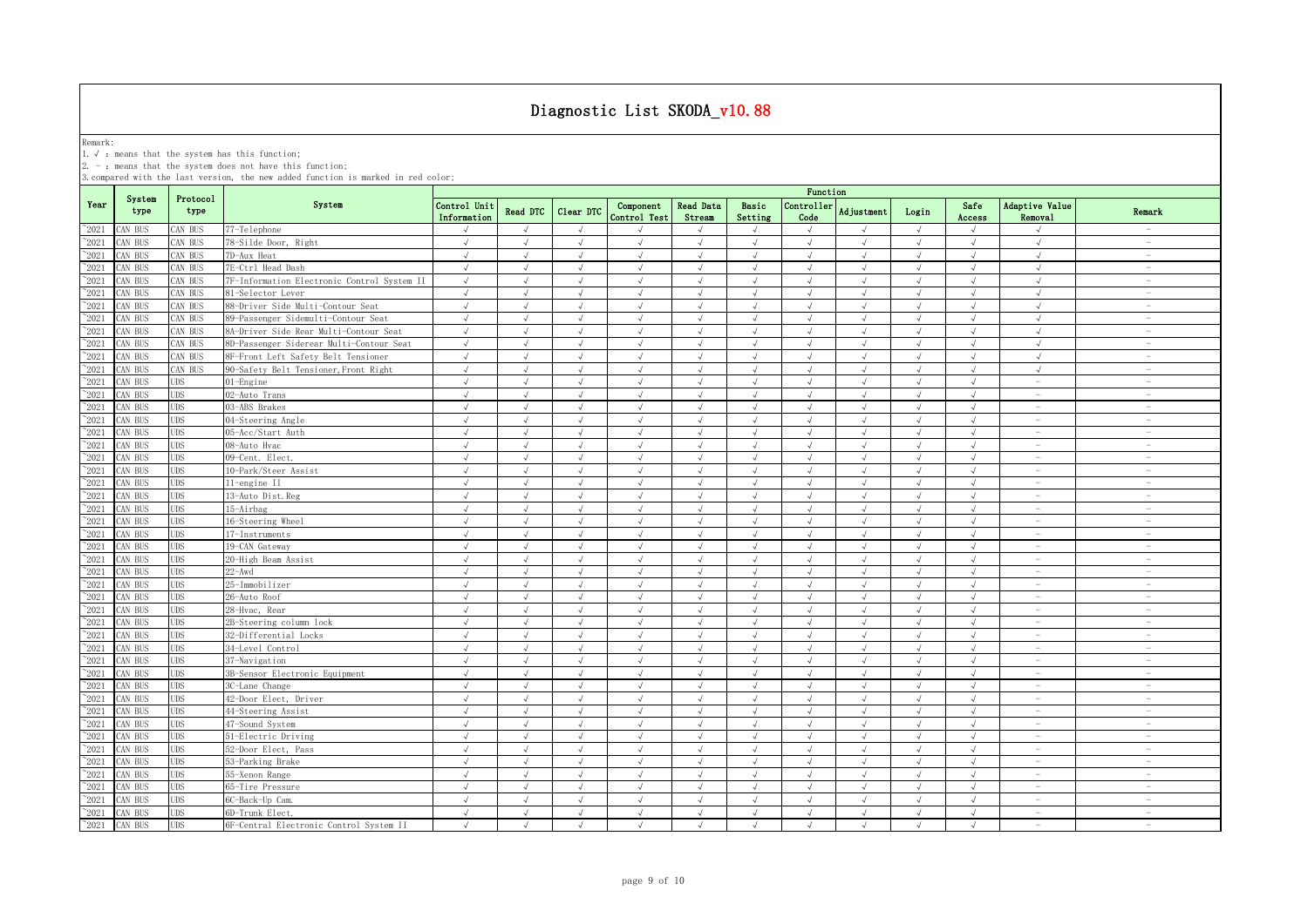Remark:<br>1.√ : means that the system has this function;<br>2. - : means that the system does not have this function;

|                 |                |                  |                                             |                             |                |            |                           |                            |                  | Function           |                |            |                |                                 |                                 |
|-----------------|----------------|------------------|---------------------------------------------|-----------------------------|----------------|------------|---------------------------|----------------------------|------------------|--------------------|----------------|------------|----------------|---------------------------------|---------------------------------|
| Year            | System<br>type | Protocol<br>type | System                                      | Control Unit<br>Information | Read DTC       | Clear DTC  | Component<br>Control Test | <b>Read Data</b><br>Stream | Basic<br>Setting | Controller<br>Code | Adjustment     | Login      | Safe<br>Access | Adaptive Value<br>Removal       | Remark                          |
| $^{\sim}2021$   | CAN BUS        | CAN BUS          | 77-Telephone                                | $\sqrt{ }$                  | $\sqrt{ }$     | $\sqrt{ }$ |                           | $\sqrt{ }$                 | $\sqrt{ }$       | $\sqrt{ }$         | $\sqrt{}$      | $\sqrt{ }$ | $\sqrt{ }$     | $\sqrt{ }$                      |                                 |
| 2021            | CAN BUS        | AN BUS           | 78-Silde Door, Right                        | $\sqrt{ }$                  | $\sqrt{ }$     | $\sqrt{ }$ | $\sqrt{ }$                | $\sqrt{ }$                 | $\sqrt{ }$       | $\sqrt{ }$         | $\sqrt{ }$     | $\sqrt{ }$ | $\sqrt{ }$     | $\sqrt{ }$                      | $\hspace{0.1mm}-\hspace{0.1mm}$ |
| 2021            | CAN BUS        | AN BUS           | 7D-Aux Heat                                 | $\sqrt{ }$                  | $\sqrt{ }$     | $\sqrt{ }$ | $\sqrt{ }$                | $\sqrt{ }$                 | $\sqrt{ }$       | $\sqrt{ }$         | $\sqrt{ }$     | $\sqrt{ }$ | $\sqrt{ }$     | $\sqrt{ }$                      | $\hspace{0.1mm}-\hspace{0.1mm}$ |
| 2021            | CAN BUS        | CAN BUS          | 7E-Ctrl Head Dash                           | $\sqrt{ }$                  | $\sqrt{ }$     | $\sqrt{ }$ | $\sqrt{ }$                | $\sqrt{ }$                 | $\sqrt{ }$       | $\sqrt{ }$         | J              | $\sqrt{ }$ | $\sqrt{ }$     | $\sqrt{ }$                      | $\sim$                          |
| 2021            | CAN BUS        | AN BUS           | 7F-Information Electronic Control System II | $\sqrt{ }$                  |                |            | $\mathcal{L}$             | $\sqrt{ }$                 | $\mathcal{A}$    |                    | $\overline{v}$ |            | $\sqrt{ }$     | $\sqrt{ }$                      |                                 |
| $^{\sim}$ 2021  | CAN BUS        | AN BUS           | 81-Selector Lever                           | $\sqrt{ }$                  | $\sqrt{ }$     | $\sqrt{ }$ | $\sqrt{ }$                | $\sqrt{ }$                 | $\sqrt{ }$       | $\mathcal{A}$      | $\sqrt{ }$     | $\sqrt{ }$ | $\sqrt{ }$     | $\sqrt{ }$                      | $\overline{\phantom{a}}$        |
| $\degree$ 2021  | CAN BUS        | <b>CAN BUS</b>   | 88-Driver Side Multi-Contour Seat           | $\sqrt{ }$                  | $\sqrt{ }$     | $\sqrt{ }$ | $\sqrt{ }$                | $\sqrt{ }$                 | $\sqrt{ }$       | $\sqrt{ }$         | $\sqrt{ }$     | $\sqrt{ }$ | $\sqrt{ }$     | $\sqrt{ }$                      | $\sim$                          |
| $^{\sim}$ 2021  | CAN BUS        | <b>CAN BUS</b>   | 89-Passenger Sidemulti-Contour Seat         | $\sqrt{ }$                  | $\sqrt{ }$     | $\sqrt{ }$ | $\sqrt{ }$                | $\sqrt{ }$                 | $\sqrt{ }$       | $\sqrt{ }$         | $\sqrt{ }$     | $\sqrt{ }$ | $\sqrt{ }$     | $\sqrt{ }$                      | $\sim$                          |
| $^{\sim}$ 2021  | CAN BUS        | CAN BUS          | 8A-Driver Side Rear Multi-Contour Seat      | $\sqrt{ }$                  | $\sqrt{ }$     | $\sqrt{ }$ | $\sqrt{ }$                | $\sqrt{ }$                 | $\sqrt{ }$       | $\sqrt{ }$         | $\sqrt{ }$     | $\sqrt{ }$ | $\sqrt{ }$     | $\sqrt{ }$                      | $\sim$                          |
| $^{\sim}$ 2021  | CAN BUS        | CAN BUS          | 8D-Passenger Siderear Multi-Contour Seat    | $\sqrt{ }$                  | $\sqrt{ }$     | $\sqrt{ }$ | $\sqrt{ }$                | $\sqrt{ }$                 | $\sqrt{ }$       | $\sqrt{ }$         | $\sqrt{ }$     | $\sqrt{ }$ | $\sqrt{ }$     | $\sqrt{ }$                      | $\sim$                          |
| $^{\sim}$ 2021  | CAN BUS        | CAN BUS          | 8F-Front Left Safety Belt Tensioner         | $\sqrt{ }$                  | $\sqrt{ }$     | $\sqrt{ }$ | $\sqrt{ }$                | $\sqrt{ }$                 | $\sqrt{ }$       | $\sqrt{ }$         | $\sqrt{ }$     | $\sqrt{ }$ | $\sqrt{ }$     | $\sqrt{2}$                      | $\sim$                          |
| $\degree$ 2021  | CAN BUS        | CAN BUS          | 90-Safety Belt Tensioner, Front Right       | $\sqrt{ }$                  | $\sqrt{ }$     | $\sqrt{ }$ | $\sqrt{ }$                | $\sqrt{ }$                 | $\sqrt{ }$       | $\sqrt{ }$         | $\sqrt{ }$     | $\sqrt{ }$ | $\sqrt{ }$     | $\sqrt{ }$                      | $\sim$                          |
| $\degree$ 2021  | CAN BUS        | UDS              | 01-Engine                                   | $\sqrt{ }$                  | $\sqrt{ }$     | $\sqrt{ }$ | $\sqrt{ }$                | $\sqrt{ }$                 | $\sqrt{ }$       | $\sqrt{ }$         | $\sqrt{ }$     | $\sqrt{ }$ | $\sqrt{ }$     | $\sim$                          | $\overline{\phantom{a}}$        |
| $\degree$ 2021  | CAN BUS        | UDS              | 02-Auto Trans                               | $\sqrt{ }$                  | $\sqrt{ }$     | $\sqrt{ }$ | $\sqrt{ }$                | $\sqrt{ }$                 | $\sqrt{ }$       | $\sqrt{ }$         | $\sqrt{ }$     | $\sqrt{ }$ | $\sqrt{ }$     | $\sim$                          | $\overline{\phantom{a}}$        |
| $\degree$ 2021  | CAN BUS        | <b>JDS</b>       | 03-ABS Brakes                               | $\sqrt{ }$                  | $\sqrt{ }$     | $\sqrt{ }$ | $\sqrt{ }$                | $\sqrt{ }$                 | $\sqrt{ }$       | $\sqrt{ }$         | $\sqrt{ }$     | $\sqrt{ }$ | $\sqrt{ }$     | $\hspace{0.1mm}-\hspace{0.1mm}$ | $\overline{\phantom{a}}$        |
| $^{\sim}2021$   | CAN BUS        | <b>JDS</b>       | 04-Steering Angle                           | $\sqrt{ }$                  | $\sqrt{ }$     | $\sqrt{ }$ | $\sqrt{ }$                | $\sqrt{ }$                 | $\sqrt{ }$       | $\sqrt{ }$         | $\sqrt{ }$     | $\sqrt{ }$ | $\sqrt{ }$     | <b>COL</b>                      | $\sim$                          |
| $^{\sim}2021$   | CAN BUS        | <b>JDS</b>       | 05-Acc/Start Auth                           | $\sqrt{ }$                  | $\sqrt{ }$     | $\sqrt{ }$ | $\sqrt{ }$                | $\sqrt{ }$                 | $\sqrt{ }$       | $\sqrt{ }$         | $\sqrt{ }$     | $\sqrt{ }$ | $\sqrt{ }$     | $\sim$                          | $\hspace{0.1mm}-\hspace{0.1mm}$ |
| $\degree$ 2021  | CAN BUS        | <b>JDS</b>       | 08-Auto Hvac                                | $\sqrt{ }$                  | $\sqrt{ }$     | $\sqrt{ }$ | $\sqrt{ }$                | $\sqrt{ }$                 | $\sqrt{ }$       | $\sqrt{ }$         | $\sqrt{ }$     | $\sqrt{ }$ | $\sqrt{ }$     | $\sim$                          | $\overline{\phantom{a}}$        |
| $\degree$ 2021  | CAN BUS        | <b>JDS</b>       | 09-Cent. Elect.                             | $\sqrt{2}$                  | $\sqrt{ }$     | J          | J                         | $\sqrt{ }$                 | $\sqrt{ }$       | $\sqrt{ }$         | $\sqrt{ }$     | $\sqrt{ }$ | $\sqrt{ }$     | $\sim$                          | $\overline{\phantom{a}}$        |
| 2021            | CAN BUS        | JDS              | 10-Park/Steer Assist                        | $\sqrt{ }$                  |                |            |                           | $\lambda$                  | $\sqrt{ }$       |                    |                | $\sqrt{ }$ |                | $\overline{\phantom{a}}$        | $\hspace{0.1mm}-\hspace{0.1mm}$ |
| 2021            | CAN BUS        | <b>JDS</b>       | 11-engine II                                | $\sqrt{ }$                  |                |            |                           | $\sqrt{ }$                 | $\mathcal{L}$    |                    |                | $\sqrt{ }$ | $\sqrt{ }$     | $\hspace{0.1mm}-\hspace{0.1mm}$ | $\hspace{0.1mm}-\hspace{0.1mm}$ |
| 2021            | CAN BUS        | <b>JDS</b>       | 13-Auto Dist. Reg                           | $\sqrt{ }$                  |                | $\sqrt{ }$ | $\mathcal{L}$             | $\sqrt{ }$                 | $\mathcal{A}$    | $\mathcal{L}$      |                | $\sqrt{ }$ | $\sqrt{ }$     | $\overline{\phantom{a}}$        | $\overline{\phantom{a}}$        |
| $^{\sim}$ 2021  | CAN BUS        | <b>JDS</b>       | 15-Airbag                                   | $\sqrt{ }$                  |                |            |                           | $\sqrt{ }$                 | $\sqrt{ }$       |                    |                | $\sqrt{ }$ |                |                                 |                                 |
| $^{\sim}$ 2021  | CAN BUS        | <b>JDS</b>       | 16-Steering Wheel                           | $\sqrt{ }$                  | $\sqrt{ }$     | $\sqrt{ }$ | $\sqrt{ }$                | $\sqrt{ }$                 | $\sqrt{ }$       | $\sqrt{ }$         | $\sqrt{ }$     | $\sqrt{ }$ | $\sqrt{ }$     | $\sim$                          | $\sim$                          |
| $^{\sim}$ 2021  | CAN BUS        | <b>UDS</b>       | 17-Instruments                              | $\sqrt{ }$                  | $\sqrt{ }$     | $\sqrt{ }$ | $\sqrt{ }$                | $\sqrt{ }$                 | $\sqrt{ }$       | $\sqrt{ }$         | $\sqrt{ }$     | $\sqrt{ }$ | $\sqrt{ }$     | $\sim$                          | $\sim$                          |
| $^{\sim}$ 2021  | CAN BUS        | <b>JDS</b>       | 19-CAN Gateway                              | $\sqrt{ }$                  | $\sqrt{ }$     | $\sqrt{ }$ | $\sqrt{ }$                | $\sqrt{ }$                 | $\sqrt{ }$       | $\sqrt{ }$         | $\sqrt{ }$     | $\sqrt{ }$ | $\sqrt{ }$     | $\sim$                          | $\sim$                          |
| $^{\sim}$ 2021  | CAN BUS        | UDS              | 20-High Beam Assist                         | $\sqrt{ }$                  | $\sqrt{ }$     | $\sqrt{ }$ | $\sqrt{ }$                | $\sqrt{ }$                 | $\sqrt{ }$       | $\sqrt{ }$         | $\sqrt{ }$     | $\sqrt{ }$ | $\sqrt{ }$     | $\sim$                          | $\overline{\phantom{a}}$        |
| $^{\sim}2021$   | CAN BUS        | UDS              | $22 - Awd$                                  | $\sqrt{ }$                  | $\sqrt{ }$     | $\sqrt{ }$ | $\sqrt{ }$                | $\sqrt{ }$                 | $\sqrt{ }$       | $\sqrt{ }$         | $\sqrt{ }$     | $\sqrt{ }$ | $\sqrt{ }$     | $\overline{\phantom{a}}$        | $\overline{\phantom{a}}$        |
| $\degree$ 2021  | CAN BUS        | UDS              | 25-Immobilizer                              | $\sqrt{ }$                  | $\sqrt{ }$     | $\sqrt{ }$ | $\mathcal{L}$             | $\sqrt{ }$                 | $\sqrt{ }$       | $\sqrt{ }$         | $\sqrt{ }$     | $\sqrt{ }$ | $\sqrt{ }$     | $\sim$                          | $\sim$                          |
| $\degree$ 2021  | CAN BUS        | UDS              | 26-Auto Roof                                | $\sqrt{ }$                  | $\sqrt{ }$     | $\sqrt{ }$ | $\sqrt{ }$                | $\sqrt{ }$                 | $\sqrt{ }$       | $\sqrt{ }$         | $\sqrt{ }$     | $\sqrt{ }$ | $\sqrt{ }$     | $\overline{\phantom{a}}$        | $\overline{\phantom{a}}$        |
| $^{\sim}$ 2021  | CAN BUS        | UDS              | 28-Hvac, Rear                               | $\sqrt{ }$                  | $\sqrt{ }$     | $\sqrt{ }$ | $\sqrt{ }$                | $\sqrt{ }$                 | $\sqrt{ }$       | $\sqrt{ }$         | $\sqrt{ }$     | $\sqrt{ }$ | $\sqrt{ }$     | $\overline{\phantom{a}}$        | $\sim$                          |
| $^{\sim}2021$   | CAN BUS        | <b>JDS</b>       | 2B-Steering column lock                     | $\sqrt{ }$                  | $\sqrt{ }$     | $\sqrt{ }$ | $\sqrt{ }$                | $\sqrt{ }$                 | $\sqrt{ }$       | $\sqrt{ }$         | $\sqrt{ }$     | $\sqrt{ }$ | $\sqrt{ }$     | $\sim$                          | $\sim$                          |
| $^{\sim}$ 2021  | CAN BUS        | <b>JDS</b>       | 32-Differential Locks                       | $\sqrt{ }$                  | $\sqrt{ }$     | $\sqrt{ }$ | $\sqrt{ }$                | $\sqrt{ }$                 | $\sqrt{ }$       | $\sqrt{ }$         | $\sqrt{ }$     | $\sqrt{ }$ | $\sqrt{ }$     |                                 | $\sim$                          |
| $\degree$ 2021  | CAN BUS        | <b>JDS</b>       | 34-Level Control                            | $\sqrt{ }$                  | $\sqrt{ }$     | $\sqrt{ }$ | $\sqrt{ }$                | $\sqrt{ }$                 | $\sqrt{ }$       | $\sqrt{ }$         | $\sqrt{ }$     | $\sqrt{ }$ | $\sqrt{ }$     | $\sim$                          | $\sim$                          |
| $\degree$ 2021  | AN BUS         | JDS              | 37-Navigation                               |                             |                |            |                           | J                          |                  |                    |                |            | $\sqrt{ }$     | $\sim$                          | $\sim$                          |
| $^{\sim}2021$   | CAN BUS        | <b>JDS</b>       | 3B-Sensor Electronic Equipment              | $\sqrt{ }$                  | $\sqrt{ }$     | $\sqrt{ }$ | $\sqrt{}$                 | $\sqrt{}$                  | $\sqrt{ }$       | $\sqrt{ }$         | $\sqrt{ }$     | $\sqrt{ }$ | $\sqrt{ }$     | $\sim$                          | $\overline{\phantom{a}}$        |
| 2021            | CAN BUS        | JDS              | 3C-Lane Change                              | $\sqrt{ }$                  | $\overline{ }$ | $\sqrt{ }$ | $\sqrt{ }$                | $\sqrt{ }$                 | $\mathcal{A}$    | $\sqrt{ }$         | $\overline{a}$ | $\sqrt{ }$ | $\sqrt{ }$     | $\overline{\phantom{a}}$        | $\sim$                          |
| $^{\sim}2021$   | CAN BUS        | <b>JDS</b>       | 42-Door Elect, Driver                       | $\sqrt{ }$                  | $\sqrt{ }$     | $\sqrt{ }$ |                           | $\sqrt{ }$                 | $\sqrt{ }$       | $\sqrt{ }$         |                | $\sqrt{ }$ | $\sqrt{ }$     | $\overline{\phantom{a}}$        | $\overline{\phantom{a}}$        |
| $^{\sim}$ 2021  | CAN BUS        | <b>JDS</b>       | 44-Steering Assist                          | $\sqrt{ }$                  |                |            |                           | $\sqrt{ }$                 | $\sqrt{ }$       |                    |                |            | $\sqrt{ }$     |                                 |                                 |
| $\gamma_{2021}$ | CAN BUS        | <b>JDS</b>       | 47-Sound System                             | $\sqrt{ }$                  | $\sqrt{ }$     | $\sqrt{ }$ | $\sqrt{ }$                | $\sqrt{ }$                 | $\sqrt{ }$       | $\sqrt{ }$         | $\sqrt{ }$     | $\sqrt{ }$ | $\sqrt{ }$     |                                 | $\sim$                          |
| $^{\sim}$ 2021  | CAN BUS        | <b>JDS</b>       | 51-Electric Driving                         | $\sqrt{ }$                  | $\sqrt{ }$     | $\sqrt{ }$ | $\sqrt{ }$                | $\sqrt{ }$                 | $\sqrt{ }$       | $\sqrt{ }$         | $\sqrt{ }$     | $\sqrt{ }$ | $\sqrt{ }$     | $\sim$                          | $\sim$                          |
| $^{\sim}$ 2021  | CAN BUS        | <b>UDS</b>       | 52-Door Elect, Pass                         | $\sqrt{ }$                  | $\sqrt{ }$     | $\sqrt{ }$ | $\sqrt{ }$                | $\sqrt{ }$                 | $\sqrt{ }$       | $\sqrt{ }$         | $\sqrt{ }$     | $\sqrt{ }$ | $\sqrt{ }$     | $\overline{\phantom{a}}$        | $\sim$                          |
| $^{\sim}$ 2021  | CAN BUS        | <b>JDS</b>       | 53-Parking Brake                            | $\sqrt{ }$                  | $\sqrt{ }$     | $\sqrt{ }$ | $\sqrt{ }$                | $\sqrt{ }$                 | $\sqrt{ }$       | $\sqrt{ }$         | $\sqrt{ }$     | $\sqrt{ }$ | $\sqrt{ }$     | $\sim$                          | $\overline{\phantom{a}}$        |
| $^{\sim}$ 2021  | CAN BUS        | UDS              | 55-Xenon Range                              | $\sqrt{ }$                  | $\sqrt{ }$     | $\sqrt{ }$ | $\sqrt{ }$                | $\sqrt{ }$                 | $\sqrt{ }$       | $\sqrt{ }$         | $\sqrt{ }$     | $\sqrt{ }$ | $\sqrt{ }$     | $\sim$                          | $\sim$                          |
| $\degree$ 2021  | CAN BUS        | UDS              | 65-Tire Pressure                            | $\sqrt{ }$                  | $\sqrt{ }$     | $\sqrt{ }$ | $\sqrt{ }$                | $\sqrt{ }$                 | $\sqrt{ }$       | $\sqrt{ }$         | $\sqrt{ }$     | $\sqrt{ }$ | $\sqrt{ }$     | $\overline{\phantom{a}}$        | $\overline{\phantom{a}}$        |
| $^{\sim}2021$   | CAN BUS        | UDS              | 6C-Back-Up Cam.                             | $\sqrt{ }$                  | $\sqrt{ }$     | $\sqrt{ }$ | $\sqrt{ }$                | $\sqrt{ }$                 | $\sqrt{ }$       | $\sqrt{ }$         | $\sqrt{ }$     | $\sqrt{ }$ | $\sqrt{ }$     | $\overline{\phantom{a}}$        | $\overline{\phantom{a}}$        |
| $^{\sim}$ 2021  | CAN BUS        | UDS              | 6D-Trunk Elect.                             | $\sqrt{ }$                  | $\sqrt{ }$     | $\sqrt{ }$ | $\sqrt{ }$                | $\sqrt{ }$                 | $\sqrt{ }$       | $\sqrt{ }$         | $\sqrt{ }$     | $\sqrt{ }$ | $\sqrt{ }$     | $\overline{\phantom{a}}$        | $\overline{\phantom{a}}$        |
| $^{\sim}$ 2021  | CAN BUS        | <b>UDS</b>       | 6F-Central Electronic Control System II     | $\sqrt{ }$                  | $\sqrt{ }$     | $\sqrt{ }$ | $\sqrt{ }$                | $\sqrt{ }$                 | $\sqrt{ }$       | $\sqrt{ }$         | $\sqrt{ }$     | $\sqrt{ }$ | $\sqrt{ }$     | $\sim$                          | $\sim$                          |